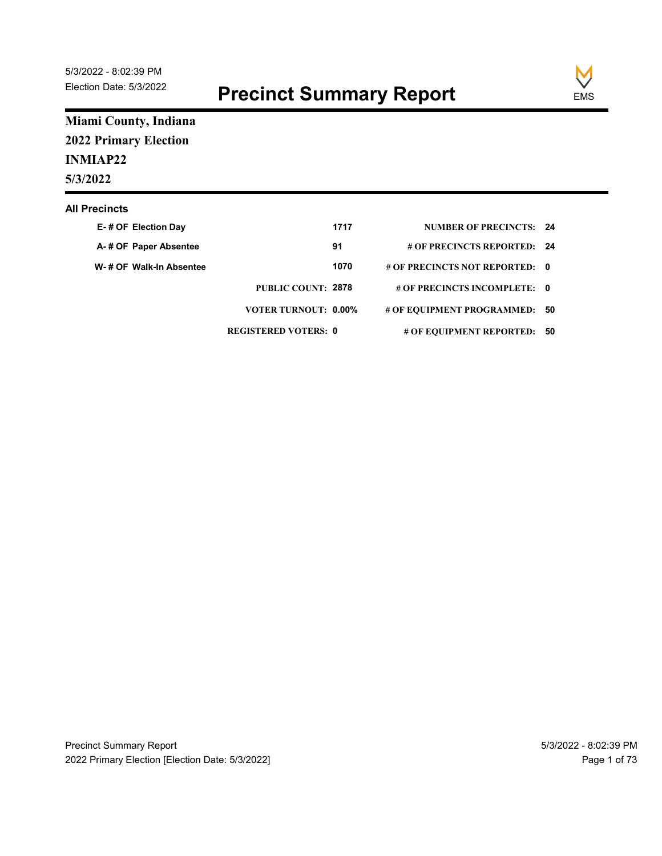

### Miami County, Indiana 2022 Primary Election INMIAP22 5/3/2022

#### All Precincts

| 22 - 8:02:39 PM<br>n Date: 5/3/2022                                  | <b>Precinct Summary Report</b> |      |                                | <b>EMS</b> |
|----------------------------------------------------------------------|--------------------------------|------|--------------------------------|------------|
| ni County, Indiana<br><b>Primary Election</b><br><b>IAP22</b><br>022 |                                |      |                                |            |
| ecincts                                                              |                                |      |                                |            |
| E-# OF Election Day                                                  |                                | 1717 | <b>NUMBER OF PRECINCTS: 24</b> |            |
| A-# OF Paper Absentee                                                |                                | 91   | # OF PRECINCTS REPORTED: 24    |            |
| W- # OF Walk-In Absentee                                             |                                | 1070 | # OF PRECINCTS NOT REPORTED: 0 |            |
|                                                                      | PUBLIC COUNT: 2878             |      | # OF PRECINCTS INCOMPLETE: 0   |            |
|                                                                      | <b>VOTER TURNOUT: 0.00%</b>    |      | # OF EQUIPMENT PROGRAMMED: 50  |            |
|                                                                      | <b>REGISTERED VOTERS: 0</b>    |      | # OF EQUIPMENT REPORTED: 50    |            |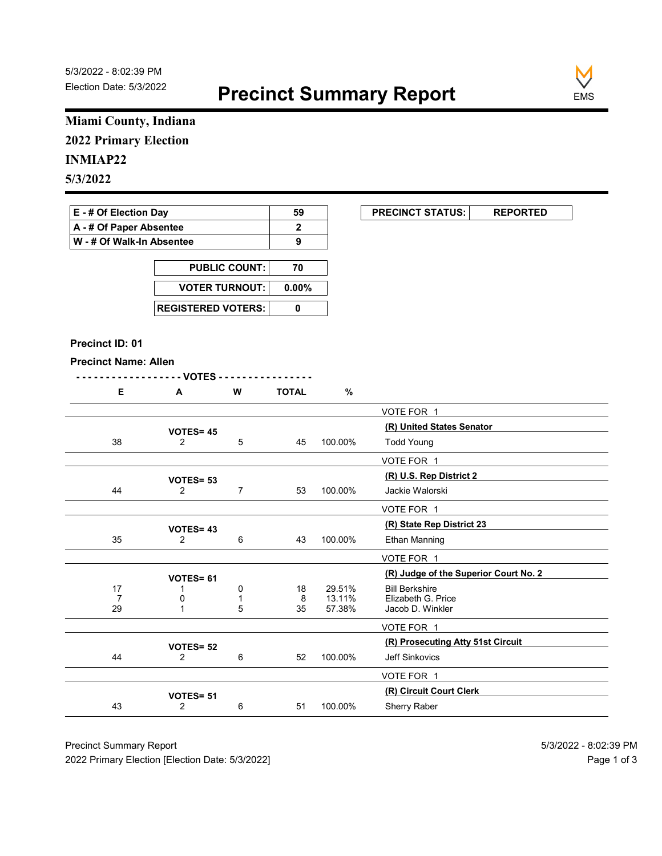

# Miami County, Indiana

### INMIAP22

| E - # Of Election Day       | 59 | <b>PRECINCT STATUS:</b> |
|-----------------------------|----|-------------------------|
| A - # Of Paper Absentee     |    |                         |
| ∣ W - # Of Walk-In Absentee |    |                         |

| <b>PUBLIC COUNT:</b>        | 70 |
|-----------------------------|----|
| VOTER TURNOUT: 0.00%        |    |
| <b>REGISTERED VOTERS: I</b> |    |

#### Precinct ID: 01

|  | Ð | W | ገTAL |
|--|---|---|------|
|  |   |   |      |

|                              | Miami County, Indiana              |                      |              |                  |                                             |
|------------------------------|------------------------------------|----------------------|--------------|------------------|---------------------------------------------|
| <b>2022 Primary Election</b> |                                    |                      |              |                  |                                             |
| <b>INMIAP22</b>              |                                    |                      |              |                  |                                             |
| 5/3/2022                     |                                    |                      |              |                  |                                             |
|                              |                                    |                      |              |                  |                                             |
| E - # Of Election Day        |                                    |                      | 59           |                  | <b>PRECINCT STATUS:</b><br><b>REPORTED</b>  |
| A - # Of Paper Absentee      |                                    |                      | $\mathbf 2$  |                  |                                             |
| W - # Of Walk-In Absentee    |                                    |                      | 9            |                  |                                             |
|                              |                                    | <b>PUBLIC COUNT:</b> | 70           |                  |                                             |
|                              | <b>VOTER TURNOUT:</b>              |                      | $0.00\%$     |                  |                                             |
|                              |                                    |                      |              |                  |                                             |
|                              | <b>REGISTERED VOTERS:</b>          |                      | $\mathbf 0$  |                  |                                             |
|                              |                                    |                      |              |                  |                                             |
| Precinct ID: 01              |                                    |                      |              |                  |                                             |
| <b>Precinct Name: Allen</b>  | -- VOTES -                         |                      |              |                  |                                             |
| Е                            | A                                  | W                    | <b>TOTAL</b> | $\%$             |                                             |
|                              |                                    |                      |              |                  | VOTE FOR 1                                  |
|                              |                                    |                      |              |                  | (R) United States Senator                   |
| 38                           | <b>VOTES= 45</b><br>$\overline{2}$ | $\,$ 5 $\,$          | 45           | 100.00%          | <b>Todd Young</b>                           |
|                              |                                    |                      |              |                  | VOTE FOR 1                                  |
|                              | VOTES= 53                          |                      |              |                  | (R) U.S. Rep District 2                     |
| 44                           | $\overline{2}$                     | $\overline{7}$       | 53           | 100.00%          | Jackie Walorski                             |
|                              |                                    |                      |              |                  | VOTE FOR 1                                  |
|                              | VOTES=43                           |                      |              |                  | (R) State Rep District 23                   |
| 35                           | $\overline{2}$                     | 6                    | 43           | 100.00%          | Ethan Manning                               |
|                              |                                    |                      |              |                  | VOTE FOR 1                                  |
|                              | VOTES= 61                          |                      |              |                  | (R) Judge of the Superior Court No. 2       |
| 17<br>$\overline{7}$         | -1<br>0                            | 0<br>$\mathbf{1}$    | 18<br>8      | 29.51%<br>13.11% | <b>Bill Berkshire</b><br>Elizabeth G. Price |
| 29                           | $\mathbf{1}$                       | 5                    | 35           | 57.38%           | Jacob D. Winkler                            |
|                              |                                    |                      |              |                  | VOTE FOR 1                                  |
|                              | VOTES= 52                          |                      |              |                  | (R) Prosecuting Atty 51st Circuit           |
| 44                           | $\overline{2}$                     | 6                    | 52           | 100.00%          | Jeff Sinkovics                              |
|                              |                                    |                      |              |                  | VOTE FOR 1                                  |
|                              |                                    |                      |              | 100.00%          | (R) Circuit Court Clerk<br>Sherry Raber     |
| 43                           | VOTES= 51<br>$\overline{2}$        | 6                    | 51           |                  |                                             |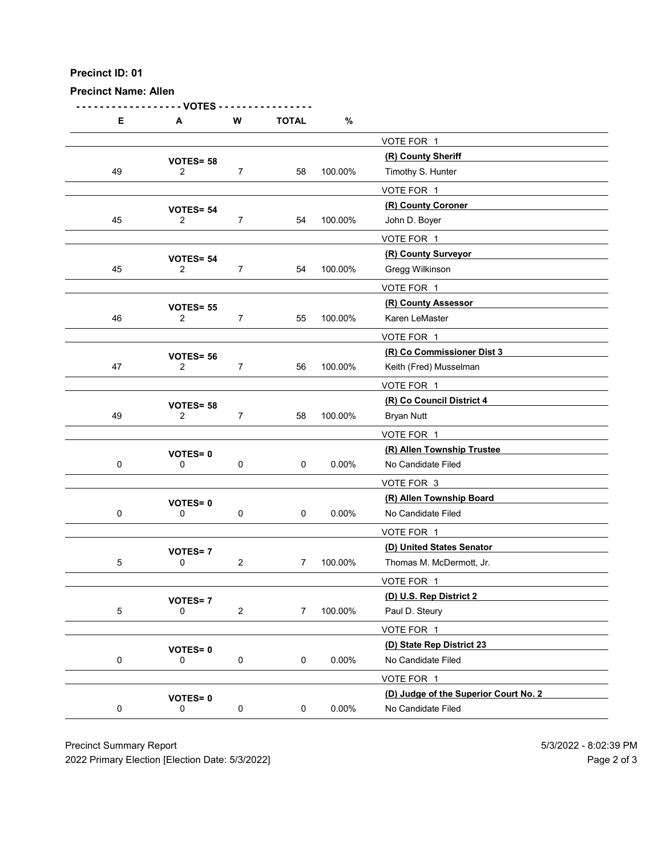Precinct Name: Allen

- - - - - - - - - - - - - - - - - - VOTES - - - - - - - - - - - - - - - - D: 01<br>
E A W TOTAL %<br>  $\frac{\sqrt{0} \text{TE FOR } 1}{2}$ <br>  $\frac{\sqrt{0} \text{TE S}}{2}$  7 58 100.00%  $\frac{\sqrt{0} \text{TE FOR } 1}{2}$ <br>  $\frac{\sqrt{0} \text{TE S}}{2}$  7 58 100.00%  $\frac{\sqrt{0} \text{TE FOR } 1}{2}$ VOTE FOR 1 VOTES= 58<br>
2 7 58 100.00% Timothy S. Hunter 49 2 7 58 100.00% Timothy S. Hunter VOTE FOR 1  $\begin{array}{r}\n\text{VOTES} = 54 \\
\text{VOTES} = 54\n\end{array}$   $\begin{array}{r}\n7 \\
\text{54} \\
\text{100.00\%} \\
\text{John D. Bover\n\end{array}$ 45 2 7 54 100.00% John D. Boyer VOTE FOR 1 VOTES= 54<br>
2 7 54 100.00% Gregg Wilkinson 45 2 7 54 100.00% Gregg Wilkinson VOTE FOR 1 VOTES= 55<br>
2 7 55 100.00% Karen LeMaster 46 2 7 55 100.00% Karen LeMaster VOTE FOR 1 (R) Co Commissioner Dist 3 VOTES= <sup>56</sup> 47 2 7 56 100.00% Keith (Fred) Musselman VOTE FOR 1 VOTES= 58<br>
2 7 58 100.00% Bryan Nutt 49 2 7 58 100.00% Bryan Nutt VOTE FOR 1 (R) Allen Township Trustee VOTES= <sup>0</sup> 0 0 0 0 0 0.00% No Candidate Filed VOTE FOR 3 VOTES= 0<br>
0 0 0 0 0 0.00% No Candidate Filed<br>
0 0 0.00% No Candidate Filed 0 0 0 0 0 0.00% No Candidate Filed VOTE FOR 1 VOTES= 7<br>
0 100.00% Thomas M. McDermott. Jr. 5 0 2 7 100.00% Thomas M. McDermott, Jr. VOTE FOR 1 VOTES= 7<br>
0 2 7 100.00% Paul D. Steury<br>
100.00% Paul D. Steury 5 0 2 7 100.00% Paul D. Steury VOTE FOR 1 VOTES= 0<br>
0 0 0 0 0 0.00% No Candidate Filed<br>
0 0 0.00% No Candidate Filed 0 0 0 0 0.00% No Candidate Filed VOTE FOR 1 (D) Judge of the Superior Court No. 2 VOTES= <sup>0</sup> 0 0 0 0 0.00% No Candidate Filed Precinct Summary Report<br>
Precinct Summary Report<br>
Precinct Summary Report<br>
Precinct Summary Report<br>
Precinct Summary Report<br>
Precinct Summary Report<br>
Precinct Summary Report<br>
Precinct Summary Report<br>
Precinct Summary Re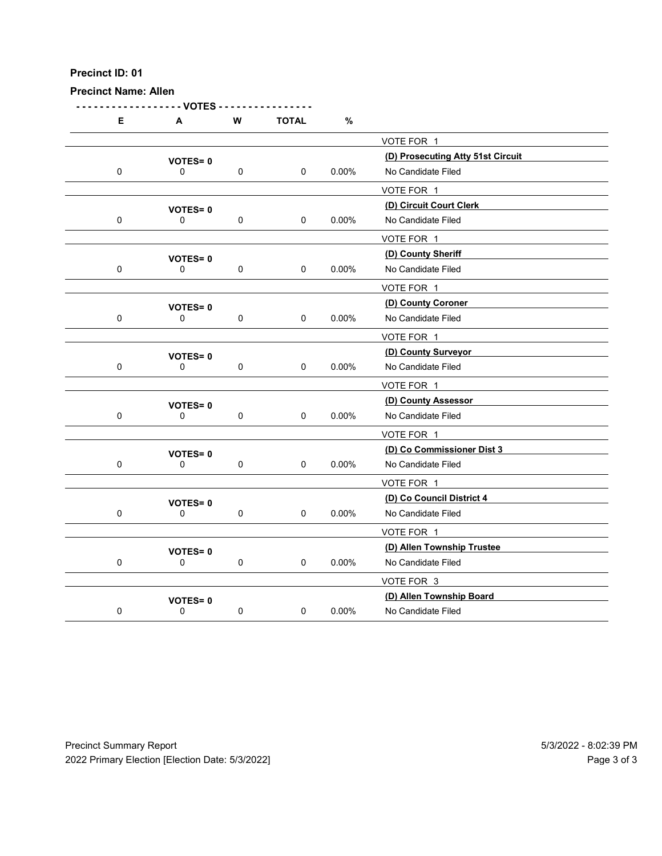| <b>Precinct Name: Allen</b> | Precinct ID: 01               |             |                     |          |                                                             |
|-----------------------------|-------------------------------|-------------|---------------------|----------|-------------------------------------------------------------|
| Е                           | - VOTES<br>A                  | ${\bf W}$   | <b>TOTAL</b>        | $\%$     |                                                             |
|                             | <b>VOTES=0</b>                |             |                     |          | VOTE FOR 1<br>(D) Prosecuting Atty 51st Circuit             |
| $\pmb{0}$                   | 0                             | $\pmb{0}$   | $\pmb{0}$           | $0.00\%$ | No Candidate Filed                                          |
| $\pmb{0}$                   | <b>VOTES=0</b><br>$\mathbf 0$ | $\mathbf 0$ | $\pmb{0}$           | $0.00\%$ | VOTE FOR 1<br>(D) Circuit Court Clerk<br>No Candidate Filed |
|                             |                               |             |                     |          | VOTE FOR 1                                                  |
| $\pmb{0}$                   | <b>VOTES=0</b><br>0           | $\pmb{0}$   | $\pmb{0}$           | $0.00\%$ | (D) County Sheriff<br>No Candidate Filed                    |
|                             |                               |             |                     |          | VOTE FOR 1                                                  |
| $\pmb{0}$                   | <b>VOTES=0</b><br>0           | $\pmb{0}$   | 0                   | $0.00\%$ | (D) County Coroner<br>No Candidate Filed                    |
|                             |                               |             |                     |          | VOTE FOR 1<br>(D) County Surveyor                           |
| $\pmb{0}$                   | <b>VOTES=0</b><br>$\pmb{0}$   | $\mathbf 0$ | $\mathsf{O}\xspace$ | $0.00\%$ | No Candidate Filed                                          |
|                             |                               |             |                     |          | VOTE FOR 1<br>(D) County Assessor                           |
| $\pmb{0}$                   | <b>VOTES=0</b><br>$\pmb{0}$   | $\mathbf 0$ | $\pmb{0}$           | $0.00\%$ | No Candidate Filed                                          |
|                             |                               |             |                     |          | VOTE FOR 1                                                  |
| $\pmb{0}$                   | <b>VOTES=0</b><br>$\pmb{0}$   | $\mathbf 0$ | $\pmb{0}$           | $0.00\%$ | (D) Co Commissioner Dist 3<br>No Candidate Filed            |
|                             |                               |             |                     |          | VOTE FOR 1                                                  |
|                             | <b>VOTES=0</b>                |             |                     |          | (D) Co Council District 4                                   |
| $\pmb{0}$                   | $\pmb{0}$                     | $\mathbf 0$ | $\pmb{0}$           | $0.00\%$ | No Candidate Filed<br>VOTE FOR 1                            |
|                             | <b>VOTES=0</b>                |             |                     |          | (D) Allen Township Trustee                                  |
| $\pmb{0}$                   | $\pmb{0}$                     | $\mathbf 0$ | $\pmb{0}$           | $0.00\%$ | No Candidate Filed                                          |
|                             |                               |             |                     |          | VOTE FOR 3<br>(D) Allen Township Board                      |
| $\pmb{0}$                   | <b>VOTES=0</b><br>$\pmb{0}$   | $\mathbf 0$ | $\mathsf{O}\xspace$ | $0.00\%$ | No Candidate Filed                                          |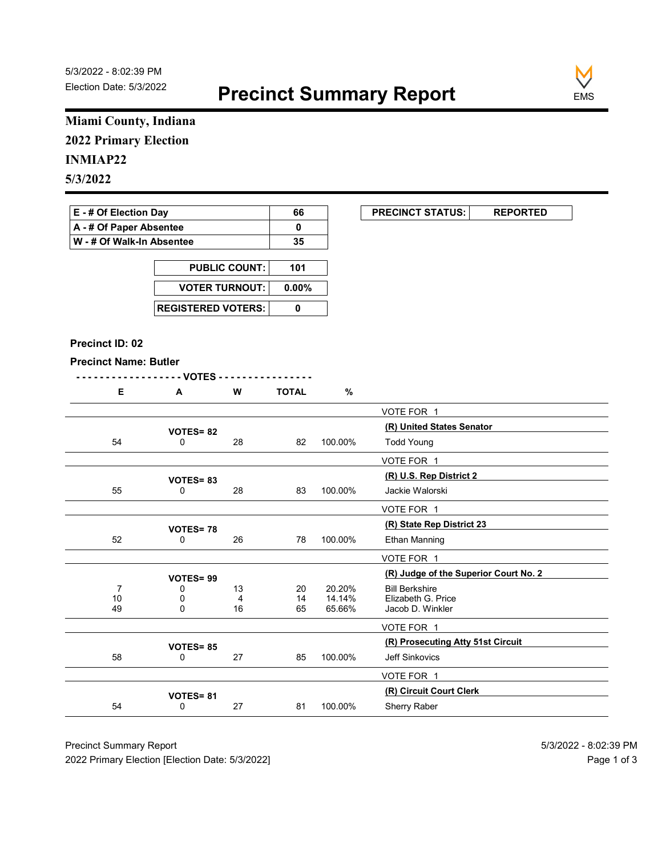

### Miami County, Indiana 2022 Primary Election

### 5/3/2022

| E - # Of Election Dav       | 66 | <b>PRECINCT STATUS:</b> |  |
|-----------------------------|----|-------------------------|--|
| A - # Of Paper Absentee     |    |                         |  |
| ∣ W - # Of Walk-In Absentee | 35 |                         |  |

| <b>PUBLIC COUNT:</b>        | 101 |
|-----------------------------|-----|
| VOTER TURNOUT: 0.00%        |     |
| <b>REGISTERED VOTERS: I</b> |     |

#### Precinct ID: 02

#### Precinct Name: Butler

|  | W | <b>TOTAL</b> | $\mathbf{c}$ |
|--|---|--------------|--------------|
|  |   |              |              |

|                                                           | Miami County, Indiana     |                      |              |                  |                                             |  |
|-----------------------------------------------------------|---------------------------|----------------------|--------------|------------------|---------------------------------------------|--|
| <b>2022 Primary Election</b>                              |                           |                      |              |                  |                                             |  |
| <b>INMIAP22</b>                                           |                           |                      |              |                  |                                             |  |
| 5/3/2022                                                  |                           |                      |              |                  |                                             |  |
|                                                           |                           |                      |              |                  |                                             |  |
| E - # Of Election Day                                     |                           |                      | 66           |                  | <b>PRECINCT STATUS:</b><br><b>REPORTED</b>  |  |
| A - # Of Paper Absentee                                   |                           |                      | $\mathbf 0$  |                  |                                             |  |
| W - # Of Walk-In Absentee                                 |                           |                      | 35           |                  |                                             |  |
|                                                           |                           | <b>PUBLIC COUNT:</b> | 101          |                  |                                             |  |
|                                                           | <b>VOTER TURNOUT:</b>     |                      | $0.00\%$     |                  |                                             |  |
|                                                           |                           |                      |              |                  |                                             |  |
|                                                           | <b>REGISTERED VOTERS:</b> |                      | $\pmb{0}$    |                  |                                             |  |
|                                                           |                           |                      |              |                  |                                             |  |
| Precinct ID: 02                                           |                           |                      |              |                  |                                             |  |
| <b>Precinct Name: Butler</b>                              |                           |                      |              |                  |                                             |  |
| E                                                         | - - VOTES -<br>A          | W                    | <b>TOTAL</b> | %                |                                             |  |
|                                                           |                           |                      |              |                  | VOTE FOR 1                                  |  |
|                                                           |                           |                      |              |                  | (R) United States Senator                   |  |
| 54                                                        | <b>VOTES=82</b><br>0      | 28                   | 82           | 100.00%          | <b>Todd Young</b>                           |  |
|                                                           |                           |                      |              |                  | VOTE FOR 1                                  |  |
|                                                           | VOTES=83                  |                      |              |                  | (R) U.S. Rep District 2                     |  |
| 55                                                        | $\mathsf{O}$              | 28                   | 83           | 100.00%          | Jackie Walorski                             |  |
|                                                           |                           |                      |              |                  | VOTE FOR 1                                  |  |
|                                                           | <b>VOTES=78</b>           |                      |              |                  | (R) State Rep District 23                   |  |
| 52                                                        | 0                         | 26                   | 78           | 100.00%          | Ethan Manning                               |  |
|                                                           |                           |                      |              |                  | VOTE FOR 1                                  |  |
|                                                           | VOTES=99                  |                      |              |                  | (R) Judge of the Superior Court No. 2       |  |
| $\overline{7}$<br>$\begin{array}{c} 10 \\ 49 \end{array}$ | 0<br>0                    | 13<br>4              | 20<br>14     | 20.20%<br>14.14% | <b>Bill Berkshire</b><br>Elizabeth G. Price |  |
|                                                           | $\mathbf 0$               | 16                   | 65           | 65.66%           | Jacob D. Winkler                            |  |
|                                                           |                           |                      |              |                  | VOTE FOR 1                                  |  |
|                                                           | <b>VOTES=85</b>           |                      |              |                  | (R) Prosecuting Atty 51st Circuit           |  |
| 58                                                        | 0                         | 27                   | 85           | 100.00%          | Jeff Sinkovics                              |  |
|                                                           |                           |                      |              |                  | VOTE FOR 1                                  |  |
|                                                           | VOTES=81                  | 27                   | 81           | 100.00%          | (R) Circuit Court Clerk<br>Sherry Raber     |  |
| 54                                                        | 0                         |                      |              |                  |                                             |  |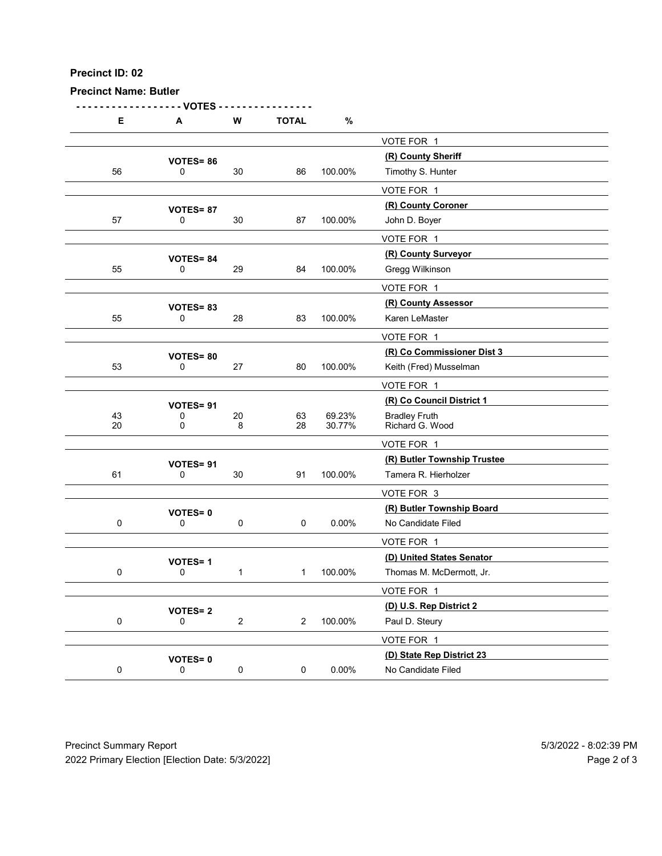| Precinct ID: 02<br><b>Precinct Name: Butler</b> |                         |                |              |          |                                                 |  |
|-------------------------------------------------|-------------------------|----------------|--------------|----------|-------------------------------------------------|--|
|                                                 |                         |                |              |          |                                                 |  |
|                                                 | - VOTES                 |                |              |          |                                                 |  |
| E                                               | A                       | ${\bf W}$      | <b>TOTAL</b> | $\%$     |                                                 |  |
|                                                 |                         |                |              |          | VOTE FOR 1                                      |  |
| 56                                              | VOTES=86<br>0           | $30\,$         | 86           | 100.00%  | (R) County Sheriff<br>Timothy S. Hunter         |  |
|                                                 |                         |                |              |          | VOTE FOR 1                                      |  |
|                                                 | VOTES=87                |                |              |          | (R) County Coroner                              |  |
| 57                                              | 0                       | 30             | 87           | 100.00%  | John D. Boyer<br>VOTE FOR 1                     |  |
|                                                 | VOTES=84                |                |              |          | (R) County Surveyor                             |  |
| 55                                              | 0                       | 29             | 84           | 100.00%  | Gregg Wilkinson                                 |  |
|                                                 |                         |                |              |          | VOTE FOR 1                                      |  |
| 55                                              | VOTES=83<br>0           | 28             | 83           | 100.00%  | (R) County Assessor<br>Karen LeMaster           |  |
|                                                 |                         |                |              |          | VOTE FOR 1                                      |  |
|                                                 | <b>VOTES=80</b>         |                |              |          | (R) Co Commissioner Dist 3                      |  |
| 53                                              | $\mathsf{O}$            | $27\,$         | 80           | 100.00%  | Keith (Fred) Musselman                          |  |
|                                                 |                         |                |              |          | VOTE FOR 1<br>(R) Co Council District 1         |  |
| 43                                              | VOTES= 91<br>$\pmb{0}$  | $20\,$         | 63           | 69.23%   | Bradley Fruth<br>Richard G. Wood                |  |
| $20\,$                                          | $\mathbf 0$             | 8              | 28           | 30.77%   | VOTE FOR 1                                      |  |
|                                                 | VOTES= 91               |                |              |          | (R) Butler Township Trustee                     |  |
| 61                                              | $\mathsf{O}$            | $30\,$         | 91           | 100.00%  | Tamera R. Hierholzer                            |  |
|                                                 |                         |                |              |          | VOTE FOR 3                                      |  |
| $\mathbf 0$                                     | VOTES=0<br>$\mathsf 0$  | $\mathbf 0$    | $\mathbf 0$  | $0.00\%$ | (R) Butler Township Board<br>No Candidate Filed |  |
|                                                 |                         |                |              |          | VOTE FOR 1                                      |  |
|                                                 | <b>VOTES=1</b>          |                |              |          | (D) United States Senator                       |  |
| $\mathbf 0$                                     | $\mathbf 0$             | $\mathbf{1}$   | $1 \quad$    | 100.00%  | Thomas M. McDermott, Jr.<br>VOTE FOR 1          |  |
|                                                 | <b>VOTES=2</b>          |                |              |          | (D) U.S. Rep District 2                         |  |
| $\mathbf 0$                                     | $\mathsf 0$             | $\overline{2}$ | $2^{\circ}$  | 100.00%  | Paul D. Steury                                  |  |
|                                                 |                         |                |              |          | VOTE FOR 1                                      |  |
|                                                 | VOTES=0<br>$\mathsf{O}$ | $\mathbf 0$    | 0            | $0.00\%$ | (D) State Rep District 23<br>No Candidate Filed |  |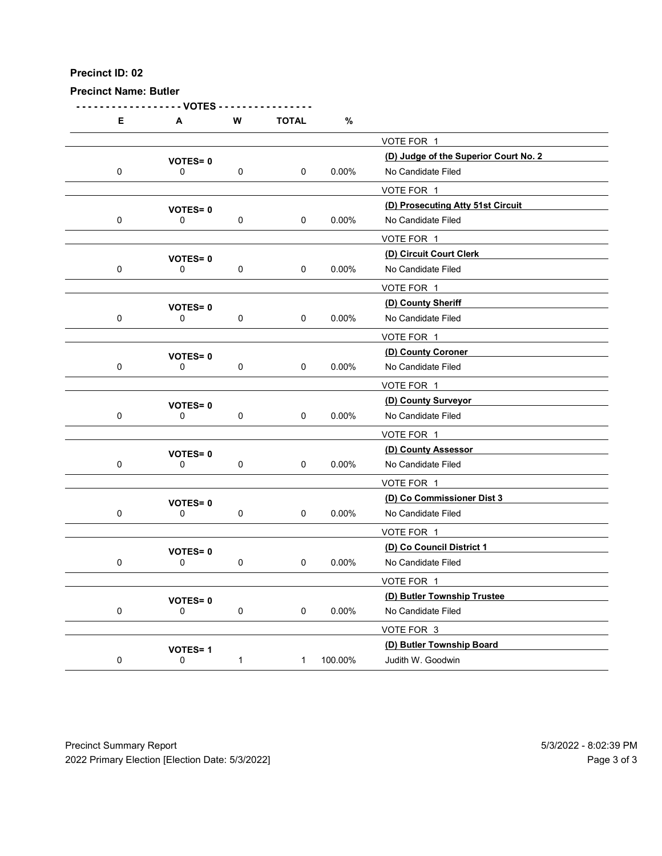Precinct Name: Butler

- - - - - - - - - - - - - - - - - - VOTES - - - - - - - - - - - - - - - - E A W TOTAL % VOTE FOR 1 (D) Judge of the Superior Court No. 2 VOTES= <sup>0</sup> 0 0 0 0 0.00% No Candidate Filed VOTE FOR 1 (D) Prosecuting Atty 51st Circuit VOTES= <sup>0</sup> 0 0 0 0 0.00% No Candidate Filed VOTE FOR 1 VOTES= 0<br>
0 0 0 0 0 0.00% No Candidate Filed<br>
0 0 0.00% No Candidate Filed 0 0 0 0 0.00% No Candidate Filed VOTE FOR 1 (D) County Sheriff VOTES= <sup>0</sup> 0 0 0 0 0 0.00% No Candidate Filed VOTE FOR 1 (D) County Coroner VOTES= <sup>0</sup> 0 0 0 0 0 0.00% No Candidate Filed VOTE FOR 1 VOTES= 0<br>
0 0 0 0 0 0 0.00% No Candidate Filed 0 0 0 0 0 0.00% No Candidate Filed VOTE FOR 1 (D) County Assessor VOTES= <sup>0</sup> 0 0 0 0 0 0.00% No Candidate Filed VOTE FOR 1 (D) Co Commissioner Dist 3 VOTES= <sup>0</sup> 0 0 0 0 0 0.00% No Candidate Filed VOTE FOR 1 VOTES= 0<br>
0 0 0 0 0.00% No Candidate Filed<br>
0 0 0.00% No Candidate Filed 0 0 0 0 0 0.00% No Candidate Filed VOTE FOR 1 VOTES= 0<br>
0 0 0 0 0 0.00% No Candidate Filed<br>
0 0 0.00% No Candidate Filed 0 0 0 0 0 0.00% No Candidate Filed VOTE FOR 3 VOTES= 1<br>
0 1 1 100.00% Judith W. Goodwin 0 0 1 1 100.00% Judith W. Goodwin Precinct Summary Report<br>
Precinct Summary Report<br>
Precinct Summary Report<br>
Precinct Summary Report<br>
Precinct Summary Report<br>
Precinct Summary Report<br>
Precinct Summary Report<br>
Precinct Summary Report<br>
Precinct Summary Repor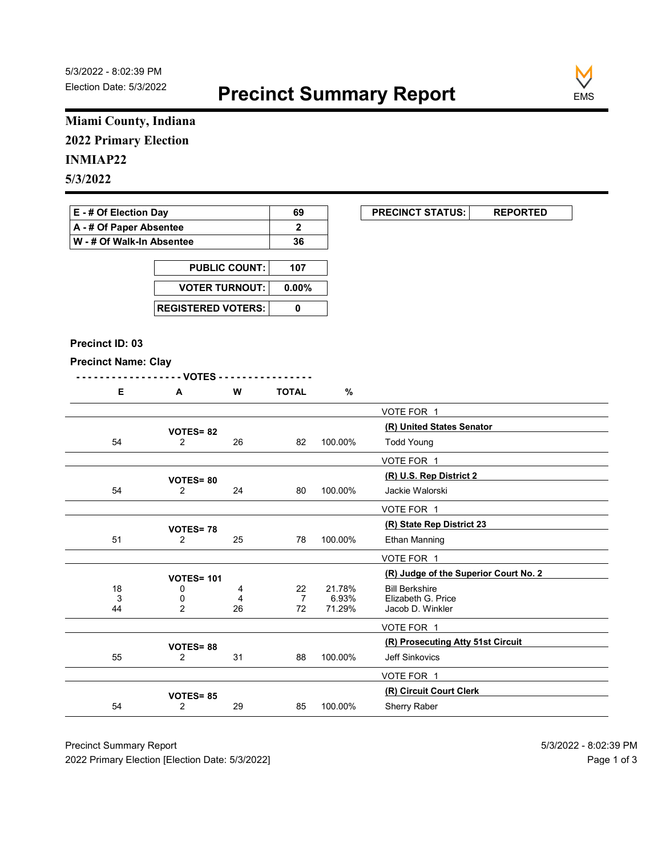

### Miami County, Indiana 2022 Primary Election

### INMIAP22

| E - # Of Election Day       | 69 | <b>PRECINCT STATUS:</b> |  |
|-----------------------------|----|-------------------------|--|
| A - # Of Paper Absentee     |    |                         |  |
| ∣ W - # Of Walk-In Absentee | 36 |                         |  |

| <b>PUBLIC COUNT:</b> | 107 |
|----------------------|-----|
| VOTER TURNOUT: 0.00% |     |
|                      |     |

#### Precinct ID: 03

|  | ◥ | W | ነTAL |
|--|---|---|------|
|  |   |   | -    |

|                                                 | Miami County, Indiana             |                      |                |         |                                                                |
|-------------------------------------------------|-----------------------------------|----------------------|----------------|---------|----------------------------------------------------------------|
| <b>2022 Primary Election</b>                    |                                   |                      |                |         |                                                                |
| <b>INMIAP22</b>                                 |                                   |                      |                |         |                                                                |
| 5/3/2022                                        |                                   |                      |                |         |                                                                |
|                                                 |                                   |                      |                |         |                                                                |
| E - # Of Election Day                           |                                   |                      | 69             |         | <b>PRECINCT STATUS:</b><br><b>REPORTED</b>                     |
| A - # Of Paper Absentee                         |                                   |                      | $\mathbf{2}$   |         |                                                                |
| W - # Of Walk-In Absentee                       |                                   |                      | 36             |         |                                                                |
|                                                 |                                   | <b>PUBLIC COUNT:</b> | 107            |         |                                                                |
|                                                 | <b>VOTER TURNOUT:</b>             |                      | $0.00\%$       |         |                                                                |
|                                                 |                                   |                      |                |         |                                                                |
|                                                 | <b>REGISTERED VOTERS:</b>         |                      | $\pmb{0}$      |         |                                                                |
|                                                 |                                   |                      |                |         |                                                                |
| Precinct ID: 03                                 |                                   |                      |                |         |                                                                |
| <b>Precinct Name: Clay</b>                      | - - VOTES -                       |                      |                |         |                                                                |
| E                                               | A                                 | W                    | <b>TOTAL</b>   | $\%$    |                                                                |
|                                                 |                                   |                      |                |         | VOTE FOR 1                                                     |
|                                                 | <b>VOTES=82</b>                   |                      |                |         | (R) United States Senator                                      |
| 54                                              | $\overline{2}$                    | 26                   | 82             | 100.00% | <b>Todd Young</b>                                              |
|                                                 |                                   |                      |                |         | VOTE FOR 1                                                     |
|                                                 | <b>VOTES=80</b>                   |                      |                |         | (R) U.S. Rep District 2                                        |
| 54                                              | $\overline{2}$                    | 24                   | 80             | 100.00% | Jackie Walorski                                                |
|                                                 |                                   |                      |                |         | VOTE FOR 1                                                     |
|                                                 | <b>VOTES=78</b>                   |                      |                |         | (R) State Rep District 23                                      |
| 51                                              | $\overline{2}$                    | 25                   | 78             | 100.00% | <b>Ethan Manning</b>                                           |
|                                                 |                                   |                      |                |         | VOTE FOR 1                                                     |
| 18                                              | <b>VOTES= 101</b><br>0            | 4                    | 22             | 21.78%  | (R) Judge of the Superior Court No. 2<br><b>Bill Berkshire</b> |
| 3                                               | 0                                 | 4                    | $\overline{7}$ | 6.93%   | Elizabeth G. Price                                             |
| 44                                              | $\overline{2}$                    | 26                   | $72\,$         | 71.29%  | Jacob D. Winkler                                               |
|                                                 |                                   |                      |                |         | VOTE FOR 1                                                     |
| 55                                              | VOTES=88<br>$\overline{2}$        | 31                   | 88             | 100.00% | (R) Prosecuting Atty 51st Circuit<br>Jeff Sinkovics            |
|                                                 |                                   |                      |                |         | VOTE FOR 1                                                     |
|                                                 |                                   |                      |                |         | (R) Circuit Court Clerk                                        |
| 54                                              | <b>VOTES=85</b><br>$\overline{2}$ | 29                   | 85             | 100.00% | Sherry Raber                                                   |
| <b>Precinct Summary Report</b>                  |                                   |                      |                |         | 5/3/2022 - 8:02:39 PM                                          |
| 2022 Primary Election [Election Date: 5/3/2022] |                                   |                      |                |         | Page 1 of 3                                                    |
|                                                 |                                   |                      |                |         |                                                                |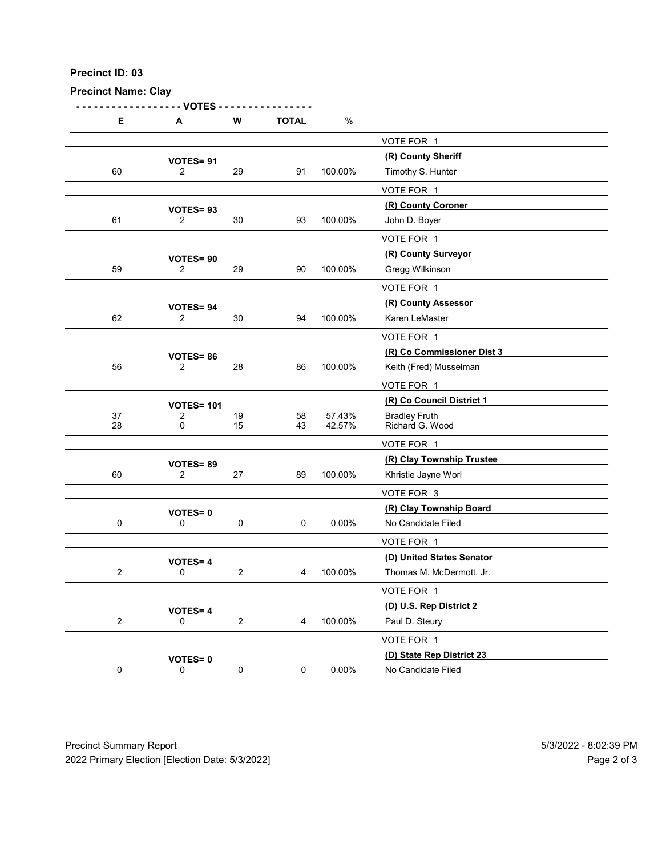Precinct Name: Clay

- - - - - - - - - - - - - - - - - - VOTES - - - - - - - - - - - - - - - - D: 03<br>
E A W TOTAL %<br>  $\frac{\sqrt{0} \text{TE FOR } 1}{2}$ <br>  $\frac{\sqrt{0} \text{TE FOR } 1}{2}$ <br>  $\frac{\sqrt{0} \text{TE FOR } 1}{2}$ <br>  $\frac{\sqrt{0} \text{TE FOR } 1}{2}$ <br>  $\frac{\sqrt{0} \text{TE FOR } 1}{2}$ <br>  $\frac{\sqrt{0} \text{TE FOR } 1}{2}$ <br>  $\frac{\sqrt{0} \text{TE FOR } 1}{2}$ <br>  $\frac{\sqrt{0} \text{TE FOR } 1}{2}$ VOTE FOR 1  $\begin{array}{r} \textbf{VOTES= 91} \\ \textbf{2} \end{array}$  29  $\begin{array}{r} \textbf{91} \end{array}$  100.00% Timothy S. Hunter 60 2 29 91 100.00% Timothy S. Hunter VOTE FOR 1 VOTES= 93<br>
2 30 93 100.00% John D. Boyer<br>
2 30 93 100.00% John D. Boyer 61 2 30 93 100.00% John D. Boyer VOTE FOR 1 (R) County Surveyor VOTES= <sup>90</sup> 59 2 29 90 100.00% Gregg Wilkinson VOTE FOR 1 VOTES= 94<br>
2 30 94 100.00% Karen LeMaster 62 2 30 94 100.00% Karen LeMaster VOTE FOR 1 (R) Co Commissioner Dist 3 VOTES= <sup>86</sup> 56 2 28 86 100.00% Keith (Fred) Musselman VOTE FOR 1 VOTES= 101<br>
2 19 19 58 57.43% Bradley Fruth 37 2 19 58 57.43% Bradley Fruth<br>28 0 15 43 42.57% Richard G. W Richard G. Wood VOTE FOR 1 VOTES= 89<br>
27 100.00% Khristie Jayne Worl<br>
2 27 39 100.00% Khristie Jayne Worl 60 2 27 89 100.00% Khristie Jayne Worl VOTE FOR 3 (R) Clay Township Board VOTES= <sup>0</sup> 0 0 0 0 0.00% No Candidate Filed VOTE FOR 1 VOTES= 4<br>
0
2
4
100.00%
Thomas M. McDermott, Jr. 2 0 2 4 100.00% Thomas M. McDermott, Jr. VOTE FOR 1 **VOTES= 4**  $\begin{array}{c} \textbf{(D) U.S. Rep District 2} \\ 0 \end{array}$  2  $\begin{array}{c} 4 \quad 100.00\% \end{array}$  Paul D. Steury 2 0 2 4 100.00% Paul D. Steury VOTE FOR 1 VOTES= 0<br>
0 0 0 0 0 0.00% No Candidate Filed<br>
0 0 0.00% No Candidate Filed 0 0 0 0 0 0.00% No Candidate Filed Precinct Summary Report<br>
Precinct Summary Report<br>
Precinct Summary Report<br>
Precinct Summary Report<br>
Precinct Summary Report<br>
Precinct Summary Report<br>
Precinct Summary Report<br>
Precinct Summary Report<br>
Precinct Summary Repor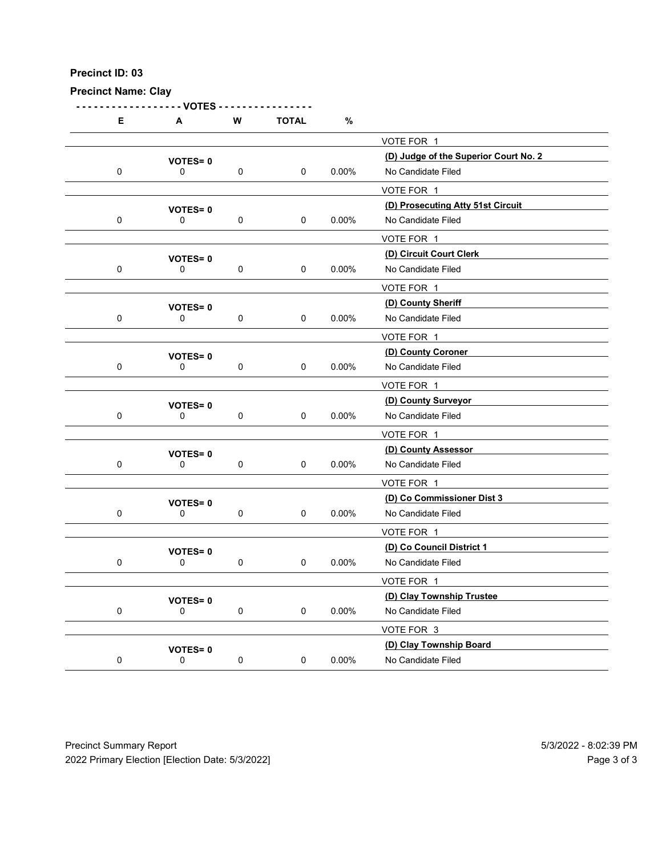| Precinct ID: 03<br><b>Precinct Name: Clay</b> |                                       |             |              |          |                                                                           |  |
|-----------------------------------------------|---------------------------------------|-------------|--------------|----------|---------------------------------------------------------------------------|--|
| E                                             | - VOTES -<br>A                        | ${\bf W}$   | <b>TOTAL</b> | $\%$     |                                                                           |  |
| $\mathbf 0$                                   | <b>VOTES=0</b><br>0                   | $\pmb{0}$   | $\mathsf 0$  | $0.00\%$ | VOTE FOR 1<br>(D) Judge of the Superior Court No. 2<br>No Candidate Filed |  |
| $\mathbf 0$                                   | <b>VOTES=0</b><br>0                   | $\mathbf 0$ | $\pmb{0}$    | $0.00\%$ | VOTE FOR 1<br>(D) Prosecuting Atty 51st Circuit<br>No Candidate Filed     |  |
| $\pmb{0}$                                     | <b>VOTES=0</b><br>0                   | 0           | $\pmb{0}$    | $0.00\%$ | VOTE FOR 1<br>(D) Circuit Court Clerk<br>No Candidate Filed               |  |
| 0                                             | <b>VOTES=0</b><br>0                   | $\pmb{0}$   | 0            | $0.00\%$ | VOTE FOR 1<br>(D) County Sheriff<br>No Candidate Filed                    |  |
| $\pmb{0}$                                     | <b>VOTES=0</b><br>$\pmb{0}$           | $\mathbf 0$ | 0            | $0.00\%$ | VOTE FOR 1<br>(D) County Coroner<br>No Candidate Filed                    |  |
| $\mathbf 0$                                   | <b>VOTES=0</b><br>$\mathsf{O}\xspace$ | $\mathbf 0$ | 0            | $0.00\%$ | VOTE FOR 1<br>(D) County Surveyor<br>No Candidate Filed<br>VOTE FOR 1     |  |
| $\pmb{0}$                                     | <b>VOTES=0</b><br>$\mathsf{O}\xspace$ | $\pmb{0}$   | 0            | $0.00\%$ | (D) County Assessor<br>No Candidate Filed                                 |  |
| $\pmb{0}$                                     | <b>VOTES=0</b><br>$\mathsf{O}\xspace$ | $\mathbf 0$ | 0            | $0.00\%$ | VOTE FOR 1<br>(D) Co Commissioner Dist 3<br>No Candidate Filed            |  |
| $\pmb{0}$                                     | <b>VOTES=0</b><br>$\mathsf{O}\xspace$ | $\pmb{0}$   | $\pmb{0}$    | $0.00\%$ | VOTE FOR 1<br>(D) Co Council District 1<br>No Candidate Filed             |  |
| $\pmb{0}$                                     | <b>VOTES=0</b><br>0                   | $\mathbf 0$ | $\mathsf 0$  | $0.00\%$ | VOTE FOR 1<br>(D) Clay Township Trustee<br>No Candidate Filed             |  |
| $\pmb{0}$                                     | <b>VOTES=0</b><br>$\mathsf{O}\xspace$ | $\pmb{0}$   | 0            | $0.00\%$ | VOTE FOR 3<br>(D) Clay Township Board<br>No Candidate Filed               |  |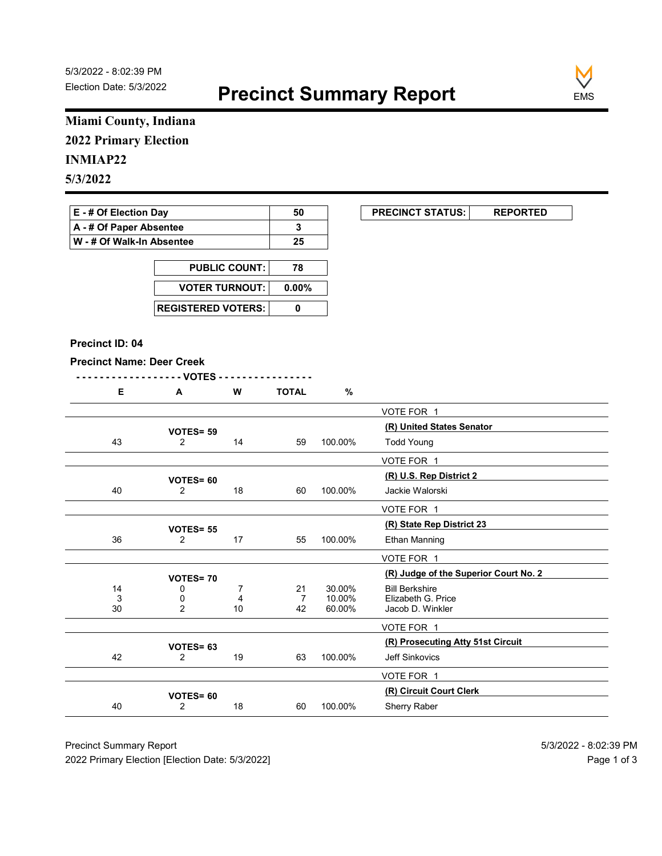

### Miami County, Indiana 2022 Primary Election

| E - # Of Election Day     | 50 | <b>PRECINCT STATUS:</b> |  |
|---------------------------|----|-------------------------|--|
| A - # Of Paper Absentee   |    |                         |  |
| W - # Of Walk-In Absentee | 25 |                         |  |

| <b>PUBLIC COUNT:</b>      | 78 |
|---------------------------|----|
| VOTER TURNOUT: 0.00%      |    |
| <b>REGISTERED VOTERS:</b> |    |

#### Precinct ID: 04

|--|

|  | <br>. . | <b>TOTAL</b> | о.<br>7 |
|--|---------|--------------|---------|
|  |         |              |         |

|                                  | Miami County, Indiana       |                      |                |         |                                                                |
|----------------------------------|-----------------------------|----------------------|----------------|---------|----------------------------------------------------------------|
| <b>2022 Primary Election</b>     |                             |                      |                |         |                                                                |
| <b>INMIAP22</b>                  |                             |                      |                |         |                                                                |
| 5/3/2022                         |                             |                      |                |         |                                                                |
|                                  |                             |                      |                |         |                                                                |
| E - # Of Election Day            |                             |                      | 50             |         | <b>PRECINCT STATUS:</b><br><b>REPORTED</b>                     |
| A - # Of Paper Absentee          |                             |                      | $\mathbf{3}$   |         |                                                                |
| W - # Of Walk-In Absentee        |                             |                      | 25             |         |                                                                |
|                                  |                             | <b>PUBLIC COUNT:</b> | 78             |         |                                                                |
|                                  | <b>VOTER TURNOUT:</b>       |                      | $0.00\%$       |         |                                                                |
|                                  |                             |                      |                |         |                                                                |
|                                  | <b>REGISTERED VOTERS:</b>   |                      | $\pmb{0}$      |         |                                                                |
|                                  |                             |                      |                |         |                                                                |
| Precinct ID: 04                  |                             |                      |                |         |                                                                |
| <b>Precinct Name: Deer Creek</b> | - - VOTES -                 |                      |                |         |                                                                |
| E                                | A                           | W                    | <b>TOTAL</b>   | $\%$    |                                                                |
|                                  |                             |                      |                |         | VOTE FOR 1                                                     |
|                                  | VOTES= 59                   |                      |                |         | (R) United States Senator                                      |
| 43                               | $\overline{2}$              | 14                   | 59             | 100.00% | <b>Todd Young</b>                                              |
|                                  |                             |                      |                |         | VOTE FOR 1                                                     |
|                                  | <b>VOTES= 60</b>            |                      |                |         | (R) U.S. Rep District 2                                        |
| 40                               | $\overline{2}$              | 18                   | 60             | 100.00% | Jackie Walorski                                                |
|                                  |                             |                      |                |         | VOTE FOR 1                                                     |
|                                  | <b>VOTES= 55</b>            |                      |                |         | (R) State Rep District 23                                      |
| 36                               | $\overline{2}$              | 17                   | 55             | 100.00% | Ethan Manning                                                  |
|                                  |                             |                      |                |         | VOTE FOR 1                                                     |
| 14                               | <b>VOTES=70</b><br>0        | $\overline{7}$       | 21             | 30.00%  | (R) Judge of the Superior Court No. 2<br><b>Bill Berkshire</b> |
| 3                                | 0                           | 4                    | $\overline{7}$ | 10.00%  | Elizabeth G. Price                                             |
| $30\,$                           | $\overline{2}$              | $10\,$               | 42             | 60.00%  | Jacob D. Winkler                                               |
|                                  |                             |                      |                |         | VOTE FOR 1<br>(R) Prosecuting Atty 51st Circuit                |
| 42                               | VOTES= 63<br>$\overline{2}$ | 19                   | 63             | 100.00% | Jeff Sinkovics                                                 |
|                                  |                             |                      |                |         | VOTE FOR 1                                                     |
|                                  |                             |                      |                |         | (R) Circuit Court Clerk                                        |
|                                  | VOTES= 60<br>$\overline{2}$ | 18                   | 60             | 100.00% | Sherry Raber                                                   |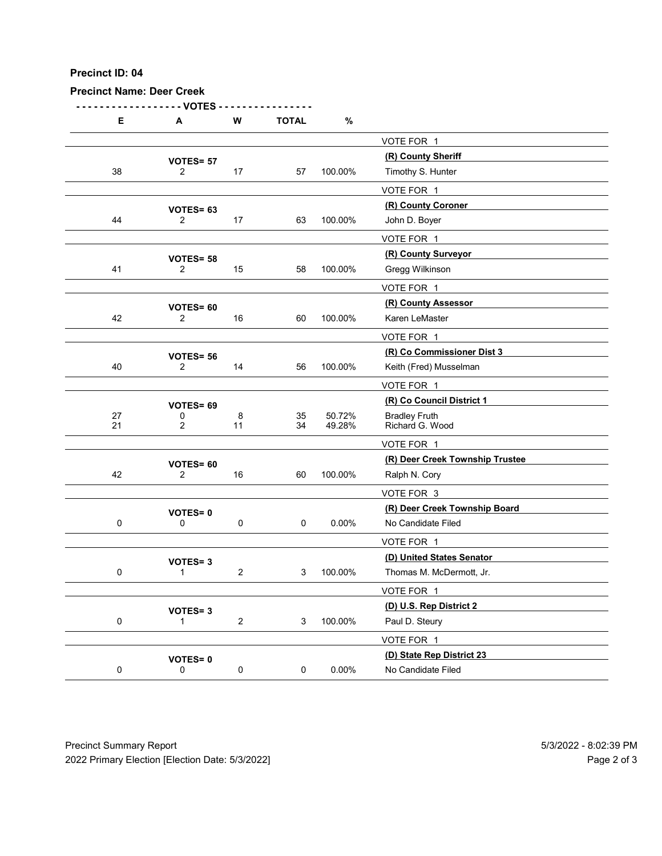| Precinct ID: 04                  |                                  |                |                |                  |                                                  |  |
|----------------------------------|----------------------------------|----------------|----------------|------------------|--------------------------------------------------|--|
| <b>Precinct Name: Deer Creek</b> | - VOTES                          |                |                |                  |                                                  |  |
| Е                                | A                                | ${\bf W}$      | <b>TOTAL</b>   | $\%$             |                                                  |  |
|                                  | VOTES= 57                        |                |                |                  | VOTE FOR 1<br>(R) County Sheriff                 |  |
| $38\,$                           | $\overline{2}$                   | 17             | 57             | 100.00%          | Timothy S. Hunter                                |  |
|                                  |                                  |                |                |                  | VOTE FOR 1                                       |  |
| 44                               | VOTES= 63<br>$\overline{2}$      | 17             | 63             | 100.00%          | (R) County Coroner<br>John D. Boyer              |  |
|                                  |                                  |                |                |                  | VOTE FOR 1                                       |  |
|                                  | VOTES= 58                        |                |                |                  | (R) County Surveyor                              |  |
| 41                               | $\overline{2}$                   | 15             | 58             | 100.00%          | Gregg Wilkinson<br>VOTE FOR 1                    |  |
|                                  | VOTES= 60                        |                |                |                  | (R) County Assessor                              |  |
| 42                               | $\overline{2}$                   | 16             | 60             | 100.00%          | Karen LeMaster                                   |  |
|                                  |                                  |                |                |                  | VOTE FOR 1<br>(R) Co Commissioner Dist 3         |  |
| 40                               | VOTES= 56<br>$\overline{2}$      | 14             | 56             | 100.00%          | Keith (Fred) Musselman                           |  |
|                                  |                                  |                |                |                  | VOTE FOR 1                                       |  |
|                                  | VOTES= 69                        |                |                |                  | (R) Co Council District 1                        |  |
| 27<br>21                         | $\pmb{0}$<br>$\overline{2}$      | 8<br>11        | 35<br>34       | 50.72%<br>49.28% | Bradley Fruth<br>Richard G. Wood                 |  |
|                                  |                                  |                |                |                  | VOTE FOR 1                                       |  |
| 42                               | VOTES= 60<br>$\overline{2}$      | 16             | 60             | 100.00%          | (R) Deer Creek Township Trustee<br>Ralph N. Cory |  |
|                                  |                                  |                |                |                  | VOTE FOR 3                                       |  |
|                                  | <b>VOTES=0</b>                   |                |                |                  | (R) Deer Creek Township Board                    |  |
| $\mathbf 0$                      | $\mathsf 0$                      | $\mathbf 0$    | $\mathbf 0$    | $0.00\%$         | No Candidate Filed                               |  |
|                                  |                                  |                |                |                  | VOTE FOR 1<br>(D) United States Senator          |  |
| $\mathbf 0$                      | <b>VOTES=3</b><br>$\mathbf{1}$   | $\overline{2}$ | 3 <sup>7</sup> | 100.00%          | Thomas M. McDermott, Jr.                         |  |
|                                  |                                  |                |                |                  | VOTE FOR 1                                       |  |
| $\mathbf 0$                      | <b>VOTES=3</b><br>$\overline{1}$ | $\overline{2}$ | 3              | 100.00%          | (D) U.S. Rep District 2<br>Paul D. Steury        |  |
|                                  |                                  |                |                |                  | VOTE FOR 1                                       |  |
|                                  | <b>VOTES=0</b>                   |                |                |                  | (D) State Rep District 23                        |  |
| $\mathbf 0$                      | $\mathsf{O}$                     | $\mathbf 0$    | 0              | $0.00\%$         | No Candidate Filed                               |  |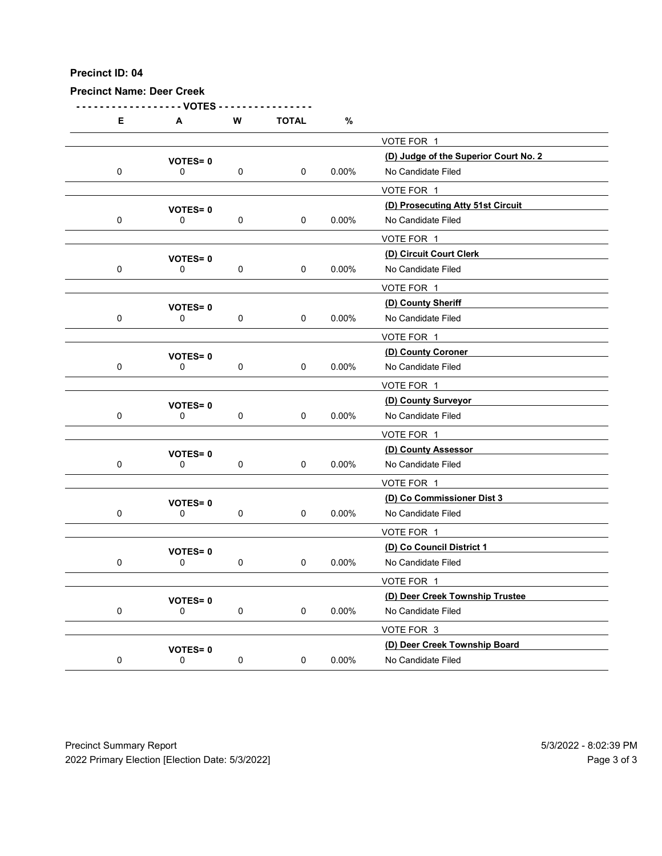| Precinct ID: 04                  |                                                 |             |              |          |                                                 |                       |
|----------------------------------|-------------------------------------------------|-------------|--------------|----------|-------------------------------------------------|-----------------------|
| <b>Precinct Name: Deer Creek</b> |                                                 |             |              |          |                                                 |                       |
| Е                                | - VOTES<br>A                                    | W           | <b>TOTAL</b> | $\%$     |                                                 |                       |
|                                  |                                                 |             |              |          | VOTE FOR 1                                      |                       |
|                                  | <b>VOTES=0</b>                                  |             |              |          | (D) Judge of the Superior Court No. 2           |                       |
| $\mathbf 0$                      | 0                                               | $\pmb{0}$   | 0            | 0.00%    | No Candidate Filed<br>VOTE FOR 1                |                       |
|                                  | <b>VOTES=0</b>                                  |             |              |          | (D) Prosecuting Atty 51st Circuit               |                       |
| $\mathbf 0$                      | 0                                               | $\pmb{0}$   | 0            | 0.00%    | No Candidate Filed                              |                       |
|                                  |                                                 |             |              |          | VOTE FOR 1                                      |                       |
| $\mathbf 0$                      | <b>VOTES=0</b><br>0                             | $\pmb{0}$   | 0            | 0.00%    | (D) Circuit Court Clerk<br>No Candidate Filed   |                       |
|                                  |                                                 |             |              |          | VOTE FOR 1                                      |                       |
|                                  | <b>VOTES=0</b>                                  |             |              |          | (D) County Sheriff                              |                       |
| $\mathbf 0$                      | 0                                               | 0           | 0            | 0.00%    | No Candidate Filed                              |                       |
|                                  |                                                 |             |              |          | VOTE FOR 1                                      |                       |
| $\mathbf 0$                      | <b>VOTES=0</b><br>0                             | $\mathbf 0$ | 0            | $0.00\%$ | (D) County Coroner<br>No Candidate Filed        |                       |
|                                  |                                                 |             |              |          | VOTE FOR 1                                      |                       |
|                                  | <b>VOTES=0</b>                                  |             |              |          | (D) County Surveyor                             |                       |
| $\mathbf 0$                      | $\mathbf 0$                                     | $\pmb{0}$   | $\mathbf 0$  | 0.00%    | No Candidate Filed                              |                       |
|                                  |                                                 |             |              |          | VOTE FOR 1                                      |                       |
| $\mathbf 0$                      | <b>VOTES=0</b><br>$\mathsf{O}\xspace$           | $\pmb{0}$   | 0            | $0.00\%$ | (D) County Assessor<br>No Candidate Filed       |                       |
|                                  |                                                 |             |              |          | VOTE FOR 1                                      |                       |
|                                  | <b>VOTES=0</b>                                  |             |              |          | (D) Co Commissioner Dist 3                      |                       |
| $\mathbf 0$                      | 0                                               | $\mathbf 0$ | 0            | $0.00\%$ | No Candidate Filed                              |                       |
|                                  |                                                 |             |              |          | VOTE FOR 1                                      |                       |
| $\mathbf 0$                      | VOTES=0<br>$\mathbf 0$                          | $\mathbf 0$ | $\mathsf 0$  | $0.00\%$ | (D) Co Council District 1<br>No Candidate Filed |                       |
|                                  |                                                 |             |              |          | VOTE FOR 1                                      |                       |
|                                  | <b>VOTES=0</b>                                  |             |              |          | (D) Deer Creek Township Trustee                 |                       |
| $\mathbf 0$                      | 0                                               | $\mathbf 0$ | $\mathbf 0$  | $0.00\%$ | No Candidate Filed                              |                       |
|                                  |                                                 |             |              |          | VOTE FOR 3                                      |                       |
|                                  | <b>VOTES=0</b>                                  |             |              |          | (D) Deer Creek Township Board                   |                       |
| $\mathbf 0$                      | $\mathsf{O}\xspace$                             | $\pmb{0}$   | $\mathbf 0$  | $0.00\%$ | No Candidate Filed                              |                       |
| <b>Precinct Summary Report</b>   | 2022 Primary Election [Election Date: 5/3/2022] |             |              |          |                                                 | 5/3/2022 - 8:02:39 PM |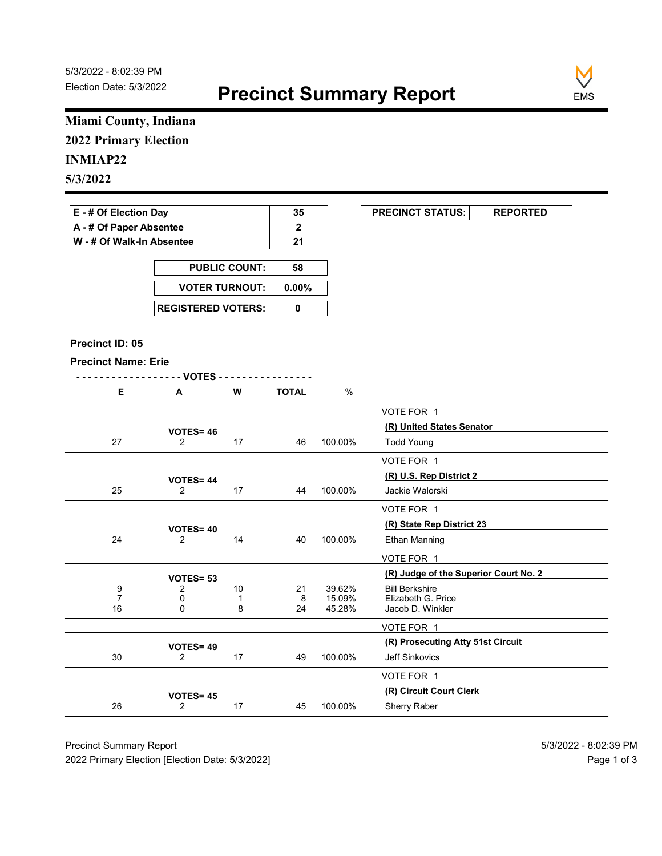

### Miami County, Indiana 2022 Primary Election

| E - # Of Election Day       | 35 | <b>PRECINCT STATUS:</b> |  |
|-----------------------------|----|-------------------------|--|
| A - # Of Paper Absentee     |    |                         |  |
| ∣ W - # Of Walk-In Absentee | 21 |                         |  |

| <b>PUBLIC COUNT:</b>        | 58 |
|-----------------------------|----|
| VOTER TURNOUT: 0.00%        |    |
| <b>REGISTERED VOTERS: I</b> |    |

#### Precinct ID: 05

```
- - - - - - - - - - - - - - - - - - VOTES - - - - - - - - - - - - - - - -
```

|  | W | <b>TOTAL</b> |  |
|--|---|--------------|--|
|  |   |              |  |

|                              | Miami County, Indiana       |                      |              |                  |                                                                |
|------------------------------|-----------------------------|----------------------|--------------|------------------|----------------------------------------------------------------|
| <b>2022 Primary Election</b> |                             |                      |              |                  |                                                                |
| <b>INMIAP22</b>              |                             |                      |              |                  |                                                                |
| 5/3/2022                     |                             |                      |              |                  |                                                                |
|                              |                             |                      |              |                  |                                                                |
| E - # Of Election Day        |                             |                      | 35           |                  | <b>PRECINCT STATUS:</b><br><b>REPORTED</b>                     |
| A - # Of Paper Absentee      |                             |                      | $\mathbf{2}$ |                  |                                                                |
| W - # Of Walk-In Absentee    |                             |                      | 21           |                  |                                                                |
|                              |                             | <b>PUBLIC COUNT:</b> | 58           |                  |                                                                |
|                              | <b>VOTER TURNOUT:</b>       |                      | $0.00\%$     |                  |                                                                |
|                              |                             |                      |              |                  |                                                                |
|                              | <b>REGISTERED VOTERS:</b>   |                      | $\pmb{0}$    |                  |                                                                |
| Precinct ID: 05              |                             |                      |              |                  |                                                                |
| <b>Precinct Name: Erie</b>   |                             |                      |              |                  |                                                                |
|                              | - - VOTES -                 |                      |              |                  |                                                                |
| E                            | A                           | W                    | <b>TOTAL</b> | $\%$             |                                                                |
|                              |                             |                      |              |                  | VOTE FOR 1                                                     |
|                              | <b>VOTES=46</b>             |                      |              |                  | (R) United States Senator                                      |
| 27                           | $\overline{2}$              | 17                   | 46           | 100.00%          | <b>Todd Young</b>                                              |
|                              |                             |                      |              |                  | VOTE FOR 1                                                     |
|                              | <b>VOTES=44</b>             |                      |              |                  | (R) U.S. Rep District 2                                        |
| 25                           | $\overline{2}$              | 17                   | 44           | 100.00%          | Jackie Walorski                                                |
|                              |                             |                      |              |                  | VOTE FOR 1                                                     |
|                              | <b>VOTES= 40</b>            |                      |              |                  | (R) State Rep District 23                                      |
| 24                           | $\overline{2}$              | 14                   | 40           | 100.00%          | <b>Ethan Manning</b>                                           |
|                              |                             |                      |              |                  | VOTE FOR 1                                                     |
| 9                            | VOTES= 53<br>$\overline{2}$ | 10                   | 21           | 39.62%           | (R) Judge of the Superior Court No. 2<br><b>Bill Berkshire</b> |
| $\overline{7}$<br>$16\,$     | 0                           | $\mathbf{1}$         | 8<br>24      | 15.09%<br>45.28% | Elizabeth G. Price                                             |
|                              | $\mathbf 0$                 | 8                    |              |                  | Jacob D. Winkler                                               |
|                              |                             |                      |              |                  | VOTE FOR 1<br>(R) Prosecuting Atty 51st Circuit                |
| $30\,$                       | VOTES=49<br>$\overline{2}$  | 17                   | 49           | 100.00%          | Jeff Sinkovics                                                 |
|                              |                             |                      |              |                  | VOTE FOR 1                                                     |
|                              | <b>VOTES= 45</b>            |                      |              |                  | (R) Circuit Court Clerk                                        |
|                              | $\overline{2}$              | 17                   | 45           | 100.00%          | Sherry Raber                                                   |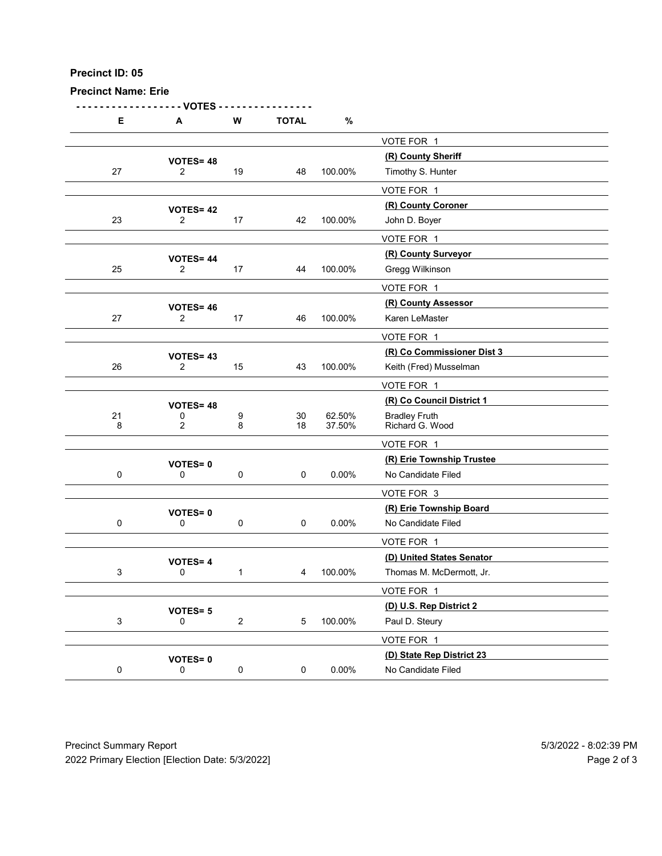Precinct Name: Erie

- - - - - - - - - - - - - - - - - - VOTES - - - - - - - - - - - - - - - - D: 05<br>
E A W TOTAL %<br>  $\frac{\text{VOTE FOR 1}}{2}$ <br>
YOTES = 48<br>  $\frac{\text{VOTE FOR 1}}{2}$ <br>  $\frac{\text{VOTE FOR 1}}{2}$ <br>  $\frac{\text{VOTE FOR 1}}{2}$ <br>  $\frac{\text{NOUS, Hunter}}{2}$ <br>  $\frac{\text{NOUS, Hunter}}{\text{NOUS, Hunter}}$ VOTE FOR 1 **VOTES= 48**  $\frac{(R)$  County Sheriff  $\frac{(R)}{2}$  19  $\frac{48}{100.00\%}$  Timothy S. Hunter 27 2 19 48 100.00% Timothy S. Hunter VOTE FOR 1  $VOTES = 42$ <br>  $2$   $17$   $42$   $100.00\%$  John D. Bover 23 2 17 42 100.00% John D. Boyer VOTE FOR 1 VOTES= 44<br>
2 17 17 44 100.00% Gregg Wilkinson 25 2 17 44 100.00% Gregg Wilkinson VOTE FOR 1 VOTES= 46<br>
2 17 17 46 100.00% Karen LeMaster 27 2 17 46 100.00% Karen LeMaster VOTE FOR 1 (R) Co Commissioner Dist 3 VOTES= <sup>43</sup> 26 2 15 43 100.00% Keith (Fred) Musselman VOTE FOR 1 **VOTES= 48**  $\frac{(R) Co Council District 1}{0}$  9 30 62.50% Bradley Fruth 21 0 9 30 62.50% Bradley Fruth<br>8 2 8 18 37.50% Richard G. We Richard G. Wood VOTE FOR 1 (R) Erie Township Trustee VOTES= <sup>0</sup> 0 0 0 0 0 0.00% No Candidate Filed VOTE FOR 3 (R) Erie Township Board VOTES= <sup>0</sup> 0 0 0 0 0.00% No Candidate Filed VOTE FOR 1 VOTES= 4<br>
0
1
1
4
100.00%
Thomas M. McDermott, Jr. 3 0 1 4 100.00% Thomas M. McDermott, Jr. VOTE FOR 1 **VOTES= 5**<br>0  $2$  5 100.00% Paul D. Steury 3 0 2 5 100.00% Paul D. Steury VOTE FOR 1 VOTES= 0<br>
0 0 0 0 0 0.00% No Candidate Filed<br>
0 0 0.00% No Candidate Filed 0 0 0 0 0 0.00% No Candidate Filed Precinct Summary Report<br>
Precinct Summary Report<br>
Precinct Summary Report<br>
Precinct Summary Report<br>
Precinct Summary Report<br>
Precinct Summary Report<br>
Precinct Summary Report<br>
Precinct Summary Report<br>
Precinct Summary Repor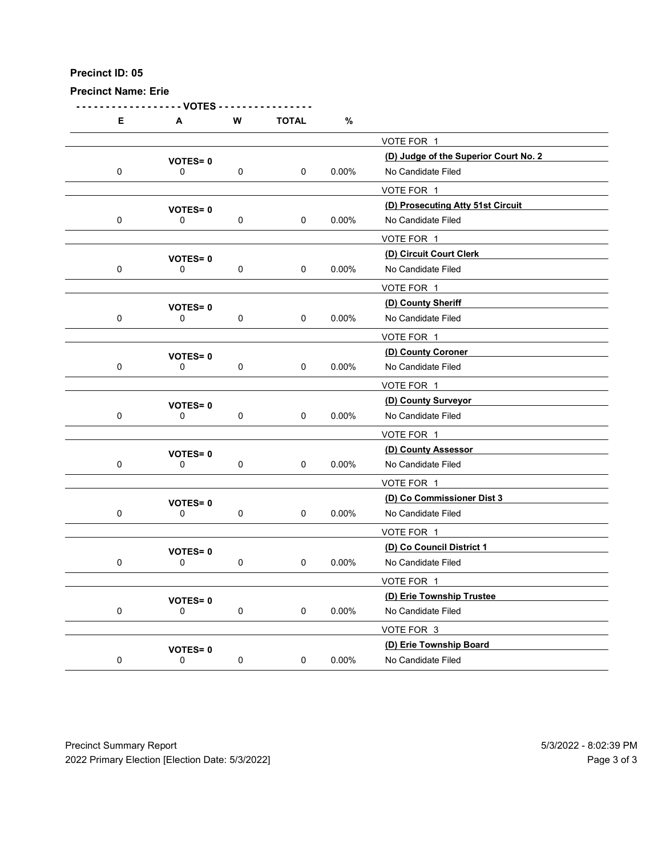| Precinct ID: 05<br><b>Precinct Name: Erie</b> |                                       |             |              |          |                                                                       |  |
|-----------------------------------------------|---------------------------------------|-------------|--------------|----------|-----------------------------------------------------------------------|--|
| E                                             | - VOTES -<br>A                        | ${\bf W}$   | <b>TOTAL</b> | $\%$     |                                                                       |  |
|                                               | <b>VOTES=0</b>                        |             |              |          | VOTE FOR 1<br>(D) Judge of the Superior Court No. 2                   |  |
| $\mathbf 0$                                   | 0<br><b>VOTES=0</b>                   | $\pmb{0}$   | $\mathsf 0$  | $0.00\%$ | No Candidate Filed<br>VOTE FOR 1<br>(D) Prosecuting Atty 51st Circuit |  |
| $\mathbf 0$                                   | 0                                     | $\mathbf 0$ | $\pmb{0}$    | $0.00\%$ | No Candidate Filed<br>VOTE FOR 1                                      |  |
| $\pmb{0}$                                     | <b>VOTES=0</b><br>0                   | 0           | $\pmb{0}$    | $0.00\%$ | (D) Circuit Court Clerk<br>No Candidate Filed                         |  |
| 0                                             | <b>VOTES=0</b><br>0                   | $\pmb{0}$   | 0            | $0.00\%$ | VOTE FOR 1<br>(D) County Sheriff<br>No Candidate Filed                |  |
| $\pmb{0}$                                     | <b>VOTES=0</b><br>$\pmb{0}$           | $\mathbf 0$ | 0            | $0.00\%$ | VOTE FOR 1<br>(D) County Coroner<br>No Candidate Filed                |  |
|                                               | <b>VOTES=0</b>                        |             |              |          | VOTE FOR 1<br>(D) County Surveyor                                     |  |
| $\mathbf 0$                                   | $\mathsf{O}\xspace$<br><b>VOTES=0</b> | $\mathbf 0$ | 0            | $0.00\%$ | No Candidate Filed<br>VOTE FOR 1<br>(D) County Assessor               |  |
| $\pmb{0}$                                     | $\mathsf{O}\xspace$                   | $\pmb{0}$   | 0            | $0.00\%$ | No Candidate Filed<br>VOTE FOR 1                                      |  |
| $\pmb{0}$                                     | <b>VOTES=0</b><br>$\mathsf{O}\xspace$ | $\mathbf 0$ | 0            | $0.00\%$ | (D) Co Commissioner Dist 3<br>No Candidate Filed<br>VOTE FOR 1        |  |
| $\pmb{0}$                                     | <b>VOTES=0</b><br>$\mathsf{O}\xspace$ | $\mathbf 0$ | $\pmb{0}$    | $0.00\%$ | (D) Co Council District 1<br>No Candidate Filed                       |  |
| $\pmb{0}$                                     | <b>VOTES=0</b><br>0                   | $\mathbf 0$ | $\mathsf 0$  | $0.00\%$ | VOTE FOR 1<br>(D) Erie Township Trustee<br>No Candidate Filed         |  |
| $\pmb{0}$                                     | <b>VOTES=0</b><br>$\mathsf{O}\xspace$ | $\pmb{0}$   | 0            | $0.00\%$ | VOTE FOR 3<br>(D) Erie Township Board<br>No Candidate Filed           |  |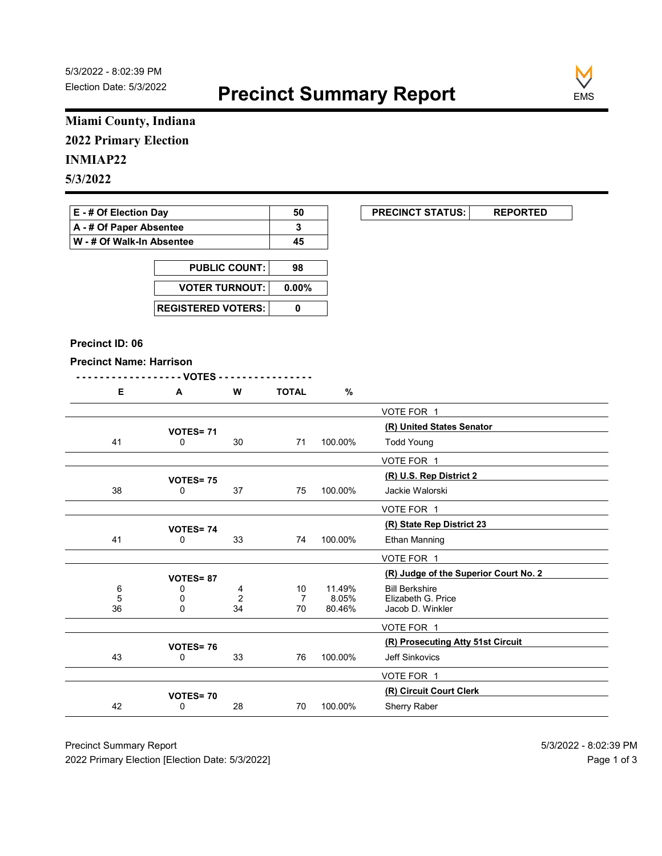

### Miami County, Indiana 2022 Primary Election

### INMIAP22

| E - # Of Election Day       | 50 | <b>PRECINCT STATUS:</b> |  |
|-----------------------------|----|-------------------------|--|
| A - # Of Paper Absentee     |    |                         |  |
| ∣ W - # Of Walk-In Absentee | 45 |                         |  |

| <b>PUBLIC COUNT:</b> | 98 |
|----------------------|----|
| VOTER TURNOUT: 0.00% |    |
|                      |    |

#### Precinct ID: 06

| . .<br>.<br><br>. |
|-------------------|
|-------------------|

| Miami County, Indiana<br><b>2022 Primary Election</b><br>E - # Of Election Day<br>50<br><b>PRECINCT STATUS:</b><br><b>REPORTED</b><br>A - # Of Paper Absentee<br>3<br>W - # Of Walk-In Absentee<br>45<br><b>PUBLIC COUNT:</b><br>98<br><b>VOTER TURNOUT:</b><br>$0.00\%$<br><b>REGISTERED VOTERS:</b><br>$\mathbf 0$<br>Precinct ID: 06<br><b>Precinct Name: Harrison</b><br>- - - - - VOTES -<br>.<br>Е<br>$\mathsf{A}$<br>W<br><b>TOTAL</b><br>$\%$<br>VOTE FOR 1<br>(R) United States Senator<br><b>VOTES= 71</b><br>41<br>0<br>30<br>100.00%<br><b>Todd Young</b><br>71<br>VOTE FOR 1<br>(R) U.S. Rep District 2<br>VOTES=75<br>$37\,$<br>38<br>0<br>100.00%<br>Jackie Walorski<br>75<br>VOTE FOR 1<br>(R) State Rep District 23<br><b>VOTES= 74</b><br>41<br>33<br>100.00%<br>0<br>74<br>Ethan Manning<br>VOTE FOR 1<br>(R) Judge of the Superior Court No. 2<br><b>VOTES=87</b><br>6<br>11.49%<br>0<br>4<br>10<br><b>Bill Berkshire</b><br>Elizabeth G. Price<br>$\overline{7}$<br>8.05%<br>$\sqrt{5}$<br>$\mathbf 0$<br>$\overline{c}$<br>36<br>34<br>80.46%<br>$\mathsf 0$<br>$70\,$<br>Jacob D. Winkler<br>VOTE FOR 1<br>(R) Prosecuting Atty 51st Circuit<br>VOTES=76<br>100.00%<br>43<br>0<br>33<br>76<br>Jeff Sinkovics |
|-------------------------------------------------------------------------------------------------------------------------------------------------------------------------------------------------------------------------------------------------------------------------------------------------------------------------------------------------------------------------------------------------------------------------------------------------------------------------------------------------------------------------------------------------------------------------------------------------------------------------------------------------------------------------------------------------------------------------------------------------------------------------------------------------------------------------------------------------------------------------------------------------------------------------------------------------------------------------------------------------------------------------------------------------------------------------------------------------------------------------------------------------------------------------------------------------------------------------------------|
| <b>INMIAP22</b>                                                                                                                                                                                                                                                                                                                                                                                                                                                                                                                                                                                                                                                                                                                                                                                                                                                                                                                                                                                                                                                                                                                                                                                                                     |
| 5/3/2022                                                                                                                                                                                                                                                                                                                                                                                                                                                                                                                                                                                                                                                                                                                                                                                                                                                                                                                                                                                                                                                                                                                                                                                                                            |
|                                                                                                                                                                                                                                                                                                                                                                                                                                                                                                                                                                                                                                                                                                                                                                                                                                                                                                                                                                                                                                                                                                                                                                                                                                     |
|                                                                                                                                                                                                                                                                                                                                                                                                                                                                                                                                                                                                                                                                                                                                                                                                                                                                                                                                                                                                                                                                                                                                                                                                                                     |
|                                                                                                                                                                                                                                                                                                                                                                                                                                                                                                                                                                                                                                                                                                                                                                                                                                                                                                                                                                                                                                                                                                                                                                                                                                     |
|                                                                                                                                                                                                                                                                                                                                                                                                                                                                                                                                                                                                                                                                                                                                                                                                                                                                                                                                                                                                                                                                                                                                                                                                                                     |
|                                                                                                                                                                                                                                                                                                                                                                                                                                                                                                                                                                                                                                                                                                                                                                                                                                                                                                                                                                                                                                                                                                                                                                                                                                     |
|                                                                                                                                                                                                                                                                                                                                                                                                                                                                                                                                                                                                                                                                                                                                                                                                                                                                                                                                                                                                                                                                                                                                                                                                                                     |
|                                                                                                                                                                                                                                                                                                                                                                                                                                                                                                                                                                                                                                                                                                                                                                                                                                                                                                                                                                                                                                                                                                                                                                                                                                     |
|                                                                                                                                                                                                                                                                                                                                                                                                                                                                                                                                                                                                                                                                                                                                                                                                                                                                                                                                                                                                                                                                                                                                                                                                                                     |
|                                                                                                                                                                                                                                                                                                                                                                                                                                                                                                                                                                                                                                                                                                                                                                                                                                                                                                                                                                                                                                                                                                                                                                                                                                     |
|                                                                                                                                                                                                                                                                                                                                                                                                                                                                                                                                                                                                                                                                                                                                                                                                                                                                                                                                                                                                                                                                                                                                                                                                                                     |
|                                                                                                                                                                                                                                                                                                                                                                                                                                                                                                                                                                                                                                                                                                                                                                                                                                                                                                                                                                                                                                                                                                                                                                                                                                     |
|                                                                                                                                                                                                                                                                                                                                                                                                                                                                                                                                                                                                                                                                                                                                                                                                                                                                                                                                                                                                                                                                                                                                                                                                                                     |
|                                                                                                                                                                                                                                                                                                                                                                                                                                                                                                                                                                                                                                                                                                                                                                                                                                                                                                                                                                                                                                                                                                                                                                                                                                     |
|                                                                                                                                                                                                                                                                                                                                                                                                                                                                                                                                                                                                                                                                                                                                                                                                                                                                                                                                                                                                                                                                                                                                                                                                                                     |
|                                                                                                                                                                                                                                                                                                                                                                                                                                                                                                                                                                                                                                                                                                                                                                                                                                                                                                                                                                                                                                                                                                                                                                                                                                     |
|                                                                                                                                                                                                                                                                                                                                                                                                                                                                                                                                                                                                                                                                                                                                                                                                                                                                                                                                                                                                                                                                                                                                                                                                                                     |
|                                                                                                                                                                                                                                                                                                                                                                                                                                                                                                                                                                                                                                                                                                                                                                                                                                                                                                                                                                                                                                                                                                                                                                                                                                     |
|                                                                                                                                                                                                                                                                                                                                                                                                                                                                                                                                                                                                                                                                                                                                                                                                                                                                                                                                                                                                                                                                                                                                                                                                                                     |
|                                                                                                                                                                                                                                                                                                                                                                                                                                                                                                                                                                                                                                                                                                                                                                                                                                                                                                                                                                                                                                                                                                                                                                                                                                     |
|                                                                                                                                                                                                                                                                                                                                                                                                                                                                                                                                                                                                                                                                                                                                                                                                                                                                                                                                                                                                                                                                                                                                                                                                                                     |
|                                                                                                                                                                                                                                                                                                                                                                                                                                                                                                                                                                                                                                                                                                                                                                                                                                                                                                                                                                                                                                                                                                                                                                                                                                     |
|                                                                                                                                                                                                                                                                                                                                                                                                                                                                                                                                                                                                                                                                                                                                                                                                                                                                                                                                                                                                                                                                                                                                                                                                                                     |
|                                                                                                                                                                                                                                                                                                                                                                                                                                                                                                                                                                                                                                                                                                                                                                                                                                                                                                                                                                                                                                                                                                                                                                                                                                     |
|                                                                                                                                                                                                                                                                                                                                                                                                                                                                                                                                                                                                                                                                                                                                                                                                                                                                                                                                                                                                                                                                                                                                                                                                                                     |
|                                                                                                                                                                                                                                                                                                                                                                                                                                                                                                                                                                                                                                                                                                                                                                                                                                                                                                                                                                                                                                                                                                                                                                                                                                     |
|                                                                                                                                                                                                                                                                                                                                                                                                                                                                                                                                                                                                                                                                                                                                                                                                                                                                                                                                                                                                                                                                                                                                                                                                                                     |
|                                                                                                                                                                                                                                                                                                                                                                                                                                                                                                                                                                                                                                                                                                                                                                                                                                                                                                                                                                                                                                                                                                                                                                                                                                     |
|                                                                                                                                                                                                                                                                                                                                                                                                                                                                                                                                                                                                                                                                                                                                                                                                                                                                                                                                                                                                                                                                                                                                                                                                                                     |
|                                                                                                                                                                                                                                                                                                                                                                                                                                                                                                                                                                                                                                                                                                                                                                                                                                                                                                                                                                                                                                                                                                                                                                                                                                     |
| VOTE FOR 1                                                                                                                                                                                                                                                                                                                                                                                                                                                                                                                                                                                                                                                                                                                                                                                                                                                                                                                                                                                                                                                                                                                                                                                                                          |
| (R) Circuit Court Clerk                                                                                                                                                                                                                                                                                                                                                                                                                                                                                                                                                                                                                                                                                                                                                                                                                                                                                                                                                                                                                                                                                                                                                                                                             |
| <b>VOTES= 70</b><br>28<br>Sherry Raber<br>42<br>$\mathbf 0$<br>70<br>100.00%                                                                                                                                                                                                                                                                                                                                                                                                                                                                                                                                                                                                                                                                                                                                                                                                                                                                                                                                                                                                                                                                                                                                                        |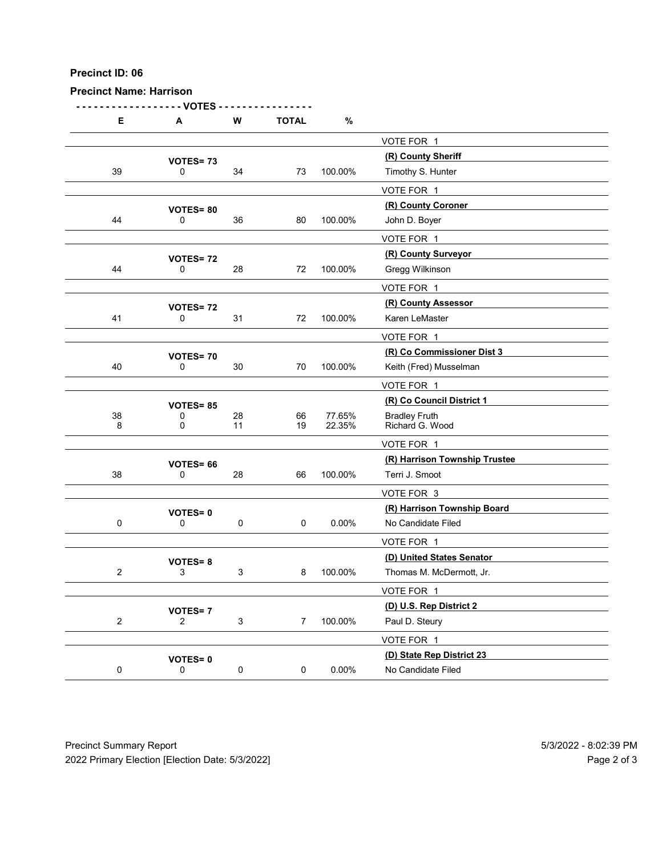| Precinct ID: 06<br><b>Precinct Name: Harrison</b> |                                |                           |                |          |                                                 |  |
|---------------------------------------------------|--------------------------------|---------------------------|----------------|----------|-------------------------------------------------|--|
|                                                   |                                |                           |                |          |                                                 |  |
|                                                   | - VOTES                        |                           |                |          |                                                 |  |
| E                                                 | A                              | ${\bf W}$                 | <b>TOTAL</b>   | $\%$     |                                                 |  |
|                                                   |                                |                           |                |          | VOTE FOR 1                                      |  |
| $39\,$                                            | VOTES=73<br>0                  | 34                        | 73             | 100.00%  | (R) County Sheriff<br>Timothy S. Hunter         |  |
|                                                   |                                |                           |                |          | VOTE FOR 1                                      |  |
|                                                   | <b>VOTES=80</b>                |                           |                |          | (R) County Coroner                              |  |
| 44                                                | 0                              | 36                        | 80             | 100.00%  | John D. Boyer                                   |  |
|                                                   |                                |                           |                |          | VOTE FOR 1<br>(R) County Surveyor               |  |
| 44                                                | VOTES=72<br>0                  | 28                        | 72             | 100.00%  | Gregg Wilkinson                                 |  |
|                                                   |                                |                           |                |          | VOTE FOR 1                                      |  |
|                                                   | <b>VOTES=72</b>                |                           |                |          | (R) County Assessor                             |  |
| 41                                                | 0                              | 31                        | 72             | 100.00%  | Karen LeMaster                                  |  |
|                                                   |                                |                           |                |          | VOTE FOR 1<br>(R) Co Commissioner Dist 3        |  |
| 40                                                | VOTES=70<br>0                  | $30\,$                    | 70             | 100.00%  | Keith (Fred) Musselman                          |  |
|                                                   |                                |                           |                |          | VOTE FOR 1                                      |  |
|                                                   | <b>VOTES= 85</b><br>0          | $28\,$                    | 66             | 77.65%   | (R) Co Council District 1                       |  |
| $\begin{array}{c} 38 \\ 8 \end{array}$            | $\mathbf 0$                    | 11                        | 19             | 22.35%   | Bradley Fruth<br>Richard G. Wood                |  |
|                                                   |                                |                           |                |          | VOTE FOR 1                                      |  |
| $38\,$                                            | VOTES= 66<br>$\mathsf{O}$      | 28                        | 66             | 100.00%  | (R) Harrison Township Trustee<br>Terri J. Smoot |  |
|                                                   |                                |                           |                |          | VOTE FOR 3                                      |  |
|                                                   | <b>VOTES=0</b>                 |                           |                |          | (R) Harrison Township Board                     |  |
| $\mathbf 0$                                       | $\mathsf 0$                    | $\mathbf 0$               | $\mathbf 0$    | $0.00\%$ | No Candidate Filed                              |  |
|                                                   |                                |                           |                |          | VOTE FOR 1<br>(D) United States Senator         |  |
| $\overline{2}$                                    | <b>VOTES=8</b><br>3            | $\mathbf{3}$              | 8              | 100.00%  | Thomas M. McDermott, Jr.                        |  |
|                                                   |                                |                           |                |          | VOTE FOR 1                                      |  |
|                                                   | <b>VOTES=7</b>                 |                           |                |          | (D) U.S. Rep District 2                         |  |
| $\overline{2}$                                    | $\overline{2}$                 | $\ensuremath{\mathsf{3}}$ | $\overline{7}$ | 100.00%  | Paul D. Steury                                  |  |
|                                                   |                                |                           |                |          | VOTE FOR 1<br>(D) State Rep District 23         |  |
|                                                   | <b>VOTES=0</b><br>$\mathsf{O}$ | $\mathbf 0$               | 0              | $0.00\%$ | No Candidate Filed                              |  |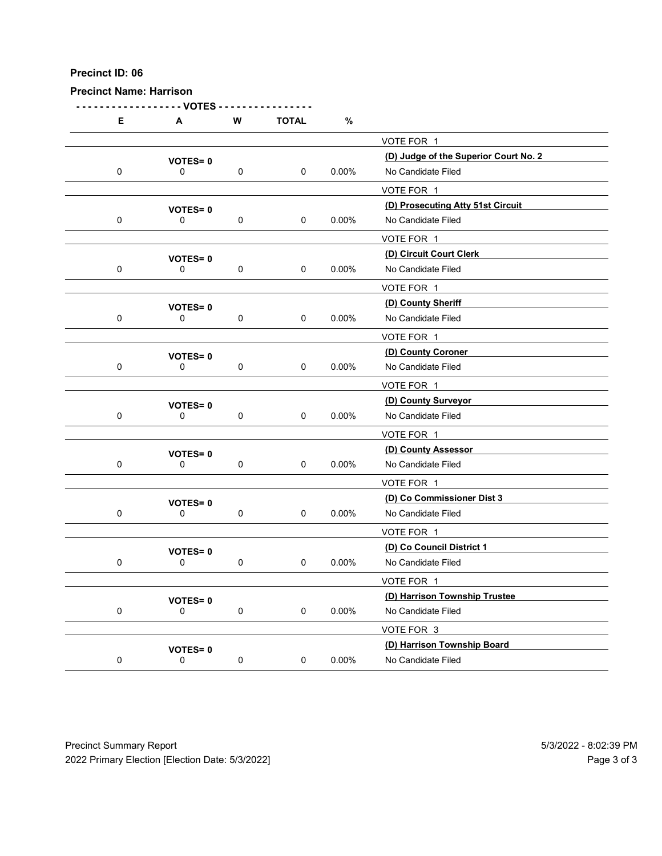Precinct Name: Harrison - - - - - - - - - - - - - - - - - - VOTES - - - - - - - - - - - - - - - - E A W TOTAL % VOTE FOR 1 (D) Judge of the Superior Court No. 2 VOTES= <sup>0</sup> 0 0 0 0 0 0.00% No Candidate Filed VOTE FOR 1 (D) Prosecuting Atty 51st Circuit VOTES= <sup>0</sup> 0 0 0 0 0.00% No Candidate Filed VOTE FOR 1 VOTES= 0<br>
0 0 0 0 0 0.00% No Candidate Filed<br>
0 0 0.00% No Candidate Filed 0 0 0 0 0.00% No Candidate Filed VOTE FOR 1 (D) County Sheriff VOTES= <sup>0</sup> 0 0 0 0 0 0.00% No Candidate Filed VOTE FOR 1 (D) County Coroner VOTES= <sup>0</sup> 0 0 0 0 0 0.00% No Candidate Filed VOTE FOR 1 VOTES= 0<br>
0 0 0 0 0 0 0.00% No Candidate Filed 0 0 0 0 0 0.00% No Candidate Filed VOTE FOR 1 (D) County Assessor VOTES= <sup>0</sup> 0 0 0 0 0 0.00% No Candidate Filed VOTE FOR 1 (D) Co Commissioner Dist 3 VOTES= <sup>0</sup> 0 0 0 0 0 0.00% No Candidate Filed VOTE FOR 1

VOTES= 0<br>
0 0 0 0 0 0.00% No Candidate Filed 0 0 0 0 0 0.00% No Candidate Filed VOTE FOR 1 VOTES= 0<br>
0 0 0 0 0.00% No Candidate Filed<br>
0 0 0.00% No Candidate Filed 0 0 0 0 0 0.00% No Candidate Filed VOTE FOR 3 (D) Harrison Township Board VOTES= <sup>0</sup> 0 0 0 0 0.00% No Candidate Filed Precinct Summary Report<br>
Precinct Summary Report<br>
Precinct Summary Report<br>
Precinct Summary Report<br>
Precinct Summary Report<br>
Precinct Summary Report<br>
Precinct Summary Report<br>
Precinct Summary Report<br>
Precinct Summary Rep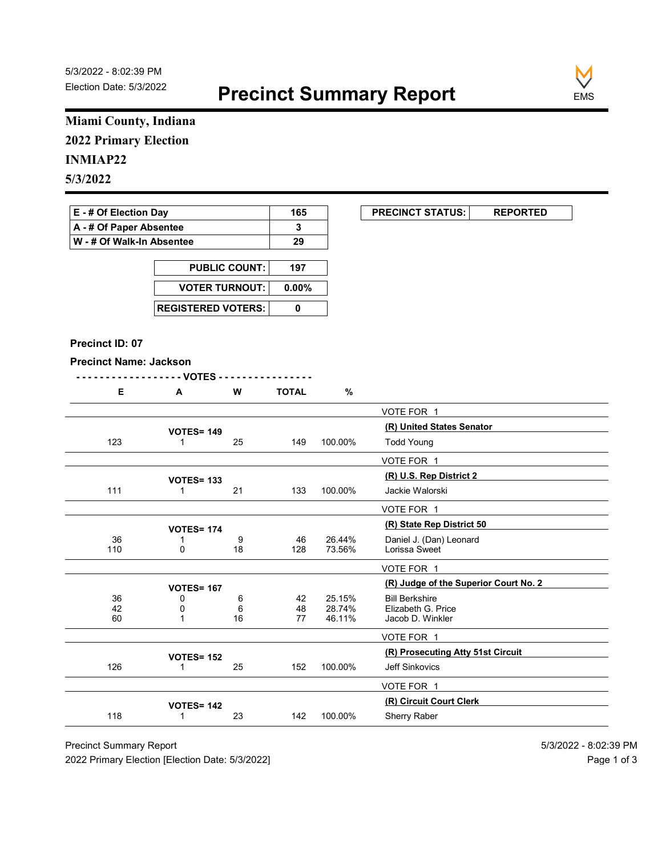

### Miami County, Indiana 2022 Primary Election

#### INMIAP22

| E - # Of Election Day     | 165 | <b>PRECINCT STATUS:</b> |  |
|---------------------------|-----|-------------------------|--|
| A - # Of Paper Absentee   |     |                         |  |
| W - # Of Walk-In Absentee | 29  |                         |  |

| <b>PUBLIC COUNT:</b> | 197 |
|----------------------|-----|
| VOTER TURNOUT: 0.00% |     |
|                      |     |

#### Precinct ID: 07

|                               | Miami County, Indiana             |                      |              |         |                                                                |
|-------------------------------|-----------------------------------|----------------------|--------------|---------|----------------------------------------------------------------|
| <b>2022 Primary Election</b>  |                                   |                      |              |         |                                                                |
| <b>INMIAP22</b>               |                                   |                      |              |         |                                                                |
|                               |                                   |                      |              |         |                                                                |
| 5/3/2022                      |                                   |                      |              |         |                                                                |
| E - # Of Election Day         |                                   |                      | 165          |         | <b>PRECINCT STATUS:</b><br><b>REPORTED</b>                     |
| A - # Of Paper Absentee       |                                   |                      | 3            |         |                                                                |
| W - # Of Walk-In Absentee     |                                   |                      | 29           |         |                                                                |
|                               |                                   |                      |              |         |                                                                |
|                               |                                   | <b>PUBLIC COUNT:</b> | 197          |         |                                                                |
|                               | <b>VOTER TURNOUT:</b>             |                      | $0.00\%$     |         |                                                                |
|                               | <b>REGISTERED VOTERS:</b>         |                      | $\mathbf 0$  |         |                                                                |
|                               |                                   |                      |              |         |                                                                |
| Precinct ID: 07               |                                   |                      |              |         |                                                                |
| <b>Precinct Name: Jackson</b> |                                   |                      |              |         |                                                                |
|                               | - VOTES -                         |                      |              |         |                                                                |
| Е                             | A                                 | W                    | <b>TOTAL</b> | $\%$    |                                                                |
|                               |                                   |                      |              |         | VOTE FOR 1                                                     |
| 123                           | <b>VOTES= 149</b><br>$\mathbf{1}$ | 25                   | 149          | 100.00% | (R) United States Senator<br><b>Todd Young</b>                 |
|                               |                                   |                      |              |         |                                                                |
|                               |                                   |                      |              |         | VOTE FOR 1<br>(R) U.S. Rep District 2                          |
| 111                           | <b>VOTES= 133</b><br>$\mathbf{1}$ | $21$                 | 133          | 100.00% | Jackie Walorski                                                |
|                               |                                   |                      |              |         | VOTE FOR 1                                                     |
|                               | <b>VOTES= 174</b>                 |                      |              |         | (R) State Rep District 50                                      |
| 36                            | 1                                 | 9                    | 46           | 26.44%  | Daniel J. (Dan) Leonard                                        |
| 110                           | $\mathbf 0$                       | 18                   | 128          | 73.56%  | Lorissa Sweet                                                  |
|                               |                                   |                      |              |         | VOTE FOR 1                                                     |
| $36\,$                        | <b>VOTES= 167</b><br>$\mathbf 0$  | 6                    | 42           | 25.15%  | (R) Judge of the Superior Court No. 2<br><b>Bill Berkshire</b> |
| 42                            | 0                                 | $\,6\,$              | 48           | 28.74%  | Elizabeth G. Price                                             |
| 60                            | 1                                 | 16                   | $77$         | 46.11%  | Jacob D. Winkler                                               |
|                               |                                   |                      |              |         | VOTE FOR 1                                                     |
| 126                           | <b>VOTES= 152</b><br>$\mathbf{1}$ | 25                   | 152          | 100.00% | (R) Prosecuting Atty 51st Circuit<br>Jeff Sinkovics            |
|                               |                                   |                      |              |         | VOTE FOR 1                                                     |
|                               |                                   |                      |              |         | (R) Circuit Court Clerk                                        |
|                               | <b>VOTES= 142</b><br>$\mathbf{1}$ | 23                   | 142          | 100.00% | Sherry Raber                                                   |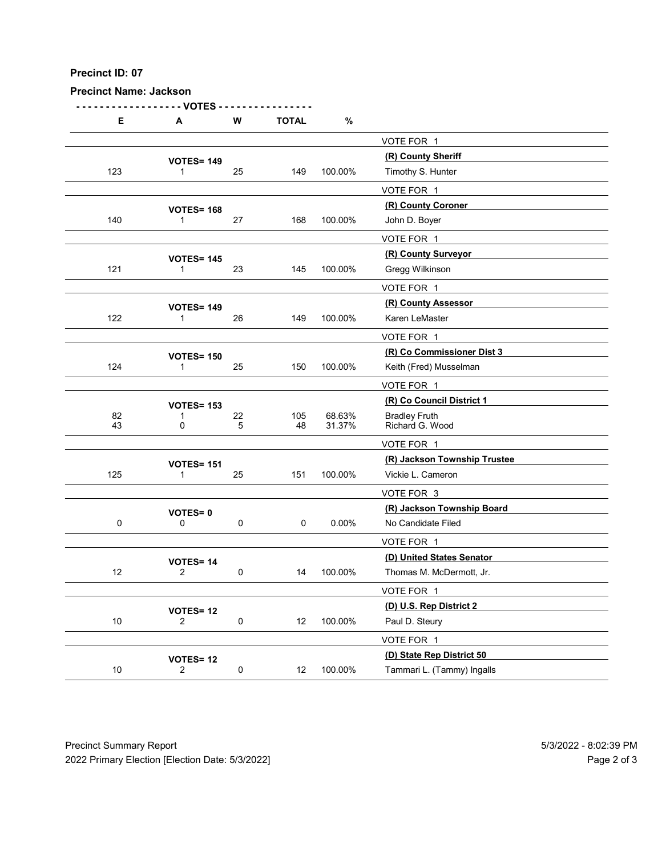| Precinct ID: 07<br><b>Precinct Name: Jackson</b> |                                     |                       |              |                  |                                                      |  |
|--------------------------------------------------|-------------------------------------|-----------------------|--------------|------------------|------------------------------------------------------|--|
|                                                  | - VOTES                             |                       |              |                  |                                                      |  |
| Е                                                | A                                   | W                     | <b>TOTAL</b> | $\%$             | VOTE FOR 1                                           |  |
|                                                  | <b>VOTES= 149</b>                   |                       |              |                  | (R) County Sheriff                                   |  |
| 123                                              | -1                                  | 25                    | 149          | 100.00%          | Timothy S. Hunter                                    |  |
|                                                  |                                     |                       |              |                  | VOTE FOR 1<br>(R) County Coroner                     |  |
| 140                                              | <b>VOTES= 168</b><br>$\mathbf{1}$   | 27                    | 168          | 100.00%          | John D. Boyer                                        |  |
|                                                  |                                     |                       |              |                  | VOTE FOR 1                                           |  |
| 121                                              | <b>VOTES= 145</b><br>$\mathbf{1}$   | 23                    | 145          | 100.00%          | (R) County Surveyor<br>Gregg Wilkinson               |  |
|                                                  |                                     |                       |              |                  | VOTE FOR 1                                           |  |
|                                                  | <b>VOTES= 149</b>                   |                       |              |                  | (R) County Assessor                                  |  |
| 122                                              | -1                                  | 26                    | 149          | 100.00%          | Karen LeMaster                                       |  |
|                                                  |                                     |                       |              |                  | VOTE FOR 1                                           |  |
| 124                                              | <b>VOTES= 150</b><br>$\overline{1}$ | 25                    | 150          | 100.00%          | (R) Co Commissioner Dist 3<br>Keith (Fred) Musselman |  |
|                                                  |                                     |                       |              |                  | VOTE FOR 1                                           |  |
|                                                  | <b>VOTES= 153</b>                   |                       |              |                  | (R) Co Council District 1                            |  |
| 82<br>43                                         | 1<br>0                              | $22\,$<br>$\,$ 5 $\,$ | 105<br>48    | 68.63%<br>31.37% | Bradley Fruth<br>Richard G. Wood                     |  |
|                                                  |                                     |                       |              |                  | VOTE FOR 1                                           |  |
| 125                                              | <b>VOTES= 151</b><br>$\mathbf{1}$   | 25                    | 151          | 100.00%          | (R) Jackson Township Trustee<br>Vickie L. Cameron    |  |
|                                                  |                                     |                       |              |                  | VOTE FOR 3                                           |  |
|                                                  | VOTES=0                             |                       |              |                  | (R) Jackson Township Board                           |  |
| $\pmb{0}$                                        | $\mathsf{O}\xspace$                 | $\pmb{0}$             | $\mathsf 0$  | $0.00\%$         | No Candidate Filed                                   |  |
|                                                  |                                     |                       |              |                  | VOTE FOR 1<br>(D) United States Senator              |  |
| 12                                               | VOTES=14<br>$\overline{2}$          | $\mathbf 0$           | 14           | 100.00%          | Thomas M. McDermott, Jr.                             |  |
|                                                  |                                     |                       |              |                  | VOTE FOR 1                                           |  |
| $10\,$                                           | <b>VOTES=12</b><br>$\overline{2}$   | $\pmb{0}$             | 12           | 100.00%          | (D) U.S. Rep District 2<br>Paul D. Steury            |  |
|                                                  |                                     |                       |              |                  | VOTE FOR 1                                           |  |
|                                                  | <b>VOTES=12</b>                     |                       |              |                  | (D) State Rep District 50                            |  |
| 10                                               | $\overline{2}$                      | $\mathbf 0$           | 12           | 100.00%          | Tammari L. (Tammy) Ingalls                           |  |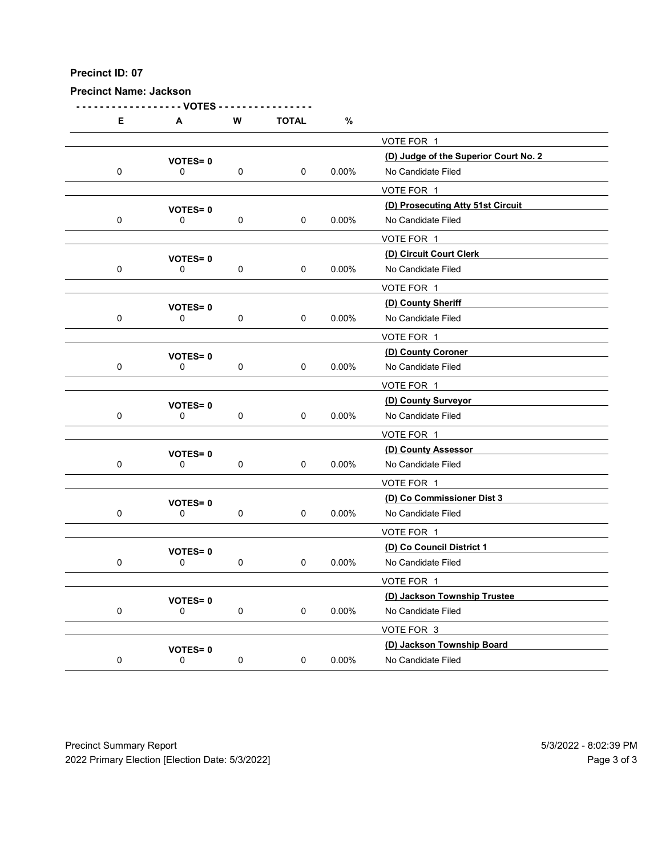Precinct Name: Jackson

- - - - - - - - - - - - - - - - - - VOTES - - - - - - - - - - - - - - - - E A W TOTAL % VOTE FOR 1 (D) Judge of the Superior Court No. 2 VOTES= <sup>0</sup> 0 0 0 0 0 0.00% No Candidate Filed VOTE FOR 1 (D) Prosecuting Atty 51st Circuit VOTES= <sup>0</sup> 0 0 0 0 0.00% No Candidate Filed VOTE FOR 1 VOTES= 0<br>
0 0 0 0 0 0.00% No Candidate Filed<br>
0 0 0.00% No Candidate Filed 0 0 0 0 0.00% No Candidate Filed VOTE FOR 1 (D) County Sheriff VOTES= <sup>0</sup> 0 0 0 0 0 0.00% No Candidate Filed VOTE FOR 1 (D) County Coroner VOTES= <sup>0</sup> 0 0 0 0 0 0.00% No Candidate Filed VOTE FOR 1 VOTES= 0<br>
0 0 0 0 0 0 0.00% No Candidate Filed 0 0 0 0 0 0.00% No Candidate Filed VOTE FOR 1 (D) County Assessor VOTES= <sup>0</sup> 0 0 0 0 0 0.00% No Candidate Filed VOTE FOR 1 (D) Co Commissioner Dist 3 VOTES= <sup>0</sup> 0 0 0 0 0 0.00% No Candidate Filed VOTE FOR 1 VOTES= 0<br>
0 0 0 0 0 0.00% No Candidate Filed 0 0 0 0 0 0.00% No Candidate Filed VOTE FOR 1 VOTES= 0<br>
0 0 0 0 0.00% No Candidate Filed<br>
0 0 0.00% No Candidate Filed 0 0 0 0 0 0.00% No Candidate Filed VOTE FOR 3 VOTES= 0<br>
0 0 0 0 0 0 0 0 0.00% No Candidate Filed<br>
0 0 0.00% No Candidate Filed 0 0 0 0 0 0.00% No Candidate Filed Precinct Summary Report<br>
Precinct Summary Report<br>
Precinct Summary Report<br>
Precinct Summary Report<br>
Precinct Summary Report<br>
Precinct Summary Report<br>
Precinct Summary Report<br>
Precinct Summary Report<br>
Precinct Summary Rep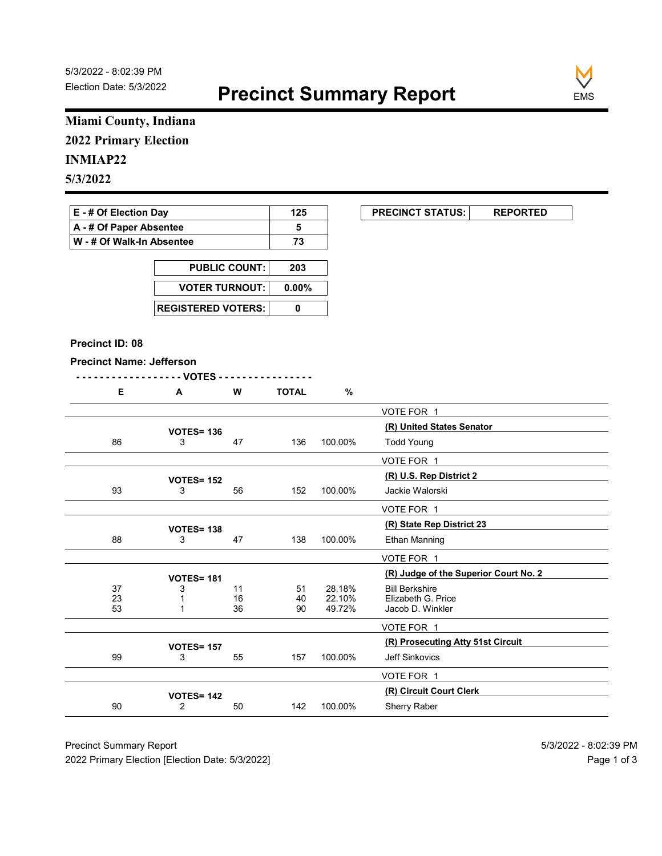

### Miami County, Indiana 2022 Primary Election

### INMIAP22

| E - # Of Election Day       | 125 | <b>PRECINCT STATUS:</b> |  |
|-----------------------------|-----|-------------------------|--|
| A - # Of Paper Absentee     |     |                         |  |
| ∣ W - # Of Walk-In Absentee | 73  |                         |  |

| <b>PUBLIC COUNT:</b>        | 203      |
|-----------------------------|----------|
| <b>VOTER TURNOUT:</b>       | $0.00\%$ |
| <b>REGISTERED VOTERS: I</b> |          |

#### Precinct ID: 08

|  | w<br>'' | <b>OTAL</b> |  |
|--|---------|-------------|--|
|  |         |             |  |

|                                         | Miami County, Indiana                                                      |                 |              |                  |                                             |
|-----------------------------------------|----------------------------------------------------------------------------|-----------------|--------------|------------------|---------------------------------------------|
| <b>2022 Primary Election</b>            |                                                                            |                 |              |                  |                                             |
| <b>INMIAP22</b>                         |                                                                            |                 |              |                  |                                             |
|                                         |                                                                            |                 |              |                  |                                             |
| 5/3/2022                                |                                                                            |                 |              |                  |                                             |
| E - # Of Election Day                   |                                                                            |                 | 125          |                  | <b>PRECINCT STATUS:</b><br><b>REPORTED</b>  |
| A - # Of Paper Absentee                 |                                                                            |                 | 5            |                  |                                             |
|                                         | W - # Of Walk-In Absentee                                                  |                 | 73           |                  |                                             |
|                                         |                                                                            |                 | 203          |                  |                                             |
|                                         | <b>PUBLIC COUNT:</b><br><b>VOTER TURNOUT:</b><br><b>REGISTERED VOTERS:</b> |                 | 0.00%        |                  |                                             |
|                                         |                                                                            |                 |              |                  |                                             |
|                                         |                                                                            |                 | $\mathbf 0$  |                  |                                             |
| Precinct ID: 08                         |                                                                            |                 |              |                  |                                             |
| <b>Precinct Name: Jefferson</b>         |                                                                            |                 |              |                  |                                             |
|                                         |                                                                            |                 |              |                  |                                             |
| Е.                                      | $\mathbf{A}$                                                               | W               | <b>TOTAL</b> | $\%$             |                                             |
|                                         |                                                                            |                 |              |                  | VOTE FOR 1                                  |
|                                         | <b>VOTES= 136</b>                                                          |                 |              |                  | (R) United States Senator                   |
| 86                                      | 3                                                                          | 47              | 136          | 100.00%          | <b>Todd Young</b>                           |
|                                         |                                                                            |                 |              |                  | VOTE FOR 1                                  |
|                                         | <b>VOTES= 152</b>                                                          |                 |              |                  | (R) U.S. Rep District 2                     |
| 93                                      | 3                                                                          | 56              | 152          | 100.00%          | Jackie Walorski                             |
|                                         |                                                                            |                 |              |                  | VOTE FOR 1                                  |
|                                         | <b>VOTES= 138</b>                                                          |                 |              |                  | (R) State Rep District 23                   |
| 88                                      | 3                                                                          | 47              | 138          | 100.00%          | Ethan Manning                               |
|                                         |                                                                            |                 |              |                  | VOTE FOR 1                                  |
|                                         | <b>VOTES= 181</b>                                                          |                 |              |                  | (R) Judge of the Superior Court No. 2       |
| 37                                      | 3<br>$\mathbf 1$                                                           | 11              | 51<br>40     | 28.18%<br>22.10% | <b>Bill Berkshire</b><br>Elizabeth G. Price |
| $\begin{array}{c} 23 \\ 53 \end{array}$ | $\overline{1}$                                                             | $\frac{16}{36}$ | $90\,$       | 49.72%           | Jacob D. Winkler                            |
|                                         |                                                                            |                 |              |                  | VOTE FOR 1                                  |
|                                         | <b>VOTES= 157</b>                                                          |                 |              |                  | (R) Prosecuting Atty 51st Circuit           |
| 99                                      | 3                                                                          | 55              | 157          | 100.00%          | Jeff Sinkovics                              |
|                                         |                                                                            |                 |              |                  | VOTE FOR 1                                  |
|                                         | <b>VOTES= 142</b>                                                          |                 |              |                  | (R) Circuit Court Clerk                     |
| $90\,$                                  |                                                                            | 50              | 142          | 100.00%          | Sherry Raber                                |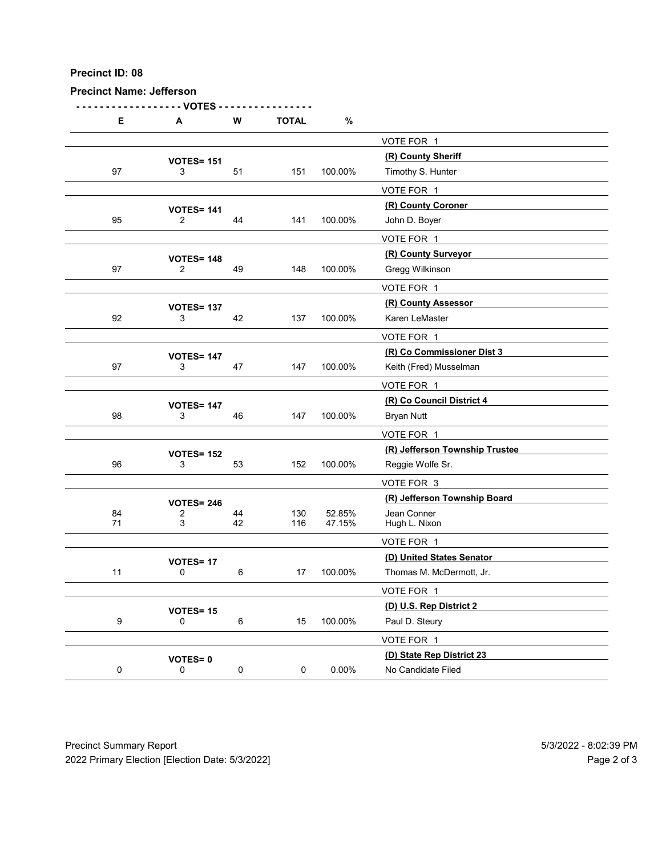| Precinct ID: 08                 |                                   |             |              |                  |                                                |  |
|---------------------------------|-----------------------------------|-------------|--------------|------------------|------------------------------------------------|--|
| <b>Precinct Name: Jefferson</b> | - VOTES                           |             |              |                  |                                                |  |
| E                               | A                                 | ${\bf W}$   | <b>TOTAL</b> | $\%$             |                                                |  |
|                                 |                                   |             |              |                  | VOTE FOR 1                                     |  |
| $97\,$                          | <b>VOTES= 151</b><br>3            | 51          | 151          | 100.00%          | (R) County Sheriff<br>Timothy S. Hunter        |  |
|                                 |                                   |             |              |                  | VOTE FOR 1                                     |  |
|                                 | <b>VOTES= 141</b>                 |             |              |                  | (R) County Coroner                             |  |
| 95                              | $\overline{2}$                    | 44          | 141          | 100.00%          | John D. Boyer<br>VOTE FOR 1                    |  |
|                                 | <b>VOTES= 148</b>                 |             |              |                  | (R) County Surveyor                            |  |
| 97                              | $\overline{2}$                    | 49          | 148          | 100.00%          | Gregg Wilkinson                                |  |
|                                 | <b>VOTES= 137</b>                 |             |              |                  | VOTE FOR 1<br>(R) County Assessor              |  |
| 92                              | 3                                 | 42          | 137          | 100.00%          | Karen LeMaster                                 |  |
|                                 |                                   |             |              |                  | VOTE FOR 1<br>(R) Co Commissioner Dist 3       |  |
| $97\,$                          | <b>VOTES= 147</b><br>3            | $47\,$      | 147          | 100.00%          | Keith (Fred) Musselman                         |  |
|                                 |                                   |             |              |                  | VOTE FOR 1                                     |  |
| 98                              | <b>VOTES= 147</b><br>$\mathbf{3}$ | 46          | 147          | 100.00%          | (R) Co Council District 4<br><b>Bryan Nutt</b> |  |
|                                 |                                   |             |              |                  | VOTE FOR 1                                     |  |
|                                 | <b>VOTES= 152</b>                 |             |              |                  | (R) Jefferson Township Trustee                 |  |
| 96                              | $\mathbf{3}$                      | 53          | 152          | 100.00%          | Reggie Wolfe Sr.                               |  |
|                                 | <b>VOTES= 246</b>                 |             |              |                  | VOTE FOR 3<br>(R) Jefferson Township Board     |  |
| 84<br>71                        | 2<br>3                            | 44<br>42    | 130<br>116   | 52.85%<br>47.15% | Jean Conner<br>Hugh L. Nixon                   |  |
|                                 |                                   |             |              |                  | VOTE FOR 1                                     |  |
|                                 | <b>VOTES= 17</b>                  |             |              |                  | (D) United States Senator                      |  |
| 11                              | $\mathbf 0$                       | $\,6\,$     | 17           | 100.00%          | Thomas M. McDermott, Jr.<br>VOTE FOR 1         |  |
|                                 | <b>VOTES= 15</b>                  |             |              |                  | (D) U.S. Rep District 2                        |  |
| $\boldsymbol{9}$                | 0                                 | $\,6\,$     | 15           | 100.00%          | Paul D. Steury                                 |  |
|                                 |                                   |             |              |                  | VOTE FOR 1<br>(D) State Rep District 23        |  |
| $\mathbf 0$                     | <b>VOTES=0</b><br>$\mathbf 0$     | $\mathbf 0$ | 0            | $0.00\%$         | No Candidate Filed                             |  |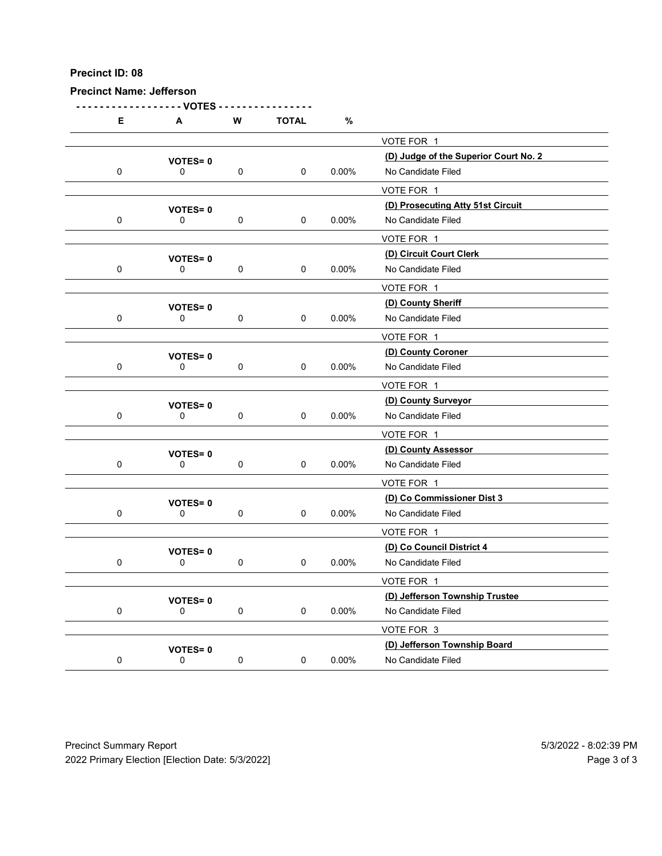|             |                               | Precinct ID: 08<br><b>Precinct Name: Jefferson</b> |              |          |                                                         |  |  |  |  |  |
|-------------|-------------------------------|----------------------------------------------------|--------------|----------|---------------------------------------------------------|--|--|--|--|--|
|             | - VOTES                       |                                                    |              |          |                                                         |  |  |  |  |  |
| Е           | A                             | ${\bf W}$                                          | <b>TOTAL</b> | $\%$     |                                                         |  |  |  |  |  |
|             | <b>VOTES=0</b>                |                                                    |              |          | VOTE FOR 1<br>(D) Judge of the Superior Court No. 2     |  |  |  |  |  |
| $\mathbf 0$ | 0                             | $\mathbf 0$                                        | $\mathbf 0$  | $0.00\%$ | No Candidate Filed                                      |  |  |  |  |  |
|             |                               |                                                    |              |          | VOTE FOR 1                                              |  |  |  |  |  |
| $\mathbf 0$ | <b>VOTES=0</b><br>0           | $\mathbf 0$                                        | $\mathbf 0$  | 0.00%    | (D) Prosecuting Atty 51st Circuit<br>No Candidate Filed |  |  |  |  |  |
|             |                               |                                                    |              |          | VOTE FOR 1                                              |  |  |  |  |  |
| $\mathbf 0$ | <b>VOTES=0</b><br>0           | 0                                                  | $\mathbf 0$  | $0.00\%$ | (D) Circuit Court Clerk<br>No Candidate Filed           |  |  |  |  |  |
|             |                               |                                                    |              |          | VOTE FOR 1                                              |  |  |  |  |  |
|             | <b>VOTES=0</b>                |                                                    |              |          | (D) County Sheriff                                      |  |  |  |  |  |
| $\mathbf 0$ | $\mathbf 0$                   | 0                                                  | 0            | 0.00%    | No Candidate Filed                                      |  |  |  |  |  |
|             |                               |                                                    |              |          | VOTE FOR 1<br>(D) County Coroner                        |  |  |  |  |  |
| $\mathbf 0$ | <b>VOTES=0</b><br>0           | $\mathbf 0$                                        | $\mathbf 0$  | $0.00\%$ | No Candidate Filed                                      |  |  |  |  |  |
|             |                               |                                                    |              |          | VOTE FOR 1                                              |  |  |  |  |  |
| $\mathbf 0$ | <b>VOTES=0</b><br>$\mathbf 0$ | $\mathbf 0$                                        | $\mathbf 0$  | $0.00\%$ | (D) County Surveyor<br>No Candidate Filed               |  |  |  |  |  |
|             |                               |                                                    |              |          | VOTE FOR 1                                              |  |  |  |  |  |
|             | <b>VOTES=0</b>                |                                                    |              |          | (D) County Assessor                                     |  |  |  |  |  |
| $\mathbf 0$ | $\mathbf 0$                   | $\mathbf 0$                                        | $\mathbf 0$  | $0.00\%$ | No Candidate Filed                                      |  |  |  |  |  |
|             |                               |                                                    |              |          | VOTE FOR 1<br>(D) Co Commissioner Dist 3                |  |  |  |  |  |
| $\mathbf 0$ | <b>VOTES=0</b><br>$\mathbf 0$ | $\mathbf 0$                                        | $\mathbf 0$  | $0.00\%$ | No Candidate Filed                                      |  |  |  |  |  |
|             |                               |                                                    |              |          | VOTE FOR 1                                              |  |  |  |  |  |
|             | <b>VOTES=0</b>                |                                                    |              |          | (D) Co Council District 4                               |  |  |  |  |  |
| $\mathbf 0$ | $\mathbf 0$                   | $\mathbf 0$                                        | $\mathbf 0$  | $0.00\%$ | No Candidate Filed<br>VOTE FOR 1                        |  |  |  |  |  |
|             | <b>VOTES=0</b>                |                                                    |              |          | (D) Jefferson Township Trustee                          |  |  |  |  |  |
| $\mathbf 0$ | $\mathbf 0$                   | $\mathbf 0$                                        | $\mathbf 0$  | $0.00\%$ | No Candidate Filed                                      |  |  |  |  |  |
|             |                               |                                                    |              |          | VOTE FOR 3                                              |  |  |  |  |  |
|             | <b>VOTES=0</b><br>$\mathsf 0$ | $\pmb{0}$                                          | $\mathbf 0$  | $0.00\%$ | (D) Jefferson Township Board<br>No Candidate Filed      |  |  |  |  |  |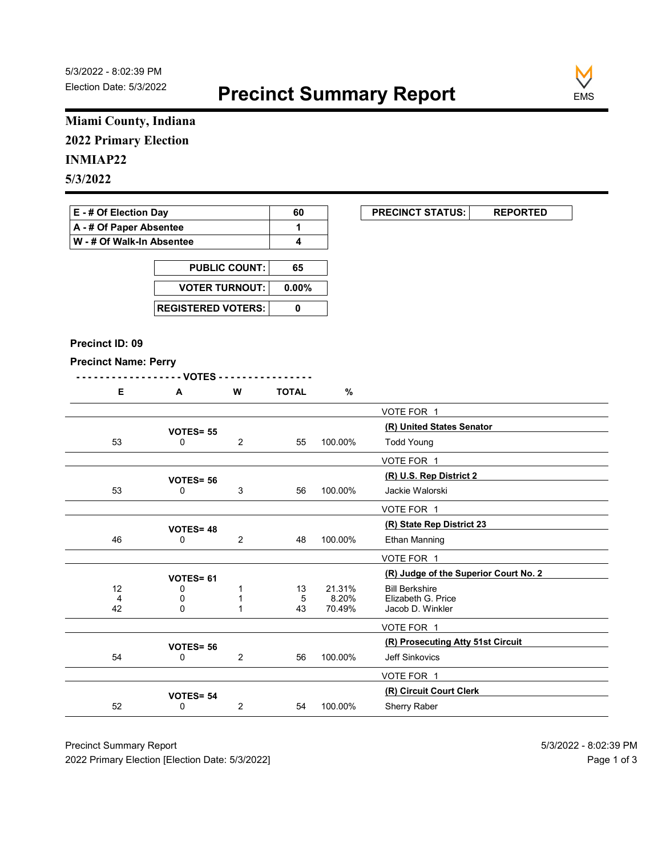

### Miami County, Indiana 2022 Primary Election

### INMIAP22

## 5/3/2022

# E - # Of Election Day **60** PRECINCT STATUS: REPORTED

|                           | -- | . |
|---------------------------|----|---|
| A - # Of Paper Absentee   |    |   |
| W - # Of Walk-In Absentee |    |   |

| <b>PUBLIC COUNT:</b>        | 65       |
|-----------------------------|----------|
| <b>VOTER TURNOUT:</b>       | $0.00\%$ |
| <b>REGISTERED VOTERS: I</b> |          |

#### Precinct ID: 09

#### Precinct Name: Perry

|  | W | <b>TOTAL</b> |  |
|--|---|--------------|--|
|  |   |              |  |

|                              | Miami County, Indiana                         |                              |                         |                 |                                            |
|------------------------------|-----------------------------------------------|------------------------------|-------------------------|-----------------|--------------------------------------------|
| <b>2022 Primary Election</b> |                                               |                              |                         |                 |                                            |
| <b>INMIAP22</b>              |                                               |                              |                         |                 |                                            |
| 5/3/2022                     |                                               |                              |                         |                 |                                            |
|                              |                                               |                              |                         |                 |                                            |
| E - # Of Election Day        |                                               |                              | 60                      |                 | <b>PRECINCT STATUS:</b><br><b>REPORTED</b> |
| A - # Of Paper Absentee      |                                               |                              | $\mathbf{1}$            |                 |                                            |
| W - # Of Walk-In Absentee    |                                               |                              | $\overline{\mathbf{4}}$ |                 |                                            |
|                              |                                               |                              | 65                      |                 |                                            |
|                              | <b>PUBLIC COUNT:</b><br><b>VOTER TURNOUT:</b> |                              |                         |                 |                                            |
|                              |                                               |                              | $0.00\%$<br>$\pmb{0}$   |                 |                                            |
|                              |                                               | <b>REGISTERED VOTERS:</b>    |                         |                 |                                            |
|                              |                                               |                              |                         |                 |                                            |
| Precinct ID: 09              |                                               |                              |                         |                 |                                            |
| <b>Precinct Name: Perry</b>  |                                               |                              |                         |                 |                                            |
|                              | - - VOTES -                                   |                              |                         |                 |                                            |
| E                            | A                                             | W                            | <b>TOTAL</b>            | %               |                                            |
|                              |                                               |                              |                         |                 | VOTE FOR 1                                 |
|                              | VOTES= 55                                     |                              |                         |                 | (R) United States Senator                  |
| 53                           | 0                                             | $\overline{2}$               | 55                      | 100.00%         | <b>Todd Young</b>                          |
|                              |                                               |                              |                         |                 | VOTE FOR 1                                 |
| 53                           | <b>VOTES= 56</b><br>$\mathbf 0$               | $\ensuremath{\mathsf{3}}$    | 56                      | 100.00%         | (R) U.S. Rep District 2<br>Jackie Walorski |
|                              |                                               |                              |                         |                 | VOTE FOR 1                                 |
|                              |                                               |                              |                         |                 | (R) State Rep District 23                  |
| 46                           | <b>VOTES=48</b><br>0                          | $\overline{2}$               | 48                      | 100.00%         | Ethan Manning                              |
|                              |                                               |                              |                         |                 | VOTE FOR 1                                 |
|                              | VOTES= 61                                     |                              |                         |                 | (R) Judge of the Superior Court No. 2      |
| 12                           | 0                                             | $\mathbf{1}$                 | 13                      | 21.31%          | <b>Bill Berkshire</b>                      |
| 4<br>42                      | 0<br>$\mathbf 0$                              | $\mathbf{1}$<br>$\mathbf{1}$ | 5<br>43                 | 8.20%<br>70.49% | Elizabeth G. Price<br>Jacob D. Winkler     |
|                              |                                               |                              |                         |                 | VOTE FOR 1                                 |
|                              | VOTES= 56                                     |                              |                         |                 | (R) Prosecuting Atty 51st Circuit          |
| 54                           | 0                                             | $\sqrt{2}$                   | 56                      | 100.00%         | Jeff Sinkovics                             |
|                              |                                               |                              |                         |                 | VOTE FOR 1                                 |
|                              |                                               |                              |                         |                 | (R) Circuit Court Clerk                    |
|                              | VOTES= 54                                     |                              |                         | 100.00%         | Sherry Raber                               |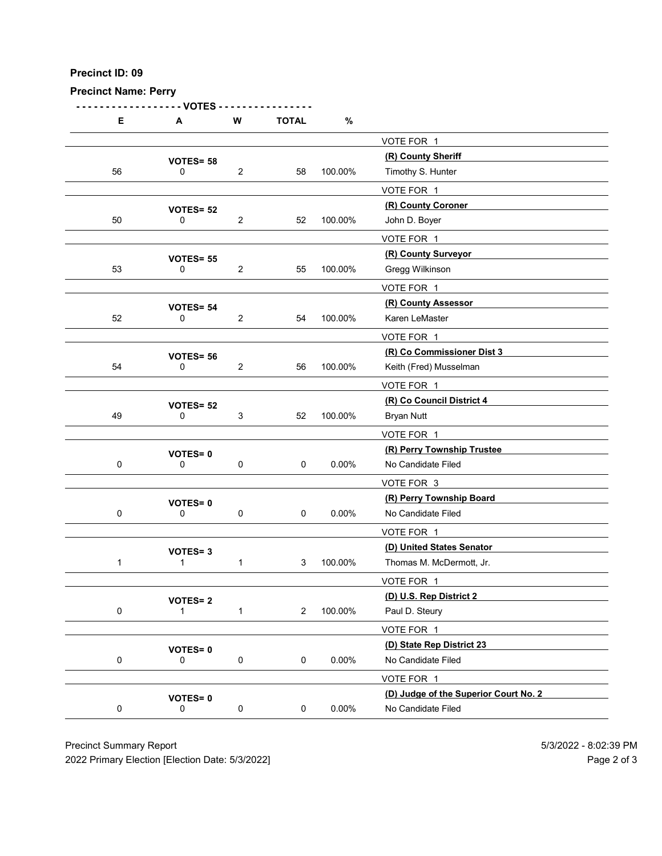| <b>Precinct Name: Perry</b> |                                |                                |              |           |                                                     |  |
|-----------------------------|--------------------------------|--------------------------------|--------------|-----------|-----------------------------------------------------|--|
|                             |                                |                                |              |           |                                                     |  |
| E                           | - VOTES<br>A                   | W                              | <b>TOTAL</b> | $\%$      |                                                     |  |
|                             |                                |                                |              |           | VOTE FOR 1                                          |  |
|                             | VOTES= 58                      |                                |              |           | (R) County Sheriff                                  |  |
| 56                          | 0                              | $\sqrt{2}$                     | 58           | 100.00%   | Timothy S. Hunter                                   |  |
|                             |                                |                                |              |           | VOTE FOR 1<br>(R) County Coroner                    |  |
| 50                          | <b>VOTES= 52</b><br>0          | $\sqrt{2}$                     | 52           | 100.00%   | John D. Boyer                                       |  |
|                             |                                |                                |              |           | VOTE FOR 1                                          |  |
|                             | <b>VOTES= 55</b>               |                                |              |           | (R) County Surveyor                                 |  |
| 53                          | 0                              | $\sqrt{2}$                     | 55           | 100.00%   | Gregg Wilkinson                                     |  |
|                             |                                |                                |              |           | VOTE FOR 1<br>(R) County Assessor                   |  |
| 52                          | <b>VOTES= 54</b><br>0          | 2                              | 54           | 100.00%   | Karen LeMaster                                      |  |
|                             |                                |                                |              |           | VOTE FOR 1                                          |  |
|                             | VOTES= 56                      |                                |              |           | (R) Co Commissioner Dist 3                          |  |
| 54                          | 0                              |                                | 56           | 100.00%   | Keith (Fred) Musselman                              |  |
|                             |                                |                                |              |           | VOTE FOR 1                                          |  |
| 49                          | VOTES= 52<br>$\mathbf 0$       | $\overline{2}$<br>$\mathbf{3}$ | 52           | 100.00%   | (R) Co Council District 4<br><b>Bryan Nutt</b>      |  |
|                             |                                |                                |              |           | VOTE FOR 1                                          |  |
|                             | VOTES=0                        |                                |              |           | (R) Perry Township Trustee                          |  |
| $\mathbf 0$                 | 0                              | $\mathbf 0$                    | 0            | $0.00\%$  | No Candidate Filed                                  |  |
|                             |                                |                                |              |           | VOTE FOR 3                                          |  |
|                             | <b>VOTES=0</b>                 |                                |              |           | (R) Perry Township Board                            |  |
| $\mathbf 0$                 | 0                              | $\mathbf 0$                    | 0            | $0.00\%$  | No Candidate Filed                                  |  |
|                             |                                |                                |              |           | VOTE FOR 1<br>(D) United States Senator             |  |
| $\overline{1}$              | <b>VOTES=3</b><br>$\mathbf{1}$ | $\mathbf{1}$                   | $\mathbf{3}$ | 100.00%   | Thomas M. McDermott, Jr.                            |  |
|                             |                                |                                |              |           | VOTE FOR 1                                          |  |
|                             | <b>VOTES=2</b>                 |                                |              |           | (D) U.S. Rep District 2                             |  |
| $\mathbf 0$                 | $\overline{1}$                 | $\mathbf{1}$                   |              | 2 100.00% | Paul D. Steury                                      |  |
|                             |                                |                                |              |           | VOTE FOR 1                                          |  |
|                             | <b>VOTES=0</b>                 |                                |              |           | (D) State Rep District 23                           |  |
| $\mathbf 0$                 | $\mathsf{O}\xspace$            | $\pmb{0}$                      | 0            | $0.00\%$  | No Candidate Filed                                  |  |
|                             |                                |                                |              |           | VOTE FOR 1<br>(D) Judge of the Superior Court No. 2 |  |
| $\mathbf 0$                 | <b>VOTES=0</b><br>0            | $\mathbf 0$                    | $\mathbf 0$  | $0.00\%$  | No Candidate Filed                                  |  |
|                             |                                |                                |              |           |                                                     |  |
|                             | <b>Precinct Summary Report</b> |                                |              |           |                                                     |  |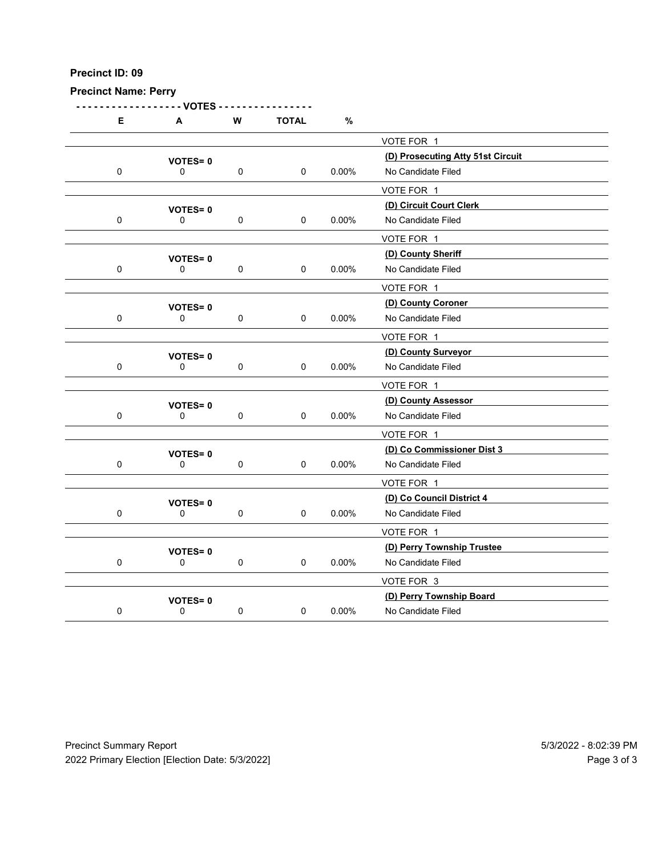Precinct Name: Perry

- - - - - - - - - - - - - - - - - - VOTES - - - - - - - - - - - - - - - - E A W TOTAL % VOTE FOR 1 VOTES= 0<br>
0 0 0 0 0 0 0 0.00% No Candidate Filed<br>
0 0 0.00% No Candidate Filed 0 0 0 0 0 0.00% No Candidate Filed VOTE FOR 1 VOTES= 0<br>
0 0 0 0 0 0.00% No Candidate Filed<br>
0 0 0.00% No Candidate Filed 0 0 0 0 0.00% No Candidate Filed VOTE FOR 1 VOTES= 0<br>
0 0 0 0 0 0 0 0.00% No Candidate Filed 0 0 0 0 0.00% No Candidate Filed VOTE FOR 1 (D) County Coroner VOTES= <sup>0</sup> 0 0 0 0 0.00% No Candidate Filed VOTE FOR 1 (D) County Surveyor VOTES= <sup>0</sup> 0 0 0 0 0 0.00% No Candidate Filed VOTE FOR 1 VOTES= 0<br>
0 0 0 0 0 0 0 0.00% No Candidate Filed 0 0 0 0 0 0.00% No Candidate Filed VOTE FOR 1 VOTES= 0<br>
0 0 0 0 0 0.00% No Candidate Filed<br>
0 0 0.00% No Candidate Filed 0 0 0 0 0 0.00% No Candidate Filed VOTE FOR 1 VOTES= 0<br>
0 0 0 0 0 0.00% No Candidate Filed 0 0 0 0 0.00% No Candidate Filed VOTE FOR 1 VOTES= 0<br>
0 0 0 0 0.00% No Candidate Filed<br>
0 0 0.00% No Candidate Filed 0 0 0 0 0 0.00% No Candidate Filed VOTE FOR 3 VOTES= 0<br>
0 0 0 0 0 0.00% No Candidate Filed<br>
0 0 0.00% No Candidate Filed 0 0 0 0 0 0.00% No Candidate Filed Precinct Summary Report<br>
Precinct Summary Report<br>
Precinct Summary Report<br>
Precinct Summary Report<br>
Precinct Summary Report<br>
Precinct Summary Report<br>
Precinct Summary Report<br>
Precinct Summary Report<br>
Precinct Summary Repor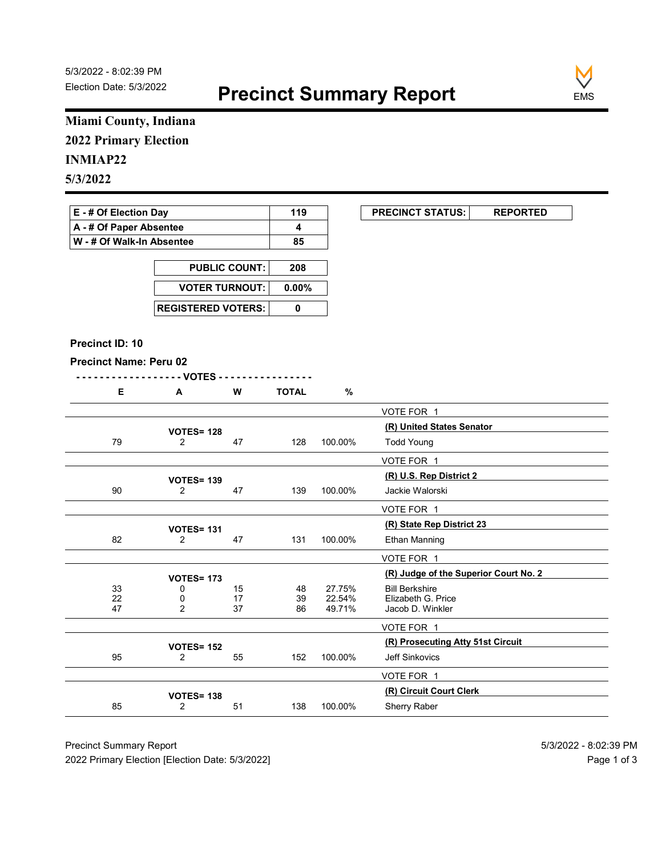

### Miami County, Indiana 2022 Primary Election

### INMIAP22

| E - # Of Election Day       | 119 | <b>PRECINCT STATUS:</b> |  |
|-----------------------------|-----|-------------------------|--|
| A - # Of Paper Absentee     |     |                         |  |
| ∣ W - # Of Walk-In Absentee | 85  |                         |  |

| <b>PUBLIC COUNT:</b> | 208 |
|----------------------|-----|
| VOTER TURNOUT: 0.00% |     |
|                      |     |

#### Precinct ID: 10

```
- - - - - - - - - - - - - - - - - - VOTES - - - - - - - - - - - - - - - -
```

|                               | Miami County, Indiana               |                      |                          |                  |                                             |
|-------------------------------|-------------------------------------|----------------------|--------------------------|------------------|---------------------------------------------|
| <b>2022 Primary Election</b>  |                                     |                      |                          |                  |                                             |
|                               |                                     |                      |                          |                  |                                             |
| <b>INMIAP22</b>               |                                     |                      |                          |                  |                                             |
| 5/3/2022                      |                                     |                      |                          |                  |                                             |
| E - # Of Election Day         |                                     |                      | 119                      |                  | <b>PRECINCT STATUS:</b><br><b>REPORTED</b>  |
| A - # Of Paper Absentee       |                                     |                      | 4                        |                  |                                             |
| W - # Of Walk-In Absentee     |                                     |                      | 85                       |                  |                                             |
|                               |                                     |                      |                          |                  |                                             |
|                               |                                     | <b>PUBLIC COUNT:</b> | 208                      |                  |                                             |
|                               | <b>VOTER TURNOUT:</b>               |                      | 0.00%                    |                  |                                             |
|                               | <b>REGISTERED VOTERS:</b>           |                      | $\mathbf 0$              |                  |                                             |
|                               |                                     |                      |                          |                  |                                             |
| Precinct ID: 10               |                                     |                      |                          |                  |                                             |
| <b>Precinct Name: Peru 02</b> |                                     |                      |                          |                  |                                             |
| Е                             | - - VOTES -<br>$\mathbf{A}$         | W                    | <u>.</u><br><b>TOTAL</b> | $\%$             |                                             |
|                               |                                     |                      |                          |                  | VOTE FOR 1                                  |
|                               |                                     |                      |                          |                  | (R) United States Senator                   |
| 79                            | <b>VOTES= 128</b><br>$\overline{2}$ | 47                   | 128                      | 100.00%          | <b>Todd Young</b>                           |
|                               |                                     |                      |                          |                  | VOTE FOR 1                                  |
|                               | <b>VOTES= 139</b>                   |                      |                          |                  | (R) U.S. Rep District 2                     |
| $90\,$                        | $\overline{2}$                      | 47                   | 139                      | 100.00%          | Jackie Walorski                             |
|                               |                                     |                      |                          |                  | VOTE FOR 1                                  |
|                               | <b>VOTES= 131</b>                   |                      |                          |                  | (R) State Rep District 23                   |
| 82                            | $\overline{2}$                      | 47                   | 131                      | 100.00%          | <b>Ethan Manning</b>                        |
|                               |                                     |                      |                          |                  | VOTE FOR 1                                  |
|                               | <b>VOTES= 173</b>                   |                      |                          |                  | (R) Judge of the Superior Court No. 2       |
| 33                            | 0                                   | 15                   | 48                       | 27.75%<br>22.54% | <b>Bill Berkshire</b><br>Elizabeth G. Price |
| $\frac{22}{47}$               | $\frac{0}{2}$                       | $\frac{17}{37}$      | 39<br>86                 | 49.71%           | Jacob D. Winkler                            |
|                               |                                     |                      |                          |                  | VOTE FOR 1                                  |
|                               | <b>VOTES= 152</b>                   |                      |                          |                  | (R) Prosecuting Atty 51st Circuit           |
| 95                            | $\overline{2}$                      | 55                   | 152                      | 100.00%          | Jeff Sinkovics                              |
|                               |                                     |                      |                          |                  | VOTE FOR 1                                  |
|                               | <b>VOTES= 138</b>                   |                      |                          |                  | (R) Circuit Court Clerk                     |
| 85                            | $\overline{2}$                      | 51                   | 138                      | 100.00%          | Sherry Raber                                |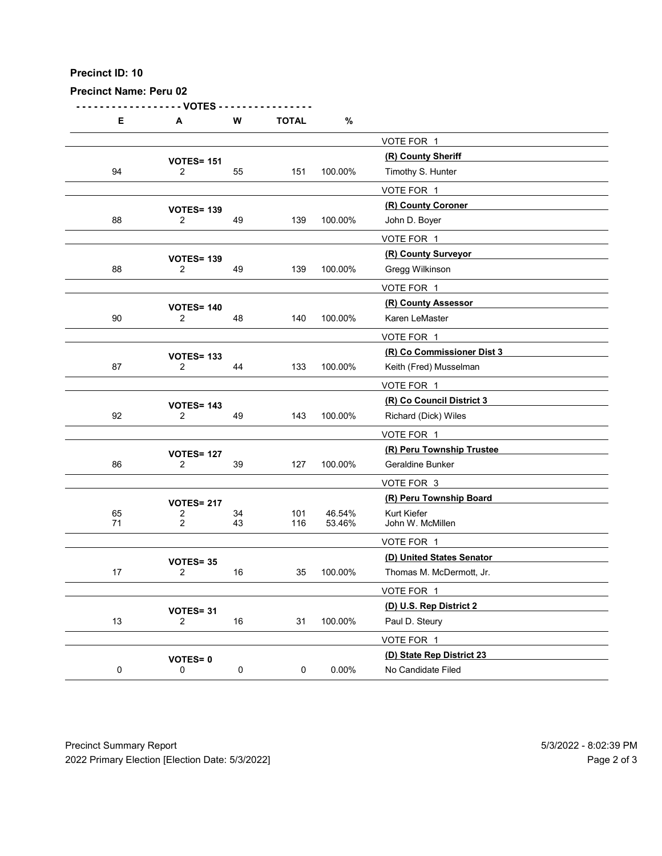| Precinct ID: 10<br><b>Precinct Name: Peru 02</b> |                                              |             |              |          |                                                      |  |
|--------------------------------------------------|----------------------------------------------|-------------|--------------|----------|------------------------------------------------------|--|
| Е                                                | <b>VOTES</b>                                 | ${\bf W}$   | <b>TOTAL</b> | $\%$     |                                                      |  |
|                                                  | A                                            |             |              |          | VOTE FOR 1                                           |  |
|                                                  | <b>VOTES= 151</b>                            |             |              | 100.00%  | (R) County Sheriff                                   |  |
| 94                                               | $\overline{2}$                               | 55          | 151          |          | Timothy S. Hunter<br>VOTE FOR 1                      |  |
|                                                  | <b>VOTES= 139</b>                            |             |              |          | (R) County Coroner                                   |  |
| 88                                               | $\overline{2}$                               | 49          | 139          | 100.00%  | John D. Boyer                                        |  |
|                                                  | <b>VOTES= 139</b>                            |             |              |          | VOTE FOR 1<br>(R) County Surveyor                    |  |
| 88                                               | $\overline{2}$                               | 49          | 139          | 100.00%  | Gregg Wilkinson                                      |  |
|                                                  |                                              |             |              |          | VOTE FOR 1                                           |  |
| 90                                               | <b>VOTES= 140</b><br>$\overline{c}$          | 48          | 140          | 100.00%  | (R) County Assessor<br>Karen LeMaster                |  |
|                                                  |                                              |             |              |          | VOTE FOR 1                                           |  |
| 87                                               | <b>VOTES= 133</b><br>$\overline{2}$          | 44          | 133          | 100.00%  | (R) Co Commissioner Dist 3<br>Keith (Fred) Musselman |  |
|                                                  |                                              |             |              |          | VOTE FOR 1                                           |  |
|                                                  | <b>VOTES= 143</b>                            |             |              |          | (R) Co Council District 3                            |  |
| 92                                               | $\overline{2}$                               | 49          | 143          | 100.00%  | Richard (Dick) Wiles                                 |  |
|                                                  |                                              |             |              |          | VOTE FOR 1<br>(R) Peru Township Trustee              |  |
| 86                                               | <b>VOTES= 127</b><br>$\overline{2}$          | $39\,$      | 127          | 100.00%  | Geraldine Bunker                                     |  |
|                                                  |                                              |             |              |          | VOTE FOR 3                                           |  |
| 65                                               | <b>VOTES= 217</b><br>$\overline{\mathbf{c}}$ | 34          | 101          | 46.54%   | (R) Peru Township Board<br>Kurt Kiefer               |  |
| 71                                               | $\overline{2}$                               | 43          | 116          | 53.46%   | John W. McMillen                                     |  |
|                                                  |                                              |             |              |          | VOTE FOR 1<br>(D) United States Senator              |  |
| 17                                               | VOTES=35<br>$\overline{2}$                   | $16\,$      | 35           | 100.00%  | Thomas M. McDermott, Jr.                             |  |
|                                                  |                                              |             |              |          | VOTE FOR 1                                           |  |
| $13$                                             | VOTES= 31<br>$\overline{2}$                  | $16\,$      | 31           | 100.00%  | (D) U.S. Rep District 2<br>Paul D. Steury            |  |
|                                                  |                                              |             |              |          | VOTE FOR 1                                           |  |
|                                                  | <b>VOTES=0</b>                               |             |              |          | (D) State Rep District 23                            |  |
| $\mathbf 0$                                      | 0                                            | $\mathbf 0$ | $\mathbf 0$  | $0.00\%$ | No Candidate Filed                                   |  |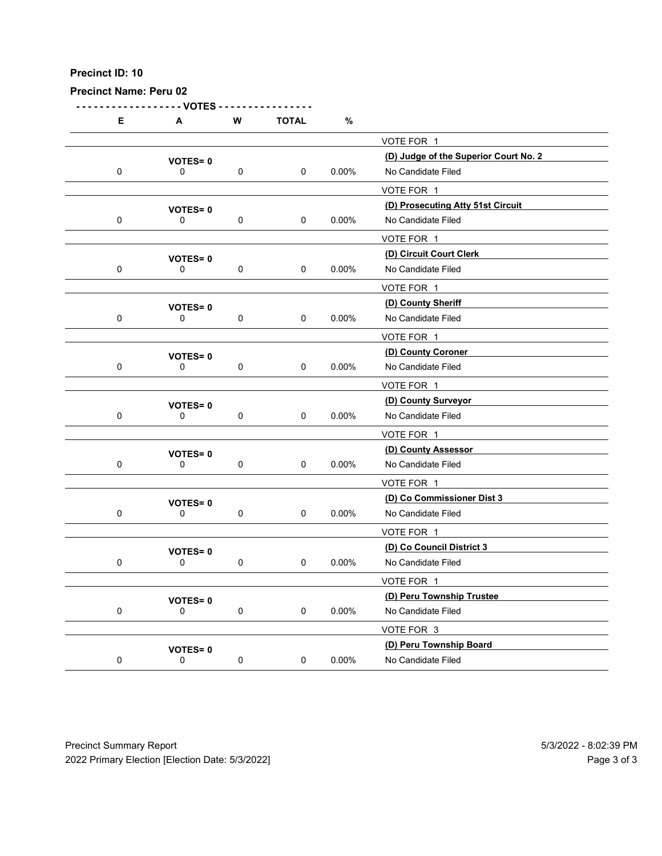| Precinct ID: 10<br><b>Precinct Name: Peru 02</b> |                                                 |             |              |          |                                                             |                                      |
|--------------------------------------------------|-------------------------------------------------|-------------|--------------|----------|-------------------------------------------------------------|--------------------------------------|
| Е                                                | - VOTES<br>A                                    | ${\bf W}$   | <b>TOTAL</b> | $\%$     |                                                             |                                      |
|                                                  |                                                 |             |              |          | VOTE FOR 1                                                  |                                      |
| $\mathbf 0$                                      | <b>VOTES=0</b><br>0                             | $\mathbf 0$ | $\mathbf 0$  | $0.00\%$ | (D) Judge of the Superior Court No. 2<br>No Candidate Filed |                                      |
|                                                  |                                                 |             |              |          | VOTE FOR 1                                                  |                                      |
|                                                  | <b>VOTES=0</b>                                  |             |              |          | (D) Prosecuting Atty 51st Circuit                           |                                      |
| $\mathbf 0$                                      | 0                                               | $\mathbf 0$ | $\mathbf 0$  | 0.00%    | No Candidate Filed                                          |                                      |
|                                                  | <b>VOTES=0</b>                                  |             |              |          | VOTE FOR 1<br>(D) Circuit Court Clerk                       |                                      |
| $\mathbf 0$                                      | 0                                               | $\mathbf 0$ | $\mathbf 0$  | $0.00\%$ | No Candidate Filed                                          |                                      |
|                                                  |                                                 |             |              |          | VOTE FOR 1                                                  |                                      |
| $\mathbf 0$                                      | <b>VOTES=0</b><br>$\mathbf 0$                   | 0           | 0            | 0.00%    | (D) County Sheriff<br>No Candidate Filed                    |                                      |
|                                                  |                                                 |             |              |          | VOTE FOR 1                                                  |                                      |
| $\mathbf 0$                                      | <b>VOTES=0</b><br>0                             | $\mathbf 0$ | $\mathbf 0$  | $0.00\%$ | (D) County Coroner<br>No Candidate Filed                    |                                      |
|                                                  |                                                 |             |              |          | VOTE FOR 1                                                  |                                      |
|                                                  | <b>VOTES=0</b>                                  |             |              |          | (D) County Surveyor                                         |                                      |
| $\mathbf 0$                                      | $\mathbf 0$                                     | $\mathbf 0$ | $\mathbf 0$  | $0.00\%$ | No Candidate Filed                                          |                                      |
|                                                  |                                                 |             |              |          | VOTE FOR 1<br>(D) County Assessor                           |                                      |
| $\mathbf 0$                                      | <b>VOTES=0</b><br>$\mathbf 0$                   | $\mathbf 0$ | $\mathbf 0$  | $0.00\%$ | No Candidate Filed                                          |                                      |
|                                                  |                                                 |             |              |          | VOTE FOR 1                                                  |                                      |
|                                                  | <b>VOTES=0</b>                                  |             |              |          | (D) Co Commissioner Dist 3                                  |                                      |
| $\mathbf 0$                                      | $\mathbf 0$                                     | $\mathbf 0$ | $\mathbf 0$  | $0.00\%$ | No Candidate Filed<br>VOTE FOR 1                            |                                      |
|                                                  | <b>VOTES=0</b>                                  |             |              |          | (D) Co Council District 3                                   |                                      |
| $\mathbf 0$                                      | $\mathbf 0$                                     | $\mathbf 0$ | $\mathbf 0$  | $0.00\%$ | No Candidate Filed                                          |                                      |
|                                                  |                                                 |             |              |          | VOTE FOR 1                                                  |                                      |
| $\mathbf 0$                                      | <b>VOTES=0</b><br>$\mathbf 0$                   | $\mathbf 0$ | $\mathbf 0$  | $0.00\%$ | (D) Peru Township Trustee<br>No Candidate Filed             |                                      |
|                                                  |                                                 |             |              |          | VOTE FOR 3                                                  |                                      |
|                                                  | <b>VOTES=0</b>                                  |             |              |          | (D) Peru Township Board                                     |                                      |
| ${\bf 0}$                                        | $\mathsf 0$                                     | $\pmb{0}$   | $\mathbf 0$  | $0.00\%$ | No Candidate Filed                                          |                                      |
| <b>Precinct Summary Report</b>                   | 2022 Primary Election [Election Date: 5/3/2022] |             |              |          |                                                             | 5/3/2022 - 8:02:39 PM<br>Page 3 of 3 |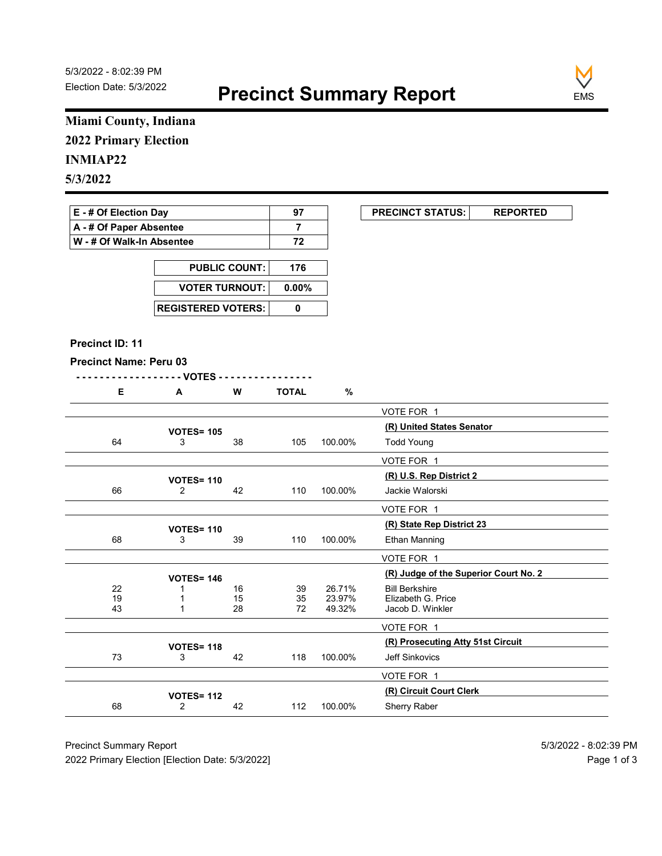

### Miami County, Indiana 2022 Primary Election

### INMIAP22

## 5/3/2022

### E - # Of Election Day 97 PRECINCT STATUS: REPORTED A - # Of Paper Absentee 7 W - # Of Walk-In Absentee | 72

| <b>PUBLIC COUNT:</b> | 176 |
|----------------------|-----|
| VOTER TURNOUT: 0.00% |     |
|                      |     |

#### Precinct ID: 11

#### Precinct Name: Peru 03

|   | w |              |  |
|---|---|--------------|--|
| n |   | <b>TOTAL</b> |  |

| Miami County, Indiana         |                                  |                      |                |                  |                                                     |
|-------------------------------|----------------------------------|----------------------|----------------|------------------|-----------------------------------------------------|
| <b>2022 Primary Election</b>  |                                  |                      |                |                  |                                                     |
| <b>INMIAP22</b>               |                                  |                      |                |                  |                                                     |
| 5/3/2022                      |                                  |                      |                |                  |                                                     |
|                               |                                  |                      |                |                  |                                                     |
| E - # Of Election Day         |                                  |                      | 97             |                  | <b>PRECINCT STATUS:</b><br><b>REPORTED</b>          |
| A - # Of Paper Absentee       |                                  |                      | $\overline{7}$ |                  |                                                     |
| W - # Of Walk-In Absentee     |                                  |                      | 72             |                  |                                                     |
|                               |                                  | <b>PUBLIC COUNT:</b> | 176            |                  |                                                     |
|                               | <b>VOTER TURNOUT:</b>            |                      | $0.00\%$       |                  |                                                     |
|                               | <b>REGISTERED VOTERS:</b>        |                      | 0              |                  |                                                     |
|                               |                                  |                      |                |                  |                                                     |
| Precinct ID: 11               |                                  |                      |                |                  |                                                     |
| <b>Precinct Name: Peru 03</b> |                                  |                      |                |                  |                                                     |
|                               | - VOTES -                        |                      |                |                  |                                                     |
| E                             | A                                | W                    | <b>TOTAL</b>   | $\%$             |                                                     |
|                               |                                  |                      |                |                  | VOTE FOR 1                                          |
|                               | <b>VOTES= 105</b>                |                      |                |                  | (R) United States Senator                           |
| 64                            | 3                                | 38                   | 105            | 100.00%          | <b>Todd Young</b>                                   |
|                               |                                  |                      |                |                  | VOTE FOR 1                                          |
|                               | <b>VOTES= 110</b>                |                      |                |                  | (R) U.S. Rep District 2                             |
| 66                            | $\overline{2}$                   | 42                   | 110            | 100.00%          | Jackie Walorski                                     |
|                               |                                  |                      |                |                  | VOTE FOR 1                                          |
|                               | <b>VOTES= 110</b>                |                      |                |                  | (R) State Rep District 23                           |
| 68                            | 3                                | 39                   | 110            | 100.00%          | Ethan Manning                                       |
|                               |                                  |                      |                |                  | VOTE FOR 1<br>(R) Judge of the Superior Court No. 2 |
| 22                            | <b>VOTES= 146</b><br>-1          | 16                   | 39             | 26.71%           | <b>Bill Berkshire</b>                               |
| $\frac{19}{43}$               | $\overline{1}$<br>$\overline{1}$ | 15<br>28             | 35<br>72       | 23.97%<br>49.32% | Elizabeth G. Price<br>Jacob D. Winkler              |
|                               |                                  |                      |                |                  | VOTE FOR 1                                          |
|                               |                                  |                      |                |                  | (R) Prosecuting Atty 51st Circuit                   |
| 73                            | <b>VOTES= 118</b><br>3           | 42                   | 118            | 100.00%          | Jeff Sinkovics                                      |
|                               |                                  |                      |                |                  | VOTE FOR 1                                          |
|                               | <b>VOTES= 112</b>                |                      |                |                  | (R) Circuit Court Clerk                             |
|                               | $\overline{2}$                   | 42                   | 112            | 100.00%          | Sherry Raber                                        |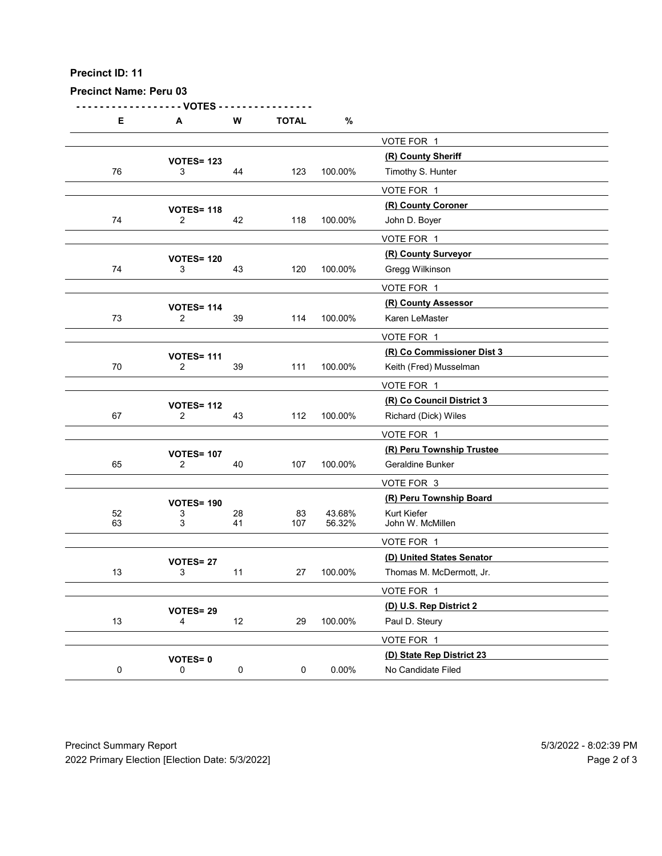| Precinct ID: 11               |                                     |             |              |         |                                                      |  |
|-------------------------------|-------------------------------------|-------------|--------------|---------|------------------------------------------------------|--|
| <b>Precinct Name: Peru 03</b> | - VOTES                             |             |              |         |                                                      |  |
| Е                             | A                                   | W           | <b>TOTAL</b> | $\%$    |                                                      |  |
|                               | <b>VOTES= 123</b>                   |             |              |         | VOTE FOR 1<br>(R) County Sheriff                     |  |
| 76                            | 3                                   | 44          | 123          | 100.00% | Timothy S. Hunter                                    |  |
|                               |                                     |             |              |         | VOTE FOR 1                                           |  |
| $74$                          | <b>VOTES= 118</b><br>$\overline{2}$ | 42          | 118          | 100.00% | (R) County Coroner<br>John D. Boyer                  |  |
|                               |                                     |             |              |         | VOTE FOR 1                                           |  |
| 74                            | <b>VOTES= 120</b>                   | 43          |              | 100.00% | (R) County Surveyor                                  |  |
|                               | 3                                   |             | 120          |         | Gregg Wilkinson<br>VOTE FOR 1                        |  |
|                               | <b>VOTES= 114</b>                   |             |              |         | (R) County Assessor                                  |  |
| 73                            | $\overline{2}$                      | 39          | 114          | 100.00% | Karen LeMaster                                       |  |
|                               |                                     |             |              |         | VOTE FOR 1                                           |  |
| $70\,$                        | <b>VOTES= 111</b><br>$\overline{2}$ | 39          | 111          | 100.00% | (R) Co Commissioner Dist 3<br>Keith (Fred) Musselman |  |
|                               |                                     |             |              |         | VOTE FOR 1                                           |  |
|                               | <b>VOTES= 112</b>                   |             |              |         | (R) Co Council District 3                            |  |
| 67                            | $\overline{2}$                      | 43          | 112          | 100.00% | Richard (Dick) Wiles<br>VOTE FOR 1                   |  |
|                               | <b>VOTES= 107</b>                   |             |              |         | (R) Peru Township Trustee                            |  |
| 65                            | $\overline{2}$                      | 40          | 107          | 100.00% | Geraldine Bunker                                     |  |
|                               |                                     |             |              |         | VOTE FOR 3                                           |  |
| 52                            | <b>VOTES= 190</b><br>3              | ${\bf 28}$  | 83           | 43.68%  | (R) Peru Township Board<br>Kurt Kiefer               |  |
| 63                            | 3                                   | 41          | 107          | 56.32%  | John W. McMillen                                     |  |
|                               |                                     |             |              |         | VOTE FOR 1<br>(D) United States Senator              |  |
| 13                            | <b>VOTES=27</b><br>3                | 11          | 27           | 100.00% | Thomas M. McDermott, Jr.                             |  |
|                               |                                     |             |              |         | VOTE FOR 1                                           |  |
| 13                            | VOTES= 29<br>$\overline{4}$         | $12$        | 29           | 100.00% | (D) U.S. Rep District 2<br>Paul D. Steury            |  |
|                               |                                     |             |              |         | VOTE FOR 1                                           |  |
|                               | <b>VOTES=0</b>                      |             |              |         | (D) State Rep District 23                            |  |
| $\mathbf 0$                   | $\mathbf 0$                         | $\mathbf 0$ | $\mathbf 0$  | 0.00%   | No Candidate Filed                                   |  |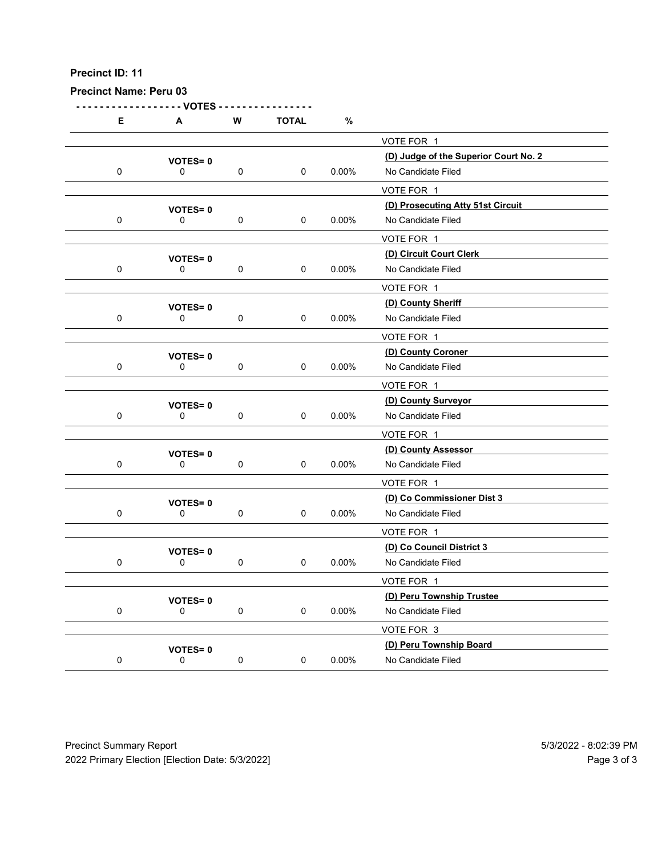| Precinct Name: Peru 03<br>- VOTES<br>${\bf W}$<br><b>TOTAL</b><br>$\%$<br>Е<br>A<br>VOTE FOR 1<br>(D) Judge of the Superior Court No. 2<br><b>VOTES=0</b><br>$0.00\%$<br>No Candidate Filed<br>$\mathbf 0$<br>0<br>$\mathbf 0$<br>$\mathbf 0$<br>VOTE FOR 1<br>(D) Prosecuting Atty 51st Circuit<br><b>VOTES=0</b><br>$\mathbf 0$<br>0<br>$\mathbf 0$<br>$\mathbf 0$<br>0.00%<br>No Candidate Filed<br>VOTE FOR 1<br>(D) Circuit Court Clerk<br><b>VOTES=0</b><br>$\mathbf 0$<br>$\mathbf 0$<br>$0.00\%$<br>No Candidate Filed<br>0<br>$\mathbf 0$<br>VOTE FOR 1<br>(D) County Sheriff<br><b>VOTES=0</b><br>$\mathbf 0$<br>$\mathbf 0$<br>0.00%<br>No Candidate Filed<br>0<br>0<br>VOTE FOR 1<br>(D) County Coroner<br><b>VOTES=0</b><br>$\mathbf 0$<br>No Candidate Filed<br>0<br>$\mathbf 0$<br>$\mathbf 0$<br>$0.00\%$<br>VOTE FOR 1<br>(D) County Surveyor<br><b>VOTES=0</b><br>$\mathbf 0$<br>No Candidate Filed<br>$\mathbf 0$<br>$\mathbf 0$<br>$\mathbf 0$<br>$0.00\%$<br>VOTE FOR 1<br>(D) County Assessor<br><b>VOTES=0</b> |
|---------------------------------------------------------------------------------------------------------------------------------------------------------------------------------------------------------------------------------------------------------------------------------------------------------------------------------------------------------------------------------------------------------------------------------------------------------------------------------------------------------------------------------------------------------------------------------------------------------------------------------------------------------------------------------------------------------------------------------------------------------------------------------------------------------------------------------------------------------------------------------------------------------------------------------------------------------------------------------------------------------------------------------------|
|                                                                                                                                                                                                                                                                                                                                                                                                                                                                                                                                                                                                                                                                                                                                                                                                                                                                                                                                                                                                                                       |
|                                                                                                                                                                                                                                                                                                                                                                                                                                                                                                                                                                                                                                                                                                                                                                                                                                                                                                                                                                                                                                       |
|                                                                                                                                                                                                                                                                                                                                                                                                                                                                                                                                                                                                                                                                                                                                                                                                                                                                                                                                                                                                                                       |
|                                                                                                                                                                                                                                                                                                                                                                                                                                                                                                                                                                                                                                                                                                                                                                                                                                                                                                                                                                                                                                       |
|                                                                                                                                                                                                                                                                                                                                                                                                                                                                                                                                                                                                                                                                                                                                                                                                                                                                                                                                                                                                                                       |
|                                                                                                                                                                                                                                                                                                                                                                                                                                                                                                                                                                                                                                                                                                                                                                                                                                                                                                                                                                                                                                       |
|                                                                                                                                                                                                                                                                                                                                                                                                                                                                                                                                                                                                                                                                                                                                                                                                                                                                                                                                                                                                                                       |
|                                                                                                                                                                                                                                                                                                                                                                                                                                                                                                                                                                                                                                                                                                                                                                                                                                                                                                                                                                                                                                       |
|                                                                                                                                                                                                                                                                                                                                                                                                                                                                                                                                                                                                                                                                                                                                                                                                                                                                                                                                                                                                                                       |
|                                                                                                                                                                                                                                                                                                                                                                                                                                                                                                                                                                                                                                                                                                                                                                                                                                                                                                                                                                                                                                       |
|                                                                                                                                                                                                                                                                                                                                                                                                                                                                                                                                                                                                                                                                                                                                                                                                                                                                                                                                                                                                                                       |
|                                                                                                                                                                                                                                                                                                                                                                                                                                                                                                                                                                                                                                                                                                                                                                                                                                                                                                                                                                                                                                       |
|                                                                                                                                                                                                                                                                                                                                                                                                                                                                                                                                                                                                                                                                                                                                                                                                                                                                                                                                                                                                                                       |
|                                                                                                                                                                                                                                                                                                                                                                                                                                                                                                                                                                                                                                                                                                                                                                                                                                                                                                                                                                                                                                       |
|                                                                                                                                                                                                                                                                                                                                                                                                                                                                                                                                                                                                                                                                                                                                                                                                                                                                                                                                                                                                                                       |
|                                                                                                                                                                                                                                                                                                                                                                                                                                                                                                                                                                                                                                                                                                                                                                                                                                                                                                                                                                                                                                       |
| $\mathbf 0$<br>$\mathbf 0$<br>$0.00\%$<br>No Candidate Filed<br>$\mathbf 0$<br>$\mathbf 0$                                                                                                                                                                                                                                                                                                                                                                                                                                                                                                                                                                                                                                                                                                                                                                                                                                                                                                                                            |
| VOTE FOR 1                                                                                                                                                                                                                                                                                                                                                                                                                                                                                                                                                                                                                                                                                                                                                                                                                                                                                                                                                                                                                            |
| (D) Co Commissioner Dist 3<br><b>VOTES=0</b>                                                                                                                                                                                                                                                                                                                                                                                                                                                                                                                                                                                                                                                                                                                                                                                                                                                                                                                                                                                          |
| $\mathbf 0$<br>$\mathbf 0$<br>$0.00\%$<br>No Candidate Filed<br>$\mathbf 0$<br>$\mathbf 0$<br>VOTE FOR 1                                                                                                                                                                                                                                                                                                                                                                                                                                                                                                                                                                                                                                                                                                                                                                                                                                                                                                                              |
| (D) Co Council District 3<br><b>VOTES=0</b>                                                                                                                                                                                                                                                                                                                                                                                                                                                                                                                                                                                                                                                                                                                                                                                                                                                                                                                                                                                           |
| $\mathbf 0$<br>$\mathbf 0$<br>$0.00\%$<br>No Candidate Filed<br>$\mathbf 0$<br>$\mathbf 0$                                                                                                                                                                                                                                                                                                                                                                                                                                                                                                                                                                                                                                                                                                                                                                                                                                                                                                                                            |
| VOTE FOR 1                                                                                                                                                                                                                                                                                                                                                                                                                                                                                                                                                                                                                                                                                                                                                                                                                                                                                                                                                                                                                            |
| (D) Peru Township Trustee<br><b>VOTES=0</b><br>$0.00\%$<br>No Candidate Filed<br>$\mathbf 0$<br>$\mathbf 0$<br>$\mathbf 0$<br>$\mathbf 0$                                                                                                                                                                                                                                                                                                                                                                                                                                                                                                                                                                                                                                                                                                                                                                                                                                                                                             |
| VOTE FOR 3                                                                                                                                                                                                                                                                                                                                                                                                                                                                                                                                                                                                                                                                                                                                                                                                                                                                                                                                                                                                                            |
| (D) Peru Township Board<br><b>VOTES=0</b>                                                                                                                                                                                                                                                                                                                                                                                                                                                                                                                                                                                                                                                                                                                                                                                                                                                                                                                                                                                             |
| ${\bf 0}$<br>$\mathsf 0$<br>$\pmb{0}$<br>$0.00\%$<br>No Candidate Filed<br>$\mathbf 0$                                                                                                                                                                                                                                                                                                                                                                                                                                                                                                                                                                                                                                                                                                                                                                                                                                                                                                                                                |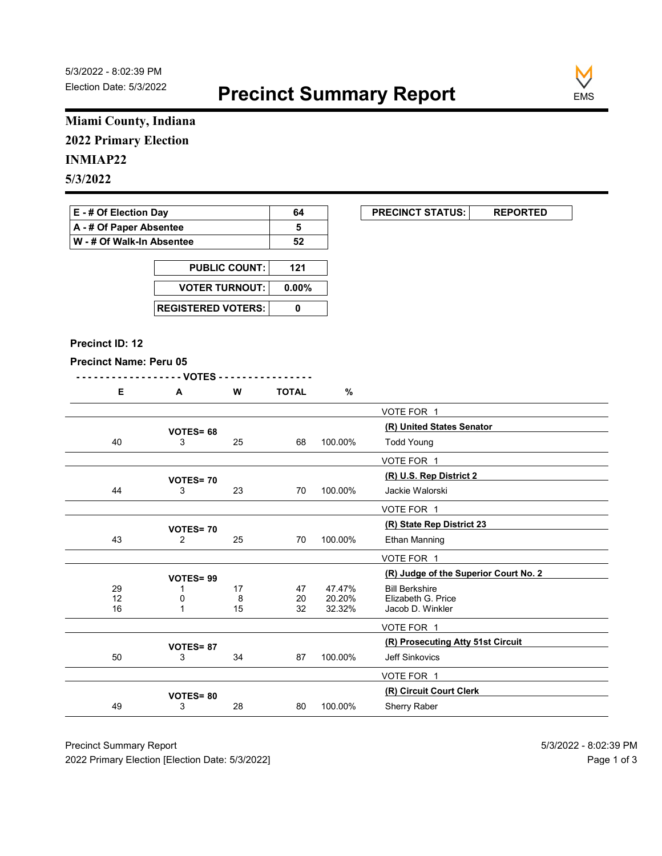

### Miami County, Indiana 2022 Primary Election

### INMIAP22

| E - # Of Election Day       | 64 | <b>PRECINCT STATUS:</b> |  |
|-----------------------------|----|-------------------------|--|
| A - # Of Paper Absentee     |    |                         |  |
| ∣ W - # Of Walk-In Absentee | 52 |                         |  |

| <b>PUBLIC COUNT:</b> | 121 |
|----------------------|-----|
| VOTER TURNOUT: 0.00% |     |
|                      |     |

#### Precinct ID: 12

|  |  |  |  | W | ገTAL |  |
|--|--|--|--|---|------|--|
|--|--|--|--|---|------|--|

|                               | Miami County, Indiana     |                      |                                               |                  |                                             |
|-------------------------------|---------------------------|----------------------|-----------------------------------------------|------------------|---------------------------------------------|
| <b>2022 Primary Election</b>  |                           |                      |                                               |                  |                                             |
| <b>INMIAP22</b>               |                           |                      |                                               |                  |                                             |
| 5/3/2022                      |                           |                      |                                               |                  |                                             |
|                               |                           |                      |                                               |                  |                                             |
| E - # Of Election Day         |                           |                      | 64                                            |                  | <b>PRECINCT STATUS:</b><br><b>REPORTED</b>  |
| A - # Of Paper Absentee       |                           |                      | 5                                             |                  |                                             |
| W - # Of Walk-In Absentee     |                           |                      | 52                                            |                  |                                             |
|                               |                           | <b>PUBLIC COUNT:</b> | 121                                           |                  |                                             |
|                               | <b>VOTER TURNOUT:</b>     |                      | $0.00\%$                                      |                  |                                             |
|                               |                           |                      |                                               |                  |                                             |
|                               | <b>REGISTERED VOTERS:</b> |                      | $\pmb{0}$                                     |                  |                                             |
|                               |                           |                      |                                               |                  |                                             |
| Precinct ID: 12               |                           |                      |                                               |                  |                                             |
| <b>Precinct Name: Peru 05</b> |                           |                      |                                               |                  |                                             |
| E                             | - - VOTES -<br>A          | W                    | .<br><b>TOTAL</b>                             | $\%$             |                                             |
|                               |                           |                      |                                               |                  | VOTE FOR 1                                  |
|                               |                           |                      |                                               |                  | (R) United States Senator                   |
| 40                            | VOTES= 68<br>3            | 25                   | 68                                            | 100.00%          | <b>Todd Young</b>                           |
|                               |                           |                      |                                               |                  | VOTE FOR 1                                  |
|                               | <b>VOTES=70</b>           |                      |                                               |                  | (R) U.S. Rep District 2                     |
| 44                            | 3                         | 23                   | 70                                            | 100.00%          | Jackie Walorski                             |
|                               |                           |                      |                                               |                  | VOTE FOR 1                                  |
|                               | <b>VOTES=70</b>           |                      |                                               |                  | (R) State Rep District 23                   |
| 43                            | $\overline{2}$            | 25                   | 70                                            | 100.00%          | Ethan Manning                               |
|                               |                           |                      |                                               |                  | VOTE FOR 1                                  |
|                               | VOTES=99                  |                      |                                               |                  | (R) Judge of the Superior Court No. 2       |
| 29<br>12                      | -1<br>0                   | 17<br>8              | 47<br>$\begin{array}{c} 20 \\ 32 \end{array}$ | 47.47%<br>20.20% | <b>Bill Berkshire</b><br>Elizabeth G. Price |
| 16                            | $\overline{1}$            | 15                   |                                               | 32.32%           | Jacob D. Winkler                            |
|                               |                           |                      |                                               |                  | VOTE FOR 1                                  |
|                               | VOTES=87                  |                      |                                               |                  | (R) Prosecuting Atty 51st Circuit           |
| 50                            | 3                         | 34                   | 87                                            | 100.00%          | Jeff Sinkovics                              |
|                               |                           |                      |                                               |                  | VOTE FOR 1                                  |
|                               | <b>VOTES=80</b>           | 28                   | 80                                            | 100.00%          | (R) Circuit Court Clerk<br>Sherry Raber     |
| 49                            | 3                         |                      |                                               |                  |                                             |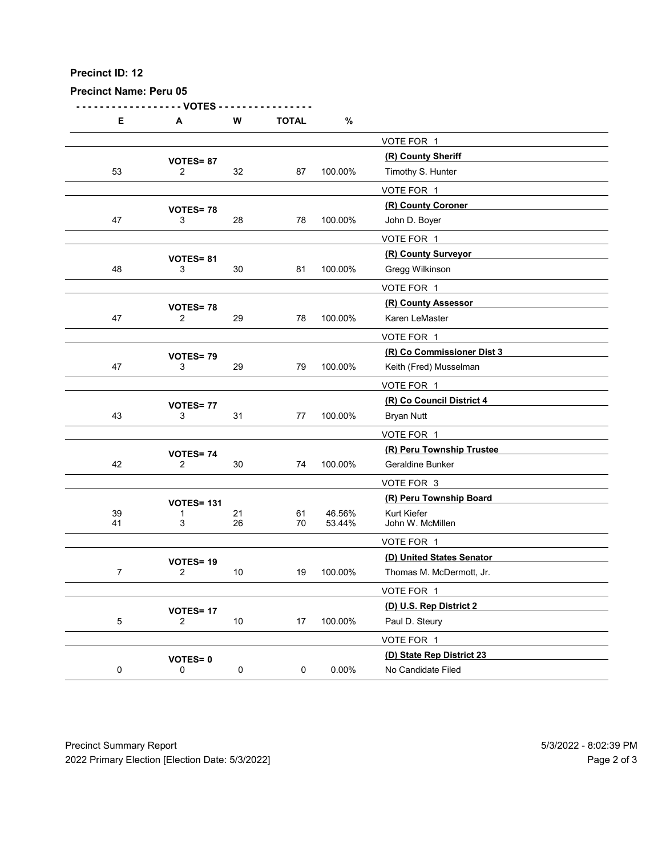| Precinct ID: 12               |                                   |             |              |          |                                                      |  |
|-------------------------------|-----------------------------------|-------------|--------------|----------|------------------------------------------------------|--|
| <b>Precinct Name: Peru 05</b> |                                   |             |              |          |                                                      |  |
| E                             | - VOTES<br>A                      | W           | <b>TOTAL</b> | $\%$     |                                                      |  |
|                               |                                   |             |              |          | VOTE FOR 1                                           |  |
| 53                            | VOTES=87<br>$\overline{2}$        | 32          | 87           | 100.00%  | (R) County Sheriff<br>Timothy S. Hunter              |  |
|                               |                                   |             |              |          | VOTE FOR 1                                           |  |
|                               | VOTES=78                          |             |              |          | (R) County Coroner                                   |  |
| $47\,$                        | 3                                 | 28          | 78           | 100.00%  | John D. Boyer<br>VOTE FOR 1                          |  |
|                               | VOTES=81                          |             |              |          | (R) County Surveyor                                  |  |
| 48                            | 3                                 | $30\,$      | 81           | 100.00%  | Gregg Wilkinson                                      |  |
|                               |                                   |             |              |          | VOTE FOR 1<br>(R) County Assessor                    |  |
| $47\,$                        | <b>VOTES=78</b><br>$\overline{c}$ | 29          | 78           | 100.00%  | Karen LeMaster                                       |  |
|                               |                                   |             |              |          | VOTE FOR 1                                           |  |
| 47                            | VOTES=79<br>3                     | 29          | 79           | 100.00%  | (R) Co Commissioner Dist 3<br>Keith (Fred) Musselman |  |
|                               |                                   |             |              |          | VOTE FOR 1                                           |  |
|                               | VOTES=77                          |             |              |          | (R) Co Council District 4                            |  |
| 43                            | $\mathbf{3}$                      | 31          | 77           | 100.00%  | <b>Bryan Nutt</b>                                    |  |
|                               |                                   |             |              |          | VOTE FOR 1<br>(R) Peru Township Trustee              |  |
| 42                            | <b>VOTES=74</b><br>$\mathbf{2}$   | 30          | 74           | 100.00%  | Geraldine Bunker                                     |  |
|                               |                                   |             |              |          | VOTE FOR 3                                           |  |
| $39\,$                        | <b>VOTES= 131</b><br>-1           | 21          | 61           | 46.56%   | (R) Peru Township Board<br>Kurt Kiefer               |  |
| 41                            | 3                                 | 26          | 70           | 53.44%   | John W. McMillen                                     |  |
|                               |                                   |             |              |          | VOTE FOR 1<br>(D) United States Senator              |  |
| $\overline{7}$                | VOTES=19<br>$\overline{2}$        | $10$        | 19           | 100.00%  | Thomas M. McDermott, Jr.                             |  |
|                               |                                   |             |              |          | VOTE FOR 1                                           |  |
| $\sqrt{5}$                    | <b>VOTES=17</b><br>$\mathbf{2}$   | $10$        | 17           | 100.00%  | (D) U.S. Rep District 2<br>Paul D. Steury            |  |
|                               |                                   |             |              |          | VOTE FOR 1                                           |  |
|                               | VOTES=0                           |             |              |          | (D) State Rep District 23                            |  |
| $\mathbf 0$                   | 0                                 | $\mathbf 0$ | 0            | $0.00\%$ | No Candidate Filed                                   |  |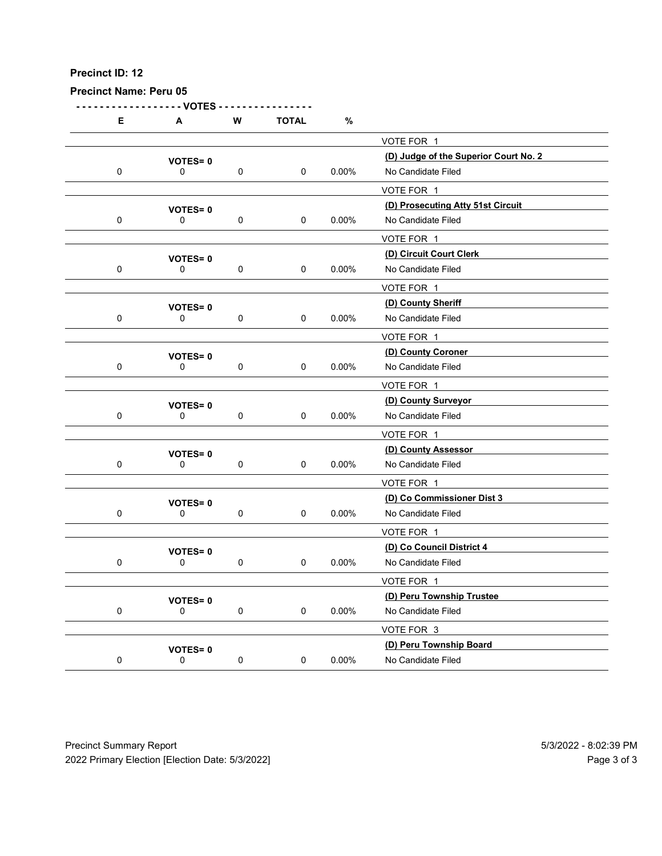|             | <b>Precinct Name: Peru 05</b>  |             |              |          |                                                             |  |
|-------------|--------------------------------|-------------|--------------|----------|-------------------------------------------------------------|--|
| Е           | - VOTES<br>A                   | ${\bf W}$   | <b>TOTAL</b> | $\%$     |                                                             |  |
|             |                                |             |              |          | VOTE FOR 1                                                  |  |
| $\mathbf 0$ | <b>VOTES=0</b><br>0            | $\mathbf 0$ | $\mathbf 0$  | $0.00\%$ | (D) Judge of the Superior Court No. 2<br>No Candidate Filed |  |
|             |                                |             |              |          | VOTE FOR 1                                                  |  |
|             | <b>VOTES=0</b>                 |             |              |          | (D) Prosecuting Atty 51st Circuit                           |  |
| $\mathbf 0$ | 0                              | $\mathbf 0$ | $\mathbf 0$  | 0.00%    | No Candidate Filed<br>VOTE FOR 1                            |  |
|             | <b>VOTES=0</b>                 |             |              |          | (D) Circuit Court Clerk                                     |  |
| $\mathbf 0$ | 0                              | $\mathbf 0$ | $\mathbf 0$  | $0.00\%$ | No Candidate Filed                                          |  |
|             |                                |             |              |          | VOTE FOR 1<br>(D) County Sheriff                            |  |
| $\mathbf 0$ | <b>VOTES=0</b><br>$\mathbf 0$  | 0           | 0            | 0.00%    | No Candidate Filed                                          |  |
|             |                                |             |              |          | VOTE FOR 1                                                  |  |
| $\mathbf 0$ | <b>VOTES=0</b><br>0            | $\mathbf 0$ | $\mathbf 0$  | $0.00\%$ | (D) County Coroner<br>No Candidate Filed                    |  |
|             |                                |             |              |          | VOTE FOR 1                                                  |  |
|             | <b>VOTES=0</b>                 |             |              |          | (D) County Surveyor                                         |  |
| $\mathbf 0$ | $\mathbf 0$                    | $\mathbf 0$ | $\mathbf 0$  | $0.00\%$ | No Candidate Filed                                          |  |
|             | <b>VOTES=0</b>                 |             |              |          | VOTE FOR 1<br>(D) County Assessor                           |  |
| $\mathbf 0$ | $\mathsf{O}$                   | $\mathbf 0$ | $\mathbf 0$  | $0.00\%$ | No Candidate Filed                                          |  |
|             |                                |             |              |          | VOTE FOR 1                                                  |  |
| $\mathbf 0$ | <b>VOTES=0</b><br>$\mathsf{O}$ | $\mathbf 0$ | $\mathbf 0$  | $0.00\%$ | (D) Co Commissioner Dist 3<br>No Candidate Filed            |  |
|             |                                |             |              |          | VOTE FOR 1                                                  |  |
|             | <b>VOTES=0</b>                 |             |              |          | (D) Co Council District 4                                   |  |
| $\mathbf 0$ | $\mathsf{O}$                   | $\mathbf 0$ | $\mathbf 0$  | $0.00\%$ | No Candidate Filed<br>VOTE FOR 1                            |  |
|             | <b>VOTES=0</b>                 |             |              |          | (D) Peru Township Trustee                                   |  |
| $\mathbf 0$ | $\mathsf{O}$                   | $\mathbf 0$ | $\mathbf 0$  | $0.00\%$ | No Candidate Filed                                          |  |
|             |                                |             |              |          | VOTE FOR 3<br>(D) Peru Township Board                       |  |
| $\mathbf 0$ | <b>VOTES=0</b><br>$\mathsf 0$  | $\pmb{0}$   | $\mathbf 0$  | $0.00\%$ | No Candidate Filed                                          |  |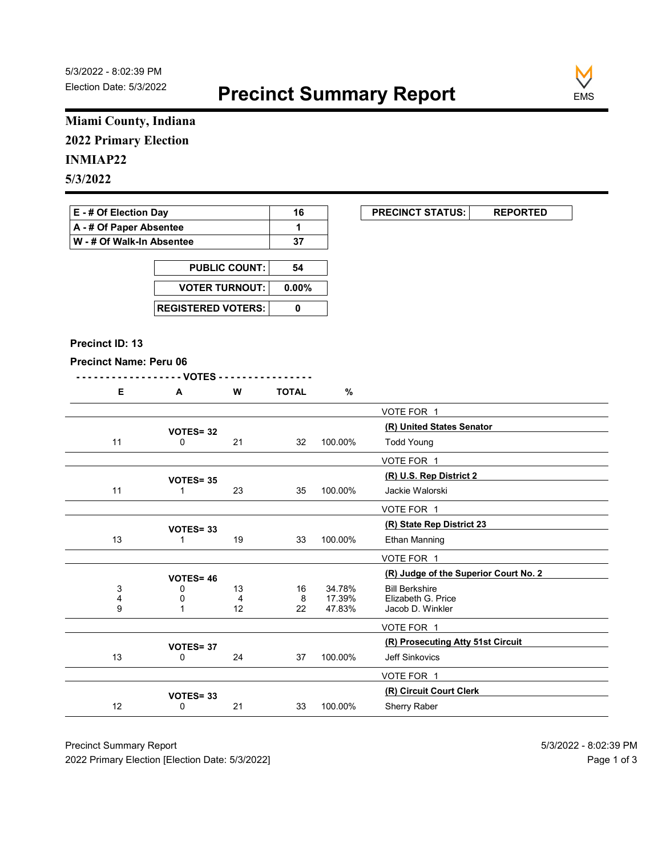

# Miami County, Indiana 2022 Primary Election

### INMIAP22

| E - # Of Election Day       | 16 | <b>PRECINCT STATUS:</b> |  |
|-----------------------------|----|-------------------------|--|
| A - # Of Paper Absentee     |    |                         |  |
| ∣ W - # Of Walk-In Absentee | 37 |                         |  |

| <b>PUBLIC COUNT:</b>        | 54 |
|-----------------------------|----|
| VOTER TURNOUT: 0.00%        |    |
| <b>REGISTERED VOTERS: I</b> |    |

#### Precinct ID: 13

```
- - - - - - - - - - - - - - - - - - VOTES - - - - - - - - - - - - - - - -
```

|  | W | <b>TOTAL</b><br>O. |
|--|---|--------------------|
|  |   |                    |

|                               | Miami County, Indiana     |         |              |                  |                                             |
|-------------------------------|---------------------------|---------|--------------|------------------|---------------------------------------------|
| <b>2022 Primary Election</b>  |                           |         |              |                  |                                             |
| <b>INMIAP22</b>               |                           |         |              |                  |                                             |
| 5/3/2022                      |                           |         |              |                  |                                             |
|                               |                           |         |              |                  |                                             |
| E - # Of Election Day         |                           |         | 16           |                  | <b>PRECINCT STATUS:</b><br><b>REPORTED</b>  |
| A - # Of Paper Absentee       |                           |         | $\mathbf{1}$ |                  |                                             |
| W - # Of Walk-In Absentee     |                           |         | 37           |                  |                                             |
|                               | <b>PUBLIC COUNT:</b>      |         | 54           |                  |                                             |
|                               | <b>VOTER TURNOUT:</b>     |         | $0.00\%$     |                  |                                             |
|                               |                           |         |              |                  |                                             |
|                               | <b>REGISTERED VOTERS:</b> |         | $\pmb{0}$    |                  |                                             |
|                               |                           |         |              |                  |                                             |
| Precinct ID: 13               |                           |         |              |                  |                                             |
| <b>Precinct Name: Peru 06</b> |                           |         |              |                  |                                             |
| E                             | - VOTES -<br>A            | W       | <b>TOTAL</b> | $\%$             |                                             |
|                               |                           |         |              |                  | VOTE FOR 1                                  |
|                               |                           |         |              |                  | (R) United States Senator                   |
| 11                            | VOTES=32<br>0             | 21      | 32           | 100.00%          | <b>Todd Young</b>                           |
|                               |                           |         |              |                  | VOTE FOR 1                                  |
|                               | <b>VOTES=35</b>           |         |              |                  | (R) U.S. Rep District 2                     |
| 11                            | $\overline{1}$            | 23      | 35           | 100.00%          | Jackie Walorski                             |
|                               |                           |         |              |                  | VOTE FOR 1                                  |
|                               | VOTES=33                  |         |              |                  | (R) State Rep District 23                   |
| 13                            | $\overline{1}$            | 19      | 33           | 100.00%          | Ethan Manning                               |
|                               |                           |         |              |                  | VOTE FOR 1                                  |
|                               | <b>VOTES= 46</b>          |         |              |                  | (R) Judge of the Superior Court No. 2       |
| 3<br>4                        | 0<br>0                    | 13<br>4 | 16<br>8      | 34.78%<br>17.39% | <b>Bill Berkshire</b><br>Elizabeth G. Price |
| 9                             | $\overline{1}$            | 12      | $22\,$       | 47.83%           | Jacob D. Winkler                            |
|                               |                           |         |              |                  | VOTE FOR 1                                  |
|                               | VOTES= 37                 |         |              |                  | (R) Prosecuting Atty 51st Circuit           |
| 13                            | 0                         | 24      | 37           | 100.00%          | Jeff Sinkovics                              |
|                               |                           |         |              |                  | VOTE FOR 1                                  |
|                               | VOTES=33                  |         | 33           | 100.00%          | (R) Circuit Court Clerk<br>Sherry Raber     |
| 12                            | 0                         | 21      |              |                  |                                             |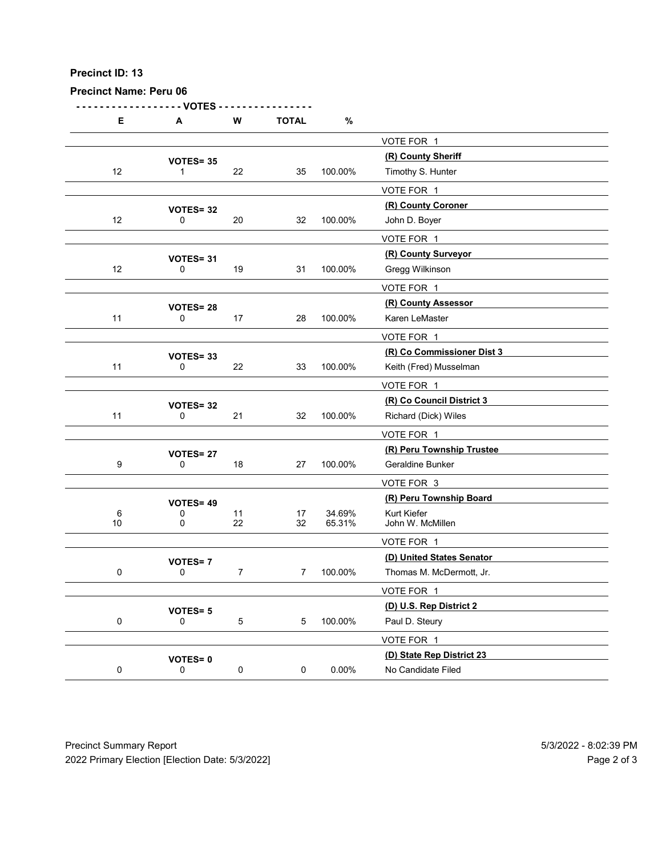| Precinct ID: 13               |                          |                |                |          |                                                   |  |
|-------------------------------|--------------------------|----------------|----------------|----------|---------------------------------------------------|--|
|                               |                          |                |                |          |                                                   |  |
|                               |                          |                |                |          |                                                   |  |
|                               |                          |                |                |          |                                                   |  |
|                               |                          |                |                |          |                                                   |  |
|                               |                          |                |                |          |                                                   |  |
| <b>Precinct Name: Peru 06</b> |                          |                |                |          |                                                   |  |
| E                             | - VOTES<br>A             | ${\bf W}$      | <b>TOTAL</b>   | $\%$     |                                                   |  |
|                               |                          |                |                |          | VOTE FOR 1                                        |  |
|                               | VOTES=35                 |                |                |          | (R) County Sheriff                                |  |
| 12                            | $\mathbf 1$              | 22             | 35             | 100.00%  | Timothy S. Hunter                                 |  |
|                               |                          |                |                |          | VOTE FOR 1<br>(R) County Coroner                  |  |
| 12                            | <b>VOTES= 32</b><br>0    | 20             | 32             | 100.00%  | John D. Boyer                                     |  |
|                               |                          |                |                |          | VOTE FOR 1                                        |  |
| 12                            | VOTES= 31<br>0           | 19             | 31             | 100.00%  | (R) County Surveyor<br>Gregg Wilkinson            |  |
|                               |                          |                |                |          | VOTE FOR 1                                        |  |
|                               | <b>VOTES= 28</b>         |                |                |          | (R) County Assessor                               |  |
| 11                            | 0                        | 17             | 28             | 100.00%  | Karen LeMaster                                    |  |
|                               |                          |                |                |          | VOTE FOR 1<br>(R) Co Commissioner Dist 3          |  |
| 11                            | VOTES=33<br>$\mathbf 0$  | 22             | 33             | 100.00%  | Keith (Fred) Musselman                            |  |
|                               |                          |                |                |          | VOTE FOR 1                                        |  |
| 11                            | VOTES= 32<br>$\mathbf 0$ | 21             | 32             | 100.00%  | (R) Co Council District 3<br>Richard (Dick) Wiles |  |
|                               |                          |                |                |          | VOTE FOR 1                                        |  |
|                               | <b>VOTES= 27</b>         |                |                |          | (R) Peru Township Trustee                         |  |
| 9                             | 0                        | 18             | 27             | 100.00%  | Geraldine Bunker                                  |  |
|                               |                          |                |                |          | VOTE FOR 3<br>(R) Peru Township Board             |  |
| 6                             | VOTES= 49<br>0           | 11             | 17             | 34.69%   | Kurt Kiefer                                       |  |
| 10                            | $\mathbf 0$              | 22             | 32             | 65.31%   | John W. McMillen                                  |  |
|                               |                          |                |                |          | VOTE FOR 1<br>(D) United States Senator           |  |
| $\mathbf 0$                   | <b>VOTES=7</b><br>0      | $\overline{7}$ | 7 <sup>7</sup> | 100.00%  | Thomas M. McDermott, Jr.                          |  |
|                               |                          |                |                |          | VOTE FOR 1                                        |  |
| $\mathbf 0$                   | <b>VOTES=5</b><br>0      | $\,$ 5 $\,$    | 5 <sub>1</sub> | 100.00%  | (D) U.S. Rep District 2<br>Paul D. Steury         |  |
|                               |                          |                |                |          | VOTE FOR 1                                        |  |
|                               | <b>VOTES=0</b>           |                |                |          | (D) State Rep District 23                         |  |
| $\mathbf 0$                   | 0                        | $\mathbf 0$    | 0              | $0.00\%$ | No Candidate Filed                                |  |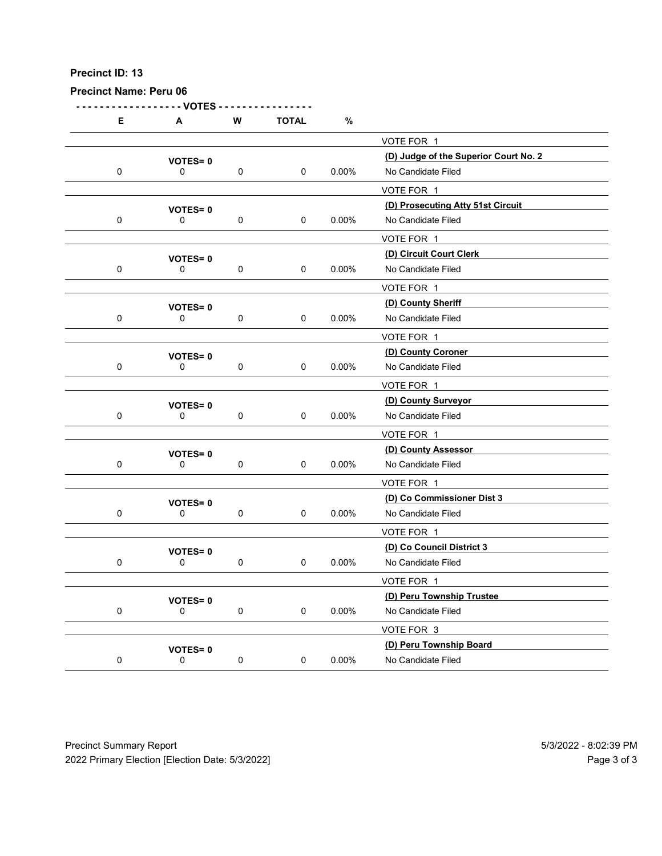Precinct Name: Peru 06

- - - - - - - - - - - - - - - - - - VOTES - - - - - - - - - - - - - - - - E A W TOTAL % VOTE FOR 1 (D) Judge of the Superior Court No. 2 VOTES= <sup>0</sup> 0 0 0 0 0.00% No Candidate Filed VOTE FOR 1 (D) Prosecuting Atty 51st Circuit VOTES= <sup>0</sup> 0 0 0 0 0.00% No Candidate Filed VOTE FOR 1 VOTES= 0<br>
0 0 0 0 0 0.00% No Candidate Filed<br>
0 0 0.00% No Candidate Filed 0 0 0 0 0.00% No Candidate Filed VOTE FOR 1 (D) County Sheriff VOTES= <sup>0</sup> 0 0 0 0 0 0.00% No Candidate Filed VOTE FOR 1 (D) County Coroner VOTES= <sup>0</sup> 0 0 0 0 0 0.00% No Candidate Filed VOTE FOR 1 VOTES= 0<br>
0 0 0 0 0 0 0.00% No Candidate Filed 0 0 0 0 0 0.00% No Candidate Filed VOTE FOR 1 (D) County Assessor VOTES= <sup>0</sup> 0 0 0 0 0 0.00% No Candidate Filed VOTE FOR 1 (D) Co Commissioner Dist 3 VOTES= <sup>0</sup> 0 0 0 0 0 0.00% No Candidate Filed VOTE FOR 1 VOTES= 0<br>
0 0 0 0 0 0.00% No Candidate Filed<br>
0 0 0.00% No Candidate Filed 0 0 0 0 0 0.00% No Candidate Filed VOTE FOR 1 (D) Peru Township Trustee VOTES= <sup>0</sup> 0 0 0 0 0 0.00% No Candidate Filed VOTE FOR 3 (D) Peru Township Board VOTES= <sup>0</sup> 0 0 0 0 0.00% No Candidate Filed Precinct Summary Report<br>
Precinct Summary Report<br>
Precinct Summary Report<br>
Precinct Summary Report<br>
Precinct Summary Report<br>
Precinct Summary Report<br>
Precinct Summary Report<br>
Precinct Summary Report<br>
Precinct Summary Rep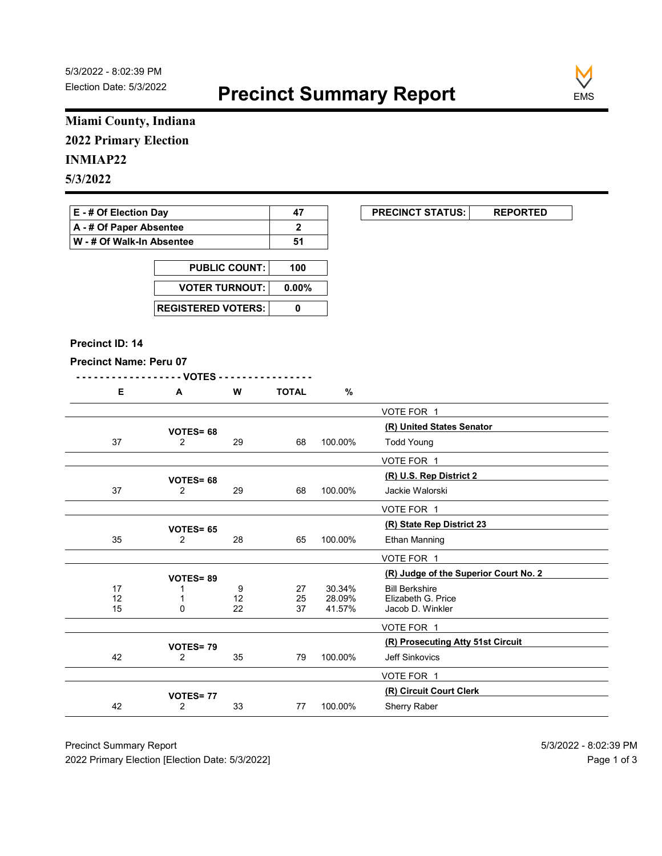

# Miami County, Indiana 2022 Primary Election

# INMIAP22

| E - # Of Election Day       | 47 | <b>PRECINCT STATUS:</b> |  |
|-----------------------------|----|-------------------------|--|
| A - # Of Paper Absentee     |    |                         |  |
| ∣ W - # Of Walk-In Absentee | 51 |                         |  |

| <b>PUBLIC COUNT:</b> | 100 |
|----------------------|-----|
| VOTER TURNOUT: 0.00% |     |
|                      |     |

#### Precinct ID: 14

```
- - - - - - - - - - - - - - - - - - VOTES - - - - - - - - - - - - - - - -
```

| <b>TOTAL</b><br>W<br>c |
|------------------------|
|------------------------|

|                                               | Miami County, Indiana       |                                              |                       |                  |                                             |  |
|-----------------------------------------------|-----------------------------|----------------------------------------------|-----------------------|------------------|---------------------------------------------|--|
| <b>2022 Primary Election</b>                  |                             |                                              |                       |                  |                                             |  |
| <b>INMIAP22</b>                               |                             |                                              |                       |                  |                                             |  |
| 5/3/2022                                      |                             |                                              |                       |                  |                                             |  |
|                                               |                             |                                              |                       |                  |                                             |  |
| E - # Of Election Day                         |                             |                                              | 47                    |                  | <b>PRECINCT STATUS:</b><br><b>REPORTED</b>  |  |
| A - # Of Paper Absentee                       |                             |                                              | $\mathbf{2}$          |                  |                                             |  |
| W - # Of Walk-In Absentee                     |                             |                                              | 51                    |                  |                                             |  |
|                                               |                             | <b>PUBLIC COUNT:</b>                         |                       |                  |                                             |  |
|                                               | <b>VOTER TURNOUT:</b>       |                                              | 100<br>$0.00\%$       |                  |                                             |  |
|                                               |                             |                                              |                       |                  |                                             |  |
|                                               | <b>REGISTERED VOTERS:</b>   |                                              | $\pmb{0}$             |                  |                                             |  |
|                                               |                             |                                              |                       |                  |                                             |  |
| Precinct ID: 14                               |                             |                                              |                       |                  |                                             |  |
| <b>Precinct Name: Peru 07</b>                 |                             |                                              |                       |                  |                                             |  |
| E                                             | - - VOTES -<br>A            | W                                            | <b>TOTAL</b>          | %                |                                             |  |
|                                               |                             |                                              |                       |                  | VOTE FOR 1                                  |  |
|                                               |                             |                                              |                       |                  | (R) United States Senator                   |  |
| 37                                            | VOTES= 68<br>$\overline{2}$ | 29                                           | 68                    | 100.00%          | <b>Todd Young</b>                           |  |
|                                               |                             |                                              |                       |                  | VOTE FOR 1                                  |  |
|                                               | VOTES= 68                   |                                              |                       |                  | (R) U.S. Rep District 2                     |  |
| 37                                            | $\overline{2}$              | 29                                           | 68                    | 100.00%          | Jackie Walorski                             |  |
|                                               |                             |                                              |                       |                  | VOTE FOR 1                                  |  |
|                                               | <b>VOTES= 65</b>            |                                              |                       |                  | (R) State Rep District 23                   |  |
| 35                                            | $\overline{2}$              | 28                                           | 65                    | 100.00%          | Ethan Manning                               |  |
|                                               |                             |                                              |                       |                  | VOTE FOR 1                                  |  |
|                                               | <b>VOTES=89</b>             |                                              |                       |                  | (R) Judge of the Superior Court No. 2       |  |
| 17<br>$\begin{array}{c} 12 \\ 15 \end{array}$ | -1<br>$\overline{1}$        | 9<br>$\begin{array}{c} 12 \\ 22 \end{array}$ | 27<br>$\frac{25}{37}$ | 30.34%<br>28.09% | <b>Bill Berkshire</b><br>Elizabeth G. Price |  |
|                                               | 0                           |                                              |                       | 41.57%           | Jacob D. Winkler                            |  |
|                                               |                             |                                              |                       |                  | VOTE FOR 1                                  |  |
|                                               | VOTES=79                    |                                              |                       |                  | (R) Prosecuting Atty 51st Circuit           |  |
| 42                                            | $\overline{2}$              | 35                                           | 79                    | 100.00%          | Jeff Sinkovics                              |  |
|                                               |                             |                                              |                       |                  | VOTE FOR 1                                  |  |
|                                               | VOTES=77                    |                                              | 77                    | 100.00%          | (R) Circuit Court Clerk<br>Sherry Raber     |  |
| 42                                            | $\overline{2}$              | 33                                           |                       |                  |                                             |  |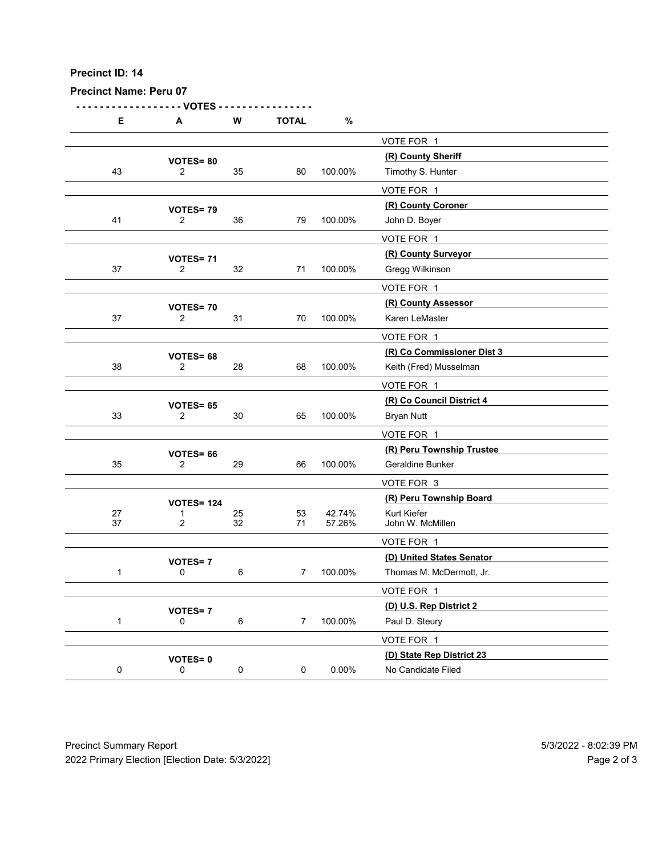| Precinct ID: 14               |                                       |             |                 |         |                                                      |  |
|-------------------------------|---------------------------------------|-------------|-----------------|---------|------------------------------------------------------|--|
| <b>Precinct Name: Peru 07</b> |                                       |             |                 |         |                                                      |  |
| Е                             | - VOTES<br>A                          | W           | <b>TOTAL</b>    | $\%$    |                                                      |  |
|                               |                                       |             |                 |         | VOTE FOR 1                                           |  |
| 43                            | <b>VOTES=80</b><br>$\overline{2}$     | 35          | 80              | 100.00% | (R) County Sheriff<br>Timothy S. Hunter              |  |
|                               |                                       |             |                 |         | VOTE FOR 1                                           |  |
|                               | VOTES=79                              |             |                 |         | (R) County Coroner                                   |  |
| 41                            | $\overline{2}$                        | 36          | 79              | 100.00% | John D. Boyer<br>VOTE FOR 1                          |  |
|                               | <b>VOTES= 71</b>                      |             |                 |         | (R) County Surveyor                                  |  |
| $37\,$                        | $\overline{2}$                        | 32          | 71              | 100.00% | Gregg Wilkinson                                      |  |
|                               |                                       |             |                 |         | VOTE FOR 1<br>(R) County Assessor                    |  |
| $37\,$                        | <b>VOTES=70</b><br>$\overline{2}$     | 31          | 70              | 100.00% | Karen LeMaster                                       |  |
|                               |                                       |             |                 |         | VOTE FOR 1                                           |  |
| $38\,$                        | VOTES= 68<br>$\overline{2}$           | 28          | 68              | 100.00% | (R) Co Commissioner Dist 3<br>Keith (Fred) Musselman |  |
|                               |                                       |             |                 |         | VOTE FOR 1                                           |  |
|                               | VOTES= 65                             |             |                 |         | (R) Co Council District 4                            |  |
| 33                            | $\overline{2}$                        | $30\,$      | 65              | 100.00% | <b>Bryan Nutt</b>                                    |  |
|                               |                                       |             |                 |         | VOTE FOR 1<br>(R) Peru Township Trustee              |  |
| $35\,$                        | VOTES= 66<br>$\overline{2}$           | 29          | 66              | 100.00% | Geraldine Bunker                                     |  |
|                               |                                       |             |                 |         | VOTE FOR 3                                           |  |
| $27\,$                        | <b>VOTES= 124</b>                     | 25          | 53              | 42.74%  | (R) Peru Township Board<br>Kurt Kiefer               |  |
| 37                            | $\overline{2}$                        | 32          | 71              | 57.26%  | John W. McMillen                                     |  |
|                               | <b>VOTES=7</b>                        |             |                 |         | VOTE FOR 1<br>(D) United States Senator              |  |
| $\mathbf{1}$                  | 0                                     | $\,6\,$     | 7 <sup>7</sup>  | 100.00% | Thomas M. McDermott, Jr.                             |  |
|                               |                                       |             |                 |         | VOTE FOR 1                                           |  |
| $\overline{1}$                | <b>VOTES=7</b><br>$\mathsf{O}\xspace$ | $\,6\,$     | $7\overline{ }$ | 100.00% | (D) U.S. Rep District 2<br>Paul D. Steury            |  |
|                               |                                       |             |                 |         | VOTE FOR 1                                           |  |
|                               | <b>VOTES=0</b>                        |             |                 |         | (D) State Rep District 23                            |  |
| $\mathbf 0$                   | $\mathbf 0$                           | $\mathbf 0$ | $\mathbf 0$     | 0.00%   | No Candidate Filed                                   |  |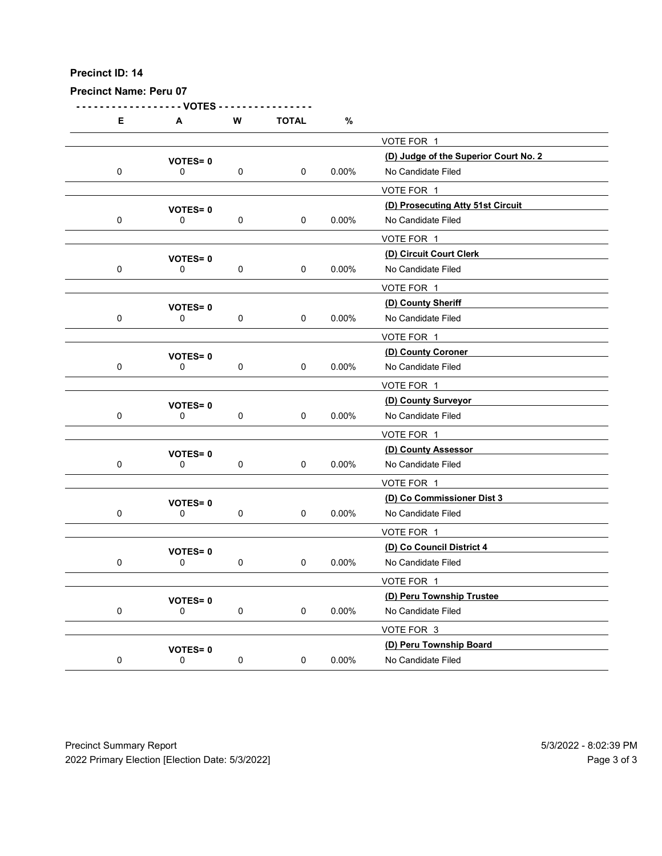|             | <b>Precinct Name: Peru 07</b> |             |              |          |                                                  |  |
|-------------|-------------------------------|-------------|--------------|----------|--------------------------------------------------|--|
|             | - VOTES                       | ${\bf W}$   | <b>TOTAL</b> | $\%$     |                                                  |  |
| Е           | A                             |             |              |          | VOTE FOR 1                                       |  |
|             | <b>VOTES=0</b>                |             |              |          | (D) Judge of the Superior Court No. 2            |  |
| $\mathbf 0$ | 0                             | $\mathbf 0$ | $\mathbf 0$  | $0.00\%$ | No Candidate Filed<br>VOTE FOR 1                 |  |
|             | <b>VOTES=0</b>                |             |              |          | (D) Prosecuting Atty 51st Circuit                |  |
| $\mathbf 0$ | 0                             | $\mathbf 0$ | $\mathbf 0$  | 0.00%    | No Candidate Filed<br>VOTE FOR 1                 |  |
|             | <b>VOTES=0</b>                |             |              |          | (D) Circuit Court Clerk                          |  |
| $\mathbf 0$ | 0                             | $\mathbf 0$ | $\mathbf 0$  | $0.00\%$ | No Candidate Filed                               |  |
|             |                               |             |              |          | VOTE FOR 1                                       |  |
| $\mathbf 0$ | <b>VOTES=0</b><br>$\mathbf 0$ | 0           | 0            | 0.00%    | (D) County Sheriff<br>No Candidate Filed         |  |
|             |                               |             |              |          | VOTE FOR 1                                       |  |
| $\mathbf 0$ | <b>VOTES=0</b><br>0           | $\mathbf 0$ | $\mathbf 0$  | $0.00\%$ | (D) County Coroner<br>No Candidate Filed         |  |
|             |                               |             |              |          | VOTE FOR 1                                       |  |
|             | <b>VOTES=0</b>                |             |              |          | (D) County Surveyor                              |  |
| $\mathbf 0$ | $\mathbf 0$                   | $\mathbf 0$ | $\mathbf 0$  | $0.00\%$ | No Candidate Filed                               |  |
|             |                               |             |              |          | VOTE FOR 1<br>(D) County Assessor                |  |
| $\mathbf 0$ | VOTES=0<br>$\mathbf 0$        | $\mathbf 0$ | $\mathbf 0$  | $0.00\%$ | No Candidate Filed                               |  |
|             |                               |             |              |          | VOTE FOR 1                                       |  |
| $\mathbf 0$ | <b>VOTES=0</b><br>$\mathbf 0$ | $\mathbf 0$ | $\mathbf 0$  | $0.00\%$ | (D) Co Commissioner Dist 3<br>No Candidate Filed |  |
|             |                               |             |              |          | VOTE FOR 1                                       |  |
|             | <b>VOTES=0</b>                |             |              |          | (D) Co Council District 4                        |  |
| $\mathbf 0$ | $\mathbf 0$                   | $\mathbf 0$ | $\mathbf 0$  | $0.00\%$ | No Candidate Filed                               |  |
|             | <b>VOTES=0</b>                |             |              |          | VOTE FOR 1<br>(D) Peru Township Trustee          |  |
| $\mathbf 0$ | $\mathbf 0$                   | $\mathbf 0$ | $\mathbf 0$  | $0.00\%$ | No Candidate Filed                               |  |
|             |                               |             |              |          | VOTE FOR 3                                       |  |
| ${\bf 0}$   | <b>VOTES=0</b><br>$\mathsf 0$ | $\pmb{0}$   | $\mathbf 0$  | $0.00\%$ | (D) Peru Township Board<br>No Candidate Filed    |  |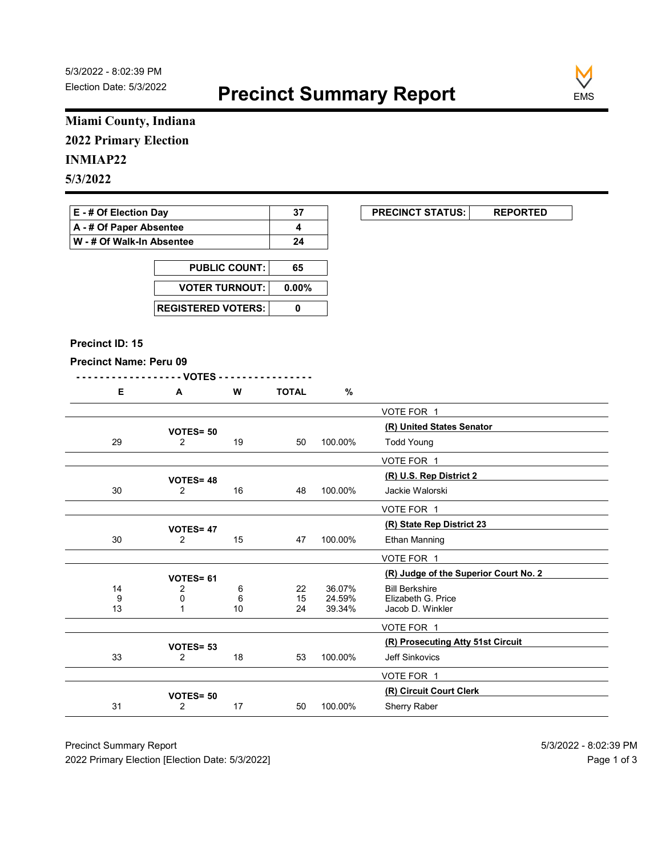

# Miami County, Indiana 2022 Primary Election

### INMIAP22

| E - # Of Election Day       | 37 | <b>PRECINCT STATUS:</b> |  |
|-----------------------------|----|-------------------------|--|
| A - # Of Paper Absentee     |    |                         |  |
| ∣ W - # Of Walk-In Absentee | 24 |                         |  |

| <b>PUBLIC COUNT:</b>        | 65 |
|-----------------------------|----|
| VOTER TURNOUT: 0.00%        |    |
| <b>REGISTERED VOTERS: I</b> |    |

#### Precinct ID: 15

|  | W | <b>TOTAL</b><br>- |  |
|--|---|-------------------|--|
|  |   |                   |  |

|                               | Miami County, Indiana             |                      |              |                  |                                            |
|-------------------------------|-----------------------------------|----------------------|--------------|------------------|--------------------------------------------|
| <b>2022 Primary Election</b>  |                                   |                      |              |                  |                                            |
| <b>INMIAP22</b>               |                                   |                      |              |                  |                                            |
| 5/3/2022                      |                                   |                      |              |                  |                                            |
|                               |                                   |                      |              |                  |                                            |
| E - # Of Election Day         |                                   |                      | 37           |                  | <b>PRECINCT STATUS:</b><br><b>REPORTED</b> |
| A - # Of Paper Absentee       |                                   |                      | 4            |                  |                                            |
| W - # Of Walk-In Absentee     |                                   |                      | 24           |                  |                                            |
|                               |                                   | <b>PUBLIC COUNT:</b> | 65           |                  |                                            |
|                               |                                   |                      |              |                  |                                            |
|                               | <b>VOTER TURNOUT:</b>             |                      | $0.00\%$     |                  |                                            |
|                               | <b>REGISTERED VOTERS:</b>         |                      | $\pmb{0}$    |                  |                                            |
|                               |                                   |                      |              |                  |                                            |
| Precinct ID: 15               |                                   |                      |              |                  |                                            |
| <b>Precinct Name: Peru 09</b> |                                   |                      |              |                  |                                            |
|                               | - - VOTES -                       |                      |              |                  |                                            |
| E                             | A                                 | W                    | <b>TOTAL</b> | %                |                                            |
|                               |                                   |                      |              |                  | VOTE FOR 1                                 |
|                               | VOTES= 50                         |                      |              |                  | (R) United States Senator                  |
| 29                            | $\overline{2}$                    | 19                   | 50           | 100.00%          | <b>Todd Young</b>                          |
|                               |                                   |                      |              |                  | VOTE FOR 1                                 |
| 30                            | <b>VOTES=48</b><br>$\overline{2}$ | 16                   | 48           | 100.00%          | (R) U.S. Rep District 2<br>Jackie Walorski |
|                               |                                   |                      |              |                  |                                            |
|                               |                                   |                      |              |                  | VOTE FOR 1<br>(R) State Rep District 23    |
| 30                            | VOTES= 47<br>$\overline{2}$       | 15                   | 47           | 100.00%          | Ethan Manning                              |
|                               |                                   |                      |              |                  | VOTE FOR 1                                 |
|                               |                                   |                      |              |                  | (R) Judge of the Superior Court No. 2      |
| 14                            | VOTES= 61<br>2                    | 6                    | 22           | 36.07%           | <b>Bill Berkshire</b>                      |
| 9<br>13                       | 0<br>$\overline{1}$               | 6<br>10              | 15<br>24     | 24.59%<br>39.34% | Elizabeth G. Price<br>Jacob D. Winkler     |
|                               |                                   |                      |              |                  | VOTE FOR 1                                 |
|                               |                                   |                      |              |                  | (R) Prosecuting Atty 51st Circuit          |
| 33                            | VOTES= 53<br>$\overline{2}$       | 18                   | 53           | 100.00%          | Jeff Sinkovics                             |
|                               |                                   |                      |              |                  | VOTE FOR 1                                 |
|                               | <b>VOTES= 50</b>                  |                      |              |                  | (R) Circuit Court Clerk                    |
|                               |                                   | 17                   | 50           | 100.00%          | Sherry Raber                               |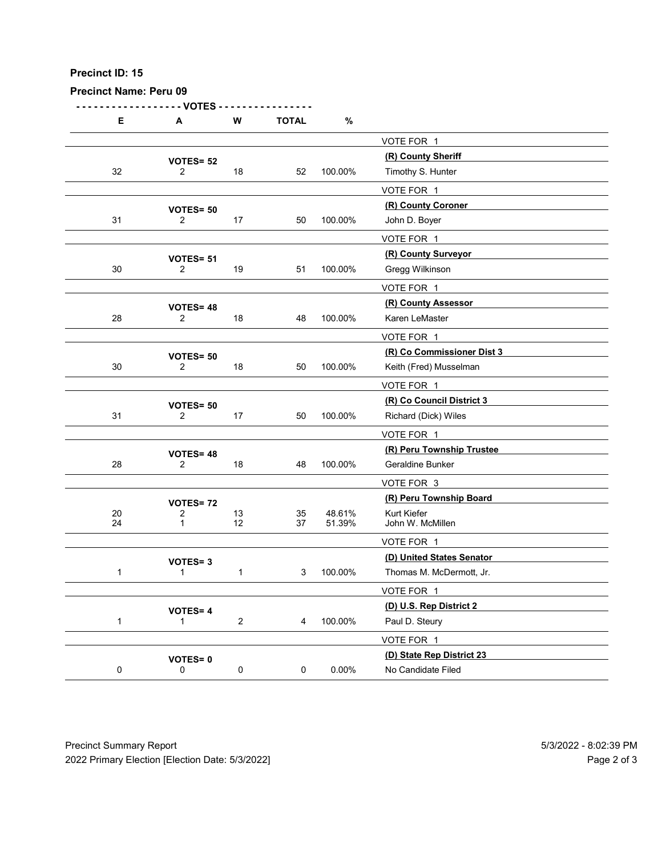| Precinct ID: 15               |                                    |              |                |                  |                                                       |  |
|-------------------------------|------------------------------------|--------------|----------------|------------------|-------------------------------------------------------|--|
| <b>Precinct Name: Peru 09</b> | - VOTES                            |              |                |                  |                                                       |  |
| Е                             | A                                  | W            | <b>TOTAL</b>   | $\%$             |                                                       |  |
|                               |                                    |              |                |                  | VOTE FOR 1<br>(R) County Sheriff                      |  |
| 32                            | VOTES= 52<br>$\overline{2}$        | 18           | 52             | 100.00%          | Timothy S. Hunter                                     |  |
|                               |                                    |              |                |                  | VOTE FOR 1                                            |  |
| 31                            | <b>VOTES= 50</b><br>$\overline{2}$ | $17$         | 50             | 100.00%          | (R) County Coroner<br>John D. Boyer                   |  |
|                               |                                    |              |                |                  | VOTE FOR 1                                            |  |
|                               | VOTES= 51                          |              |                |                  | (R) County Surveyor                                   |  |
| $30\,$                        | $\overline{2}$                     | 19           | 51             | 100.00%          | Gregg Wilkinson                                       |  |
|                               |                                    |              |                |                  | VOTE FOR 1<br>(R) County Assessor                     |  |
| 28                            | <b>VOTES=48</b><br>$\overline{2}$  | 18           | 48             | 100.00%          | Karen LeMaster                                        |  |
|                               |                                    |              |                |                  | VOTE FOR 1                                            |  |
| $30\,$                        | VOTES= 50<br>$\overline{2}$        | 18           | 50             | 100.00%          | (R) Co Commissioner Dist 3<br>Keith (Fred) Musselman  |  |
|                               |                                    |              |                |                  | VOTE FOR 1                                            |  |
|                               | VOTES= 50                          |              |                |                  | (R) Co Council District 3                             |  |
| 31                            | $\overline{2}$                     | $17$         | 50             | 100.00%          | Richard (Dick) Wiles                                  |  |
|                               |                                    |              |                |                  | VOTE FOR 1<br>(R) Peru Township Trustee               |  |
| 28                            | <b>VOTES=48</b><br>$\overline{2}$  | $18$         | 48             | 100.00%          | Geraldine Bunker                                      |  |
|                               |                                    |              |                |                  | VOTE FOR 3                                            |  |
|                               | <b>VOTES=72</b>                    |              |                |                  | (R) Peru Township Board                               |  |
| $20\,$<br>24                  | 2<br>$\overline{1}$                | $13$<br>12   | $35\,$<br>37   | 48.61%<br>51.39% | Kurt Kiefer<br>John W. McMillen                       |  |
|                               |                                    |              |                |                  | VOTE FOR 1                                            |  |
| $\mathbf{1}$                  | VOTES=3<br>$\overline{1}$          | $\mathbf{1}$ | 3 <sup>7</sup> | 100.00%          | (D) United States Senator<br>Thomas M. McDermott, Jr. |  |
|                               |                                    |              |                |                  | VOTE FOR 1                                            |  |
|                               | <b>VOTES=4</b>                     |              |                |                  | (D) U.S. Rep District 2                               |  |
| $\mathbf{1}$                  | $\mathbf{1}$                       | $\sqrt{2}$   | $\overline{4}$ | 100.00%          | Paul D. Steury                                        |  |
|                               |                                    |              |                |                  | VOTE FOR 1                                            |  |
| $\mathbf 0$                   | <b>VOTES=0</b><br>$\mathbf 0$      | $\mathbf 0$  | $\mathbf 0$    | 0.00%            | (D) State Rep District 23<br>No Candidate Filed       |  |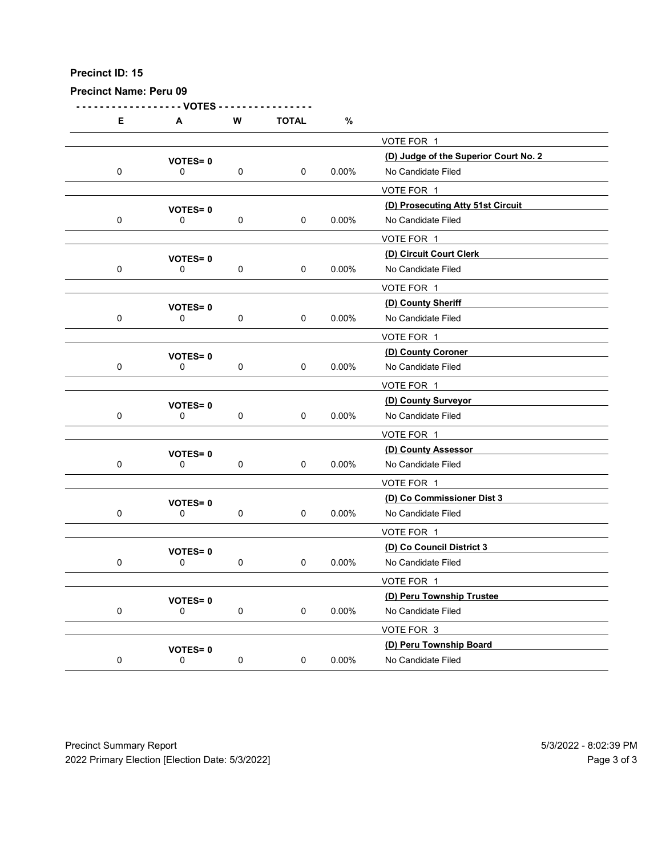Precinct Name: Peru 09

- - - - - - - - - - - - - - - - - - VOTES - - - - - - - - - - - - - - - - E A W TOTAL % VOTE FOR 1 VOTES= 0<br>0 0 0 0 0.00% No Candidate Filed<br>0 0 0.00% No Candidate Filed 0 0 0 0 0.00% No Candidate Filed

|             |                               |                     |                     |          | VOTE FOR 1                        |
|-------------|-------------------------------|---------------------|---------------------|----------|-----------------------------------|
|             | <b>VOTES=0</b>                |                     |                     |          | (D) Prosecuting Atty 51st Circuit |
| $\mathbf 0$ | $\mathbf 0$                   | $\mathsf{O}\xspace$ | $\mathsf{O}\xspace$ | $0.00\%$ | No Candidate Filed                |
|             |                               |                     |                     |          | VOTE FOR 1                        |
|             | <b>VOTES=0</b>                |                     |                     |          | (D) Circuit Court Clerk           |
| $\mathbf 0$ | $\mathsf{O}$                  | $\mathbf 0$         | $\mathsf{O}\xspace$ | $0.00\%$ | No Candidate Filed                |
|             |                               |                     |                     |          | VOTE FOR 1                        |
|             |                               |                     |                     |          | (D) County Sheriff                |
| $\mathbf 0$ | <b>VOTES=0</b><br>$\mathbf 0$ | $\mathbf 0$         | $\mathsf{O}\xspace$ | $0.00\%$ | No Candidate Filed                |
|             |                               |                     |                     |          |                                   |
|             |                               |                     |                     |          | VOTE FOR 1<br>(D) County Coroner  |
| $\mathbf 0$ | <b>VOTES=0</b><br>0           | $\mathbf 0$         | $\mathbf 0$         | $0.00\%$ | No Candidate Filed                |
|             |                               |                     |                     |          |                                   |
|             |                               |                     |                     |          | VOTE FOR 1                        |
|             | <b>VOTES=0</b>                |                     |                     |          | (D) County Surveyor               |
| 0           | 0                             | $\mathbf 0$         | $\mathbf 0$         | $0.00\%$ | No Candidate Filed                |
|             |                               |                     |                     |          | VOTE FOR 1                        |
|             | <b>VOTES=0</b>                |                     |                     |          | (D) County Assessor               |
| $\mathbf 0$ | 0                             | $\mathbf 0$         | 0                   | $0.00\%$ | No Candidate Filed                |
|             |                               |                     |                     |          | VOTE FOR 1                        |
|             | <b>VOTES=0</b>                |                     |                     |          | (D) Co Commissioner Dist 3        |
| $\mathbf 0$ | 0                             | $\mathbf 0$         | $\mathbf 0$         | $0.00\%$ | No Candidate Filed                |
|             |                               |                     |                     |          | VOTE FOR 1                        |
|             | <b>VOTES=0</b>                |                     |                     |          | (D) Co Council District 3         |
| $\mathbf 0$ | 0                             | $\mathsf 0$         | $\mathbf 0$         | $0.00\%$ | No Candidate Filed                |
|             |                               |                     |                     |          | VOTE FOR 1                        |
|             |                               |                     |                     |          | (D) Peru Township Trustee         |
| $\mathbf 0$ | VOTES=0<br>$\mathbf 0$        | $\mathbf 0$         | $\pmb{0}$           | $0.00\%$ | No Candidate Filed                |
|             |                               |                     |                     |          | VOTE FOR 3                        |
|             |                               |                     |                     |          |                                   |
|             | <b>VOTES=0</b>                |                     |                     |          | (D) Peru Township Board           |
| $\mathbf 0$ | 0                             | $\mathsf 0$         | 0                   | $0.00\%$ | No Candidate Filed                |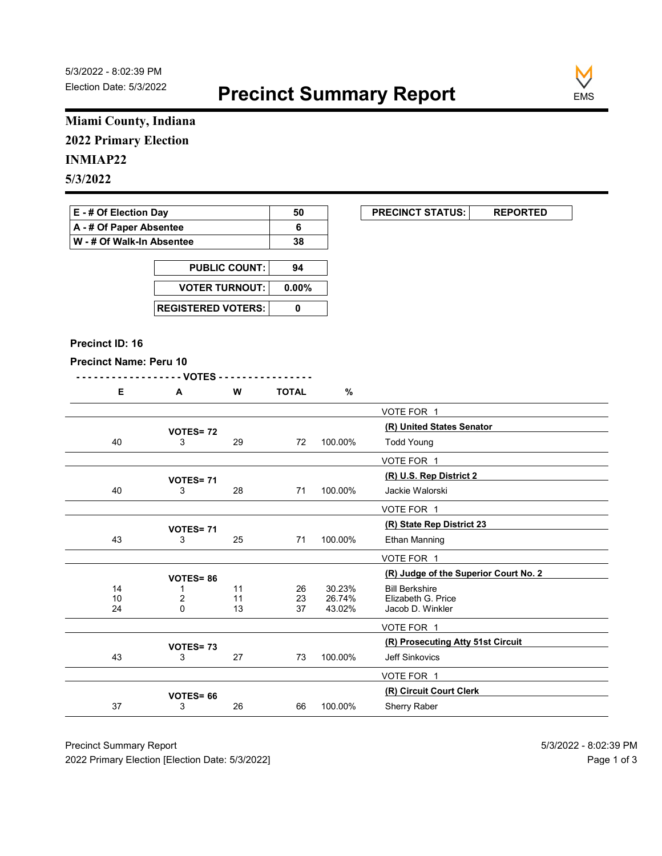

# Miami County, Indiana 2022 Primary Election

# INMIAP22

| E - # Of Election Day       | 50 | <b>PRECINCT STATUS:</b> |  |
|-----------------------------|----|-------------------------|--|
| A - # Of Paper Absentee     |    |                         |  |
| ∣ W - # Of Walk-In Absentee | 38 |                         |  |

| <b>PUBLIC COUNT:</b> | 94 |
|----------------------|----|
| VOTER TURNOUT: 0.00% |    |
|                      |    |

#### Precinct ID: 16

```
- - - - - - - - - - - - - - - - - - VOTES - - - - - - - - - - - - - - - -
```

|  | W<br>V V | TOTAL | 0 |
|--|----------|-------|---|
|  |          |       |   |

|                               | Miami County, Indiana     |                      |                       |                  |                                             |
|-------------------------------|---------------------------|----------------------|-----------------------|------------------|---------------------------------------------|
| <b>2022 Primary Election</b>  |                           |                      |                       |                  |                                             |
| <b>INMIAP22</b>               |                           |                      |                       |                  |                                             |
| 5/3/2022                      |                           |                      |                       |                  |                                             |
|                               |                           |                      |                       |                  |                                             |
| E - # Of Election Day         |                           |                      | 50                    |                  | <b>PRECINCT STATUS:</b><br><b>REPORTED</b>  |
| A - # Of Paper Absentee       |                           |                      | 6                     |                  |                                             |
| W - # Of Walk-In Absentee     |                           |                      | 38                    |                  |                                             |
|                               |                           | <b>PUBLIC COUNT:</b> | 94                    |                  |                                             |
|                               | <b>VOTER TURNOUT:</b>     |                      | $0.00\%$              |                  |                                             |
|                               |                           |                      |                       |                  |                                             |
|                               | <b>REGISTERED VOTERS:</b> |                      | $\mathbf 0$           |                  |                                             |
|                               |                           |                      |                       |                  |                                             |
| Precinct ID: 16               |                           |                      |                       |                  |                                             |
| <b>Precinct Name: Peru 10</b> | - VOTES -                 |                      |                       |                  |                                             |
| E                             | A                         | W                    | <b>TOTAL</b>          | $\%$             |                                             |
|                               |                           |                      |                       |                  | VOTE FOR 1                                  |
|                               |                           |                      |                       |                  | (R) United States Senator                   |
| 40                            | <b>VOTES=72</b><br>3      | 29                   | 72                    | 100.00%          | <b>Todd Young</b>                           |
|                               |                           |                      |                       |                  | VOTE FOR 1                                  |
|                               | VOTES=71                  |                      |                       |                  | (R) U.S. Rep District 2                     |
| 40                            | 3                         | 28                   | 71                    | 100.00%          | Jackie Walorski                             |
|                               |                           |                      |                       |                  | VOTE FOR 1                                  |
|                               | VOTES=71                  |                      |                       |                  | (R) State Rep District 23                   |
| 43                            | 3                         | 25                   | 71                    | 100.00%          | Ethan Manning                               |
|                               |                           |                      |                       |                  | VOTE FOR 1                                  |
|                               | <b>VOTES=86</b>           |                      |                       |                  | (R) Judge of the Superior Court No. 2       |
| 14<br>$\frac{10}{24}$         | -1<br>$_{0}^{2}$          | 11<br>11             | 26<br>$\frac{23}{37}$ | 30.23%<br>26.74% | <b>Bill Berkshire</b><br>Elizabeth G. Price |
|                               |                           | 13                   |                       | 43.02%           | Jacob D. Winkler                            |
|                               |                           |                      |                       |                  | VOTE FOR 1                                  |
|                               | VOTES=73                  |                      |                       |                  | (R) Prosecuting Atty 51st Circuit           |
| 43                            | 3                         | 27                   | 73                    | 100.00%          | Jeff Sinkovics                              |
|                               |                           |                      |                       |                  | VOTE FOR 1                                  |
|                               | VOTES= 66                 | 26                   | 66                    | 100.00%          | (R) Circuit Court Clerk<br>Sherry Raber     |
| $37\,$                        | 3                         |                      |                       |                  |                                             |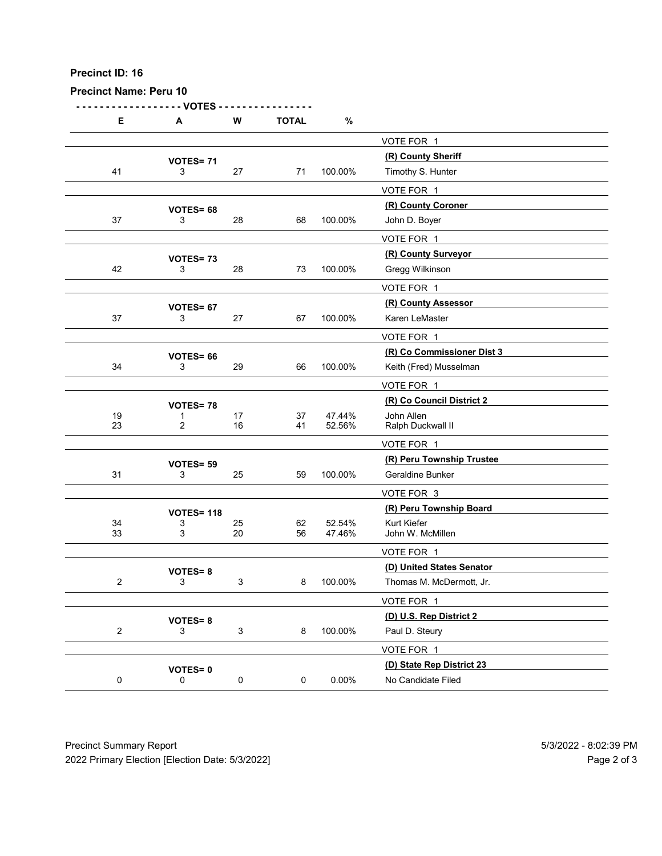Precinct Name: Peru 10

- - - - - - - - - - - - - - - - - - VOTES - - - - - - - - - - - - - - - - E A W TOTAL % VOTE FOR 1 **VOTES= 71**<br> $\frac{(R)$  County Sheriff<br> $\frac{(R)}{3}$  27  $\frac{71}{71}$  100.00% Timothy S. Hunter 41 3 27 71 100.00% Timothy S. Hunter VOTE FOR 1  $\begin{array}{r}\n\text{VOTES} = 68 \\
\text{100.00\%}\n\end{array}\n\quad\n\begin{array}{r}\n\text{(R) County Corner}\n\text{100.00\%}\n\end{array}\n\quad\n\begin{array}{r}\n\text{(R) County Coroner}\n\end{array}\n\quad\n\begin{array}{r}\n\text{(R) } \text{Courity} \\
\text{(R) } \text{Courity} \\
\text{(R) } \text{Courity} \\
\text{(L) } \text{Courity} \\
\text{(L) } \text{Courity} \\
\text{(L) } \text{Courity} \\
\text{(L) } \text{Couriv} \\
\text{($ 37 3 28 68 100.00% John D. Boyer VOTE FOR 1 (R) County Surveyor VOTES= <sup>73</sup> 42 3 28 73 100.00% Gregg Wilkinson VOTE FOR 1 VOTES= 67<br>
3 27 100.00% Karen LeMaster 37 3 27 67 100.00% Karen LeMaster VOTE FOR 1 (R) Co Commissioner Dist 3 VOTES= <sup>66</sup> 34 3 29 66 100.00% Keith (Fred) Musselman VOTE FOR 1 **VOTES= 78**<br>1  $\begin{array}{cc}\n 1 & 37 & 47.44\% & \text{John Allen}\n\end{array}$ 19 10 17 37 47.44% John Allen 23 2 16 41 52.56% Ralph Duckwall II VOTE FOR 1 VOTES= 59<br>
3 25 59 100.00% Geraldine Bunker<br>
3 25 59 100.00% Geraldine Bunker 31 3 3 25 59 100.00% Geraldine Bunker VOTE FOR 3 VOTES= 118<br>3 25 62 52.54% Kurt Kiefer 34 3 25 62 52.54% Kurt Kiefer 33 3 20 56 47.46% John W. McMillen VOTE FOR 1 VOTES= 8<br>
3
3
3
3
3
3
3
3
3
3
3
3
3
3
5
3
4D) United States Senator<br>
Thomas M. McDermott, Jr. 2 3 3 8 100.00% Thomas M. McDermott, Jr. VOTE FOR 1 **VOTES= 8**  $\overline{3}$  3 8 100.00% Paul D. Steury 2 3 3 8 100.00% Paul D. Steury VOTE FOR 1 VOTES= 0<br>
0 0 0 0 0 0.00% No Candidate Filed<br>
0 0 0.00% No Candidate Filed 0 0 0 0 0 0.00% No Candidate Filed 91 VOTES= 69 25 59 100.00% Caraldine Bunker<br>
VOTE FOR 3<br>
92 52 54% (R) Penu Township Board<br>
93 3 20 56 47.46% John V. Moldlinen<br>
92 52 52 54% John V. Moldlinen<br>
92 56 47.46% John V. Moldlinen<br>
92 56 47.46% John V. Moldlin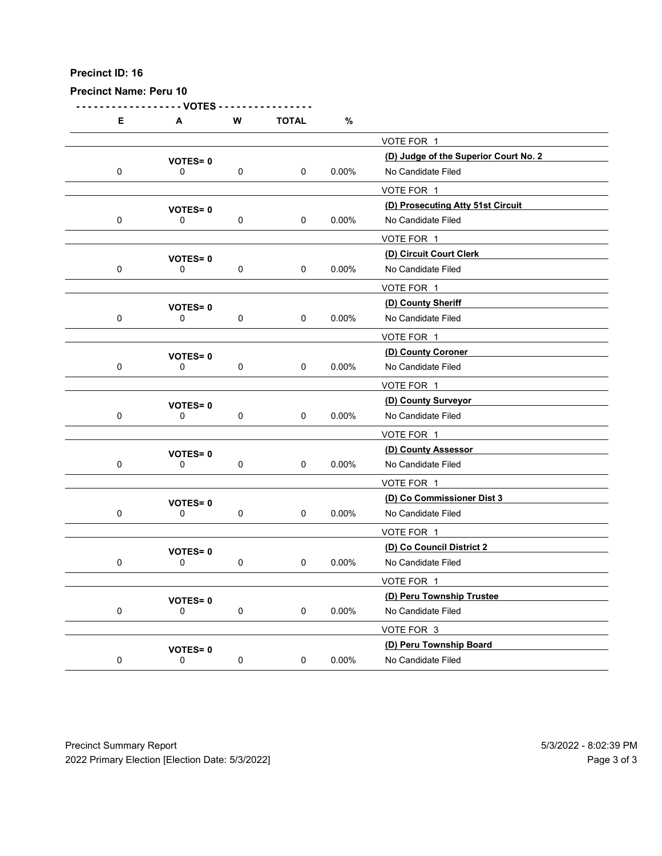| <b>Precinct Name: Peru 10</b> |                               |             |              |          |                                                             |  |
|-------------------------------|-------------------------------|-------------|--------------|----------|-------------------------------------------------------------|--|
| Е                             | - VOTES<br>A                  | ${\bf W}$   | <b>TOTAL</b> | $\%$     |                                                             |  |
|                               |                               |             |              |          | VOTE FOR 1                                                  |  |
| $\mathbf 0$                   | <b>VOTES=0</b><br>0           | $\mathbf 0$ | $\mathbf 0$  | $0.00\%$ | (D) Judge of the Superior Court No. 2<br>No Candidate Filed |  |
|                               |                               |             |              |          | VOTE FOR 1                                                  |  |
| $\mathbf 0$                   | <b>VOTES=0</b><br>0           | $\mathbf 0$ | $\mathbf 0$  | 0.00%    | (D) Prosecuting Atty 51st Circuit<br>No Candidate Filed     |  |
|                               |                               |             |              |          | VOTE FOR 1                                                  |  |
|                               | <b>VOTES=0</b>                |             |              |          | (D) Circuit Court Clerk                                     |  |
| $\mathbf 0$                   | 0                             | $\mathbf 0$ | $\mathbf 0$  | $0.00\%$ | No Candidate Filed                                          |  |
|                               |                               |             |              |          | VOTE FOR 1                                                  |  |
| $\mathbf 0$                   | <b>VOTES=0</b><br>$\mathbf 0$ | 0           | 0            | 0.00%    | (D) County Sheriff<br>No Candidate Filed                    |  |
|                               |                               |             |              |          | VOTE FOR 1                                                  |  |
|                               | <b>VOTES=0</b>                |             |              |          | (D) County Coroner                                          |  |
| $\mathbf 0$                   | 0                             | $\mathbf 0$ | $\mathbf 0$  | $0.00\%$ | No Candidate Filed                                          |  |
|                               | <b>VOTES=0</b>                |             |              |          | VOTE FOR 1<br>(D) County Surveyor                           |  |
| $\mathbf 0$                   | $\mathbf 0$                   | $\mathbf 0$ | $\mathbf 0$  | $0.00\%$ | No Candidate Filed                                          |  |
|                               |                               |             |              |          | VOTE FOR 1                                                  |  |
| $\mathbf 0$                   | VOTES=0<br>$\mathbf 0$        | $\mathbf 0$ | $\mathbf 0$  | $0.00\%$ | (D) County Assessor<br>No Candidate Filed                   |  |
|                               |                               |             |              |          | VOTE FOR 1                                                  |  |
|                               | <b>VOTES=0</b>                |             |              |          | (D) Co Commissioner Dist 3                                  |  |
| $\mathbf 0$                   | $\mathbf 0$                   | $\mathbf 0$ | $\mathbf 0$  | $0.00\%$ | No Candidate Filed                                          |  |
|                               |                               |             |              |          | VOTE FOR 1<br>(D) Co Council District 2                     |  |
| $\mathbf 0$                   | <b>VOTES=0</b><br>$\mathbf 0$ | $\mathbf 0$ | $\mathbf 0$  | $0.00\%$ | No Candidate Filed                                          |  |
|                               |                               |             |              |          | VOTE FOR 1                                                  |  |
|                               | <b>VOTES=0</b>                |             |              |          | (D) Peru Township Trustee                                   |  |
| $\mathbf 0$                   | $\mathbf 0$                   | $\mathbf 0$ | $\mathbf 0$  | $0.00\%$ | No Candidate Filed<br>VOTE FOR 3                            |  |
|                               | <b>VOTES=0</b>                |             |              |          | (D) Peru Township Board                                     |  |
| ${\bf 0}$                     | $\mathsf 0$                   | $\pmb{0}$   | $\mathbf 0$  | $0.00\%$ | No Candidate Filed                                          |  |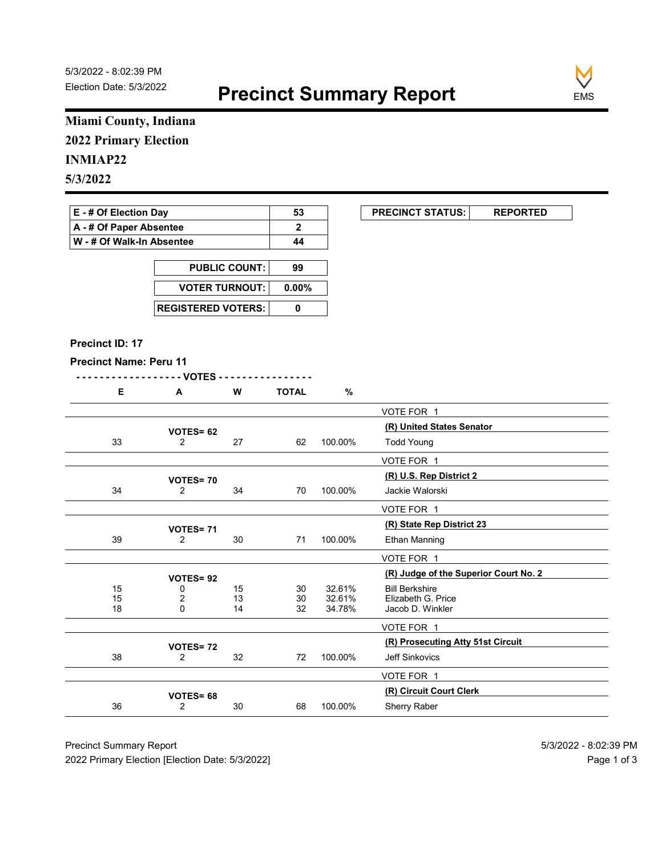

# Miami County, Indiana 2022 Primary Election

### INMIAP22

| E - # Of Election Day     | 53 | <b>PRECINCT STATUS:</b> |  |
|---------------------------|----|-------------------------|--|
| A - # Of Paper Absentee   |    |                         |  |
| W - # Of Walk-In Absentee | 44 |                         |  |

| <b>PUBLIC COUNT:</b>        | 99 |
|-----------------------------|----|
| VOTER TURNOUT: 0.00%        |    |
| <b>REGISTERED VOTERS: I</b> |    |

#### Precinct ID: 17

```
- - - - - - - - - - - - - - - - - - VOTES - - - - - - - - - - - - - - - -
```

| ∼ | W | <b>TOTAL</b> |  |
|---|---|--------------|--|
|   |   |              |  |

|                                               | Miami County, Indiana       |                      |                          |                  |                                             |
|-----------------------------------------------|-----------------------------|----------------------|--------------------------|------------------|---------------------------------------------|
| <b>2022 Primary Election</b>                  |                             |                      |                          |                  |                                             |
| <b>INMIAP22</b>                               |                             |                      |                          |                  |                                             |
| 5/3/2022                                      |                             |                      |                          |                  |                                             |
|                                               |                             |                      |                          |                  |                                             |
| E - # Of Election Day                         |                             |                      | 53                       |                  | <b>PRECINCT STATUS:</b><br><b>REPORTED</b>  |
| A - # Of Paper Absentee                       |                             |                      | $\mathbf{2}$             |                  |                                             |
| W - # Of Walk-In Absentee                     |                             |                      | 44                       |                  |                                             |
|                                               |                             | <b>PUBLIC COUNT:</b> | 99                       |                  |                                             |
|                                               | <b>VOTER TURNOUT:</b>       |                      | $0.00\%$                 |                  |                                             |
|                                               |                             |                      |                          |                  |                                             |
|                                               | <b>REGISTERED VOTERS:</b>   |                      | $\mathbf 0$              |                  |                                             |
|                                               |                             |                      |                          |                  |                                             |
| Precinct ID: 17                               |                             |                      |                          |                  |                                             |
| <b>Precinct Name: Peru 11</b>                 |                             |                      |                          |                  |                                             |
| E                                             | - VOTES -<br>A              | W                    | <u>.</u><br><b>TOTAL</b> | $\%$             |                                             |
|                                               |                             |                      |                          |                  | VOTE FOR 1                                  |
|                                               |                             |                      |                          |                  | (R) United States Senator                   |
| 33                                            | VOTES= 62<br>$\overline{2}$ | 27                   | 62                       | 100.00%          | <b>Todd Young</b>                           |
|                                               |                             |                      |                          |                  | VOTE FOR 1                                  |
|                                               | <b>VOTES=70</b>             |                      |                          |                  | (R) U.S. Rep District 2                     |
| 34                                            | $\overline{2}$              | 34                   | 70                       | 100.00%          | Jackie Walorski                             |
|                                               |                             |                      |                          |                  | VOTE FOR 1                                  |
|                                               | VOTES=71                    |                      |                          |                  | (R) State Rep District 23                   |
| 39                                            | $\overline{2}$              | 30                   | 71                       | 100.00%          | Ethan Manning                               |
|                                               |                             |                      |                          |                  | VOTE FOR 1                                  |
|                                               | <b>VOTES=92</b>             |                      |                          |                  | (R) Judge of the Superior Court No. 2       |
| 15<br>$\begin{array}{c} 15 \\ 18 \end{array}$ | 0<br>$_{0}^{2}$             | 15<br>13             | 30<br>$\frac{30}{32}$    | 32.61%<br>32.61% | <b>Bill Berkshire</b><br>Elizabeth G. Price |
|                                               |                             | 14                   |                          | 34.78%           | Jacob D. Winkler                            |
|                                               |                             |                      |                          |                  | VOTE FOR 1                                  |
|                                               | VOTES=72                    |                      |                          |                  | (R) Prosecuting Atty 51st Circuit           |
| 38                                            | $\overline{2}$              | $32\,$               | 72                       | 100.00%          | Jeff Sinkovics                              |
|                                               |                             |                      |                          |                  | VOTE FOR 1                                  |
|                                               | VOTES= 68                   | 30                   | 68                       | 100.00%          | (R) Circuit Court Clerk<br>Sherry Raber     |
| 36                                            | $\overline{2}$              |                      |                          |                  |                                             |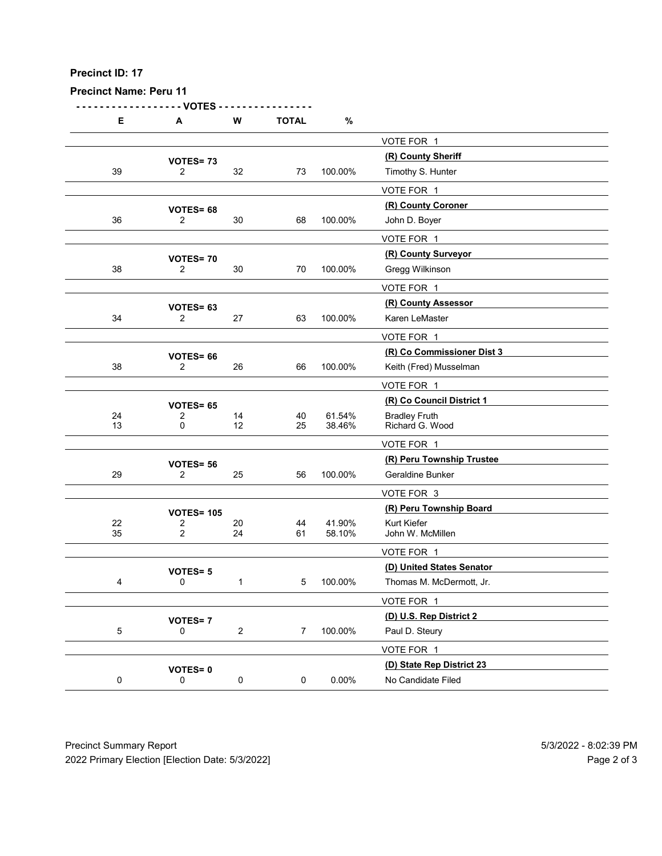| Precinct ID: 17               |                                       |                |                |                  |                                                       |  |
|-------------------------------|---------------------------------------|----------------|----------------|------------------|-------------------------------------------------------|--|
| <b>Precinct Name: Peru 11</b> |                                       |                |                |                  |                                                       |  |
|                               | - VOTES                               |                |                |                  |                                                       |  |
| Е                             | A                                     | W              | <b>TOTAL</b>   | $\%$             | VOTE FOR 1                                            |  |
|                               | VOTES=73                              |                |                |                  | (R) County Sheriff                                    |  |
| $39\,$                        | $\overline{2}$                        | 32             | 73             | 100.00%          | Timothy S. Hunter                                     |  |
|                               |                                       |                |                |                  | VOTE FOR 1<br>(R) County Coroner                      |  |
| 36                            | VOTES= 68<br>$\overline{2}$           | $30\,$         | 68             | 100.00%          | John D. Boyer                                         |  |
|                               |                                       |                |                |                  | VOTE FOR 1                                            |  |
| 38                            | VOTES=70<br>$\overline{2}$            | 30             | 70             | 100.00%          | (R) County Surveyor<br>Gregg Wilkinson                |  |
|                               |                                       |                |                |                  | VOTE FOR 1                                            |  |
| 34                            | VOTES= 63<br>$\overline{2}$           | 27             | 63             | 100.00%          | (R) County Assessor<br>Karen LeMaster                 |  |
|                               |                                       |                |                |                  | VOTE FOR 1                                            |  |
|                               | VOTES= 66                             |                |                |                  | (R) Co Commissioner Dist 3                            |  |
| $38\,$                        | $\overline{2}$                        | 26             | 66             | 100.00%          | Keith (Fred) Musselman                                |  |
|                               | VOTES= 65                             |                |                |                  | VOTE FOR 1<br>(R) Co Council District 1               |  |
| 24<br>$13$                    | $\overline{2}$<br>$\mathbf 0$         | 14<br>$12$     | 40<br>25       | 61.54%<br>38.46% | Bradley Fruth<br>Richard G. Wood                      |  |
|                               |                                       |                |                |                  | VOTE FOR 1                                            |  |
|                               | VOTES= 56                             |                |                |                  | (R) Peru Township Trustee                             |  |
| $29\,$                        | $\overline{2}$                        | 25             | 56             | 100.00%          | Geraldine Bunker<br>VOTE FOR 3                        |  |
|                               | <b>VOTES= 105</b>                     |                |                |                  | (R) Peru Township Board                               |  |
| $\frac{22}{35}$               | $\overline{c}$<br>$\overline{2}$      | $20\,$<br>24   | 44<br>61       | 41.90%<br>58.10% | Kurt Kiefer<br>John W. McMillen                       |  |
|                               |                                       |                |                |                  | VOTE FOR 1                                            |  |
| $\overline{4}$                | <b>VOTES=5</b><br>$\mathsf{O}\xspace$ | $\mathbf{1}$   | 5              | 100.00%          | (D) United States Senator<br>Thomas M. McDermott, Jr. |  |
|                               |                                       |                |                |                  | VOTE FOR 1                                            |  |
|                               | <b>VOTES=7</b>                        |                |                |                  | (D) U.S. Rep District 2                               |  |
| $\sqrt{5}$                    | 0                                     | $\overline{2}$ | 7 <sup>7</sup> | 100.00%          | Paul D. Steury                                        |  |
|                               | <b>VOTES=0</b>                        |                |                |                  | VOTE FOR 1<br>(D) State Rep District 23               |  |
| $\mathbf 0$                   | $\mathsf 0$                           | $\pmb{0}$      | $\mathsf 0$    | $0.00\%$         | No Candidate Filed                                    |  |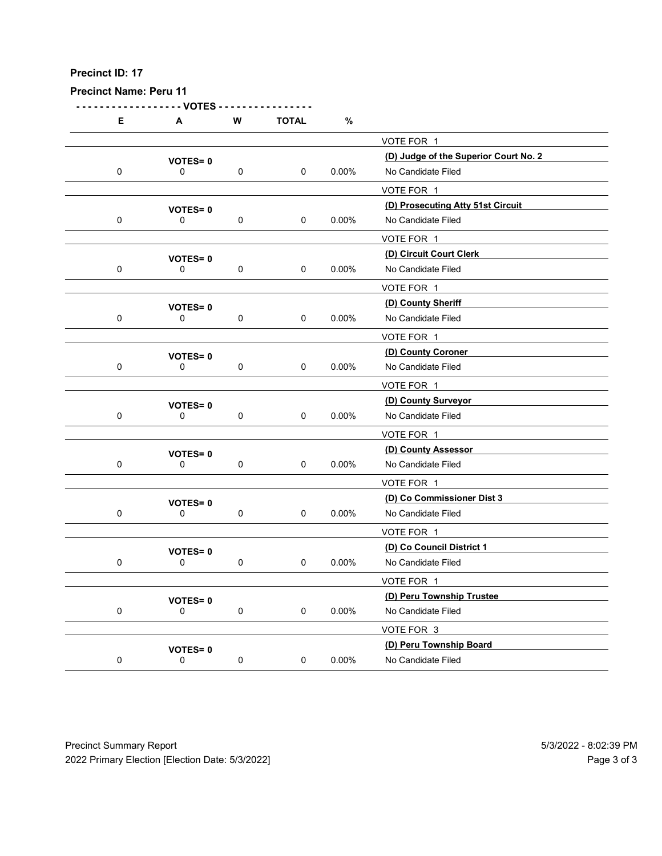| <b>Precinct Name: Peru 11</b> |                                                                                                                                          |                                                                                      |                                                                          |                                                               |                                                                                                                                                                                                                                                                                                              |
|-------------------------------|------------------------------------------------------------------------------------------------------------------------------------------|--------------------------------------------------------------------------------------|--------------------------------------------------------------------------|---------------------------------------------------------------|--------------------------------------------------------------------------------------------------------------------------------------------------------------------------------------------------------------------------------------------------------------------------------------------------------------|
| - VOTES                       |                                                                                                                                          |                                                                                      |                                                                          |                                                               |                                                                                                                                                                                                                                                                                                              |
|                               |                                                                                                                                          |                                                                                      |                                                                          | VOTE FOR 1                                                    |                                                                                                                                                                                                                                                                                                              |
| <b>VOTES=0</b>                |                                                                                                                                          |                                                                                      |                                                                          | (D) Judge of the Superior Court No. 2                         |                                                                                                                                                                                                                                                                                                              |
|                               |                                                                                                                                          |                                                                                      |                                                                          |                                                               |                                                                                                                                                                                                                                                                                                              |
| <b>VOTES=0</b>                |                                                                                                                                          |                                                                                      |                                                                          | (D) Prosecuting Atty 51st Circuit                             |                                                                                                                                                                                                                                                                                                              |
|                               |                                                                                                                                          |                                                                                      |                                                                          |                                                               |                                                                                                                                                                                                                                                                                                              |
|                               |                                                                                                                                          |                                                                                      |                                                                          | (D) Circuit Court Clerk                                       |                                                                                                                                                                                                                                                                                                              |
| 0                             | $\mathbf 0$                                                                                                                              | $\mathbf 0$                                                                          | $0.00\%$                                                                 | No Candidate Filed                                            |                                                                                                                                                                                                                                                                                                              |
|                               |                                                                                                                                          |                                                                                      |                                                                          |                                                               |                                                                                                                                                                                                                                                                                                              |
| $\mathbf 0$                   | 0                                                                                                                                        | 0                                                                                    | 0.00%                                                                    | No Candidate Filed                                            |                                                                                                                                                                                                                                                                                                              |
|                               |                                                                                                                                          |                                                                                      |                                                                          | VOTE FOR 1                                                    |                                                                                                                                                                                                                                                                                                              |
| <b>VOTES=0</b>                |                                                                                                                                          |                                                                                      |                                                                          |                                                               |                                                                                                                                                                                                                                                                                                              |
|                               |                                                                                                                                          |                                                                                      |                                                                          |                                                               |                                                                                                                                                                                                                                                                                                              |
| <b>VOTES=0</b>                |                                                                                                                                          |                                                                                      |                                                                          | (D) County Surveyor                                           |                                                                                                                                                                                                                                                                                                              |
|                               |                                                                                                                                          | $\mathbf 0$                                                                          |                                                                          |                                                               |                                                                                                                                                                                                                                                                                                              |
|                               |                                                                                                                                          |                                                                                      |                                                                          |                                                               |                                                                                                                                                                                                                                                                                                              |
| $\mathbf 0$                   | $\mathbf 0$                                                                                                                              | $\mathbf 0$                                                                          | $0.00\%$                                                                 | No Candidate Filed                                            |                                                                                                                                                                                                                                                                                                              |
|                               |                                                                                                                                          |                                                                                      |                                                                          | VOTE FOR 1                                                    |                                                                                                                                                                                                                                                                                                              |
| <b>VOTES=0</b>                |                                                                                                                                          |                                                                                      |                                                                          | (D) Co Commissioner Dist 3                                    |                                                                                                                                                                                                                                                                                                              |
|                               |                                                                                                                                          |                                                                                      |                                                                          |                                                               |                                                                                                                                                                                                                                                                                                              |
|                               |                                                                                                                                          |                                                                                      |                                                                          | (D) Co Council District 1                                     |                                                                                                                                                                                                                                                                                                              |
| $\mathbf 0$                   | $\mathbf 0$                                                                                                                              | $\mathbf 0$                                                                          | $0.00\%$                                                                 | No Candidate Filed                                            |                                                                                                                                                                                                                                                                                                              |
|                               |                                                                                                                                          |                                                                                      |                                                                          |                                                               |                                                                                                                                                                                                                                                                                                              |
| $\mathbf 0$                   | $\mathbf 0$                                                                                                                              | $\mathbf 0$                                                                          | $0.00\%$                                                                 | No Candidate Filed                                            |                                                                                                                                                                                                                                                                                                              |
|                               |                                                                                                                                          |                                                                                      |                                                                          | VOTE FOR 3                                                    |                                                                                                                                                                                                                                                                                                              |
|                               |                                                                                                                                          |                                                                                      |                                                                          | (D) Peru Township Board                                       |                                                                                                                                                                                                                                                                                                              |
|                               | A<br>0<br>0<br><b>VOTES=0</b><br><b>VOTES=0</b><br>0<br>$\mathbf 0$<br><b>VOTES=0</b><br>$\mathbf 0$<br><b>VOTES=0</b><br><b>VOTES=0</b> | ${\bf W}$<br>$\mathbf 0$<br>$\mathbf 0$<br>$\mathbf 0$<br>$\mathbf 0$<br>$\mathbf 0$ | <b>TOTAL</b><br>$\mathbf 0$<br>$\mathbf 0$<br>$\mathbf 0$<br>$\mathbf 0$ | $\%$<br>$0.00\%$<br>0.00%<br>$0.00\%$<br>$0.00\%$<br>$0.00\%$ | No Candidate Filed<br>VOTE FOR 1<br>No Candidate Filed<br>VOTE FOR 1<br>VOTE FOR 1<br>(D) County Sheriff<br>(D) County Coroner<br>No Candidate Filed<br>VOTE FOR 1<br>No Candidate Filed<br>VOTE FOR 1<br>(D) County Assessor<br>No Candidate Filed<br>VOTE FOR 1<br>VOTE FOR 1<br>(D) Peru Township Trustee |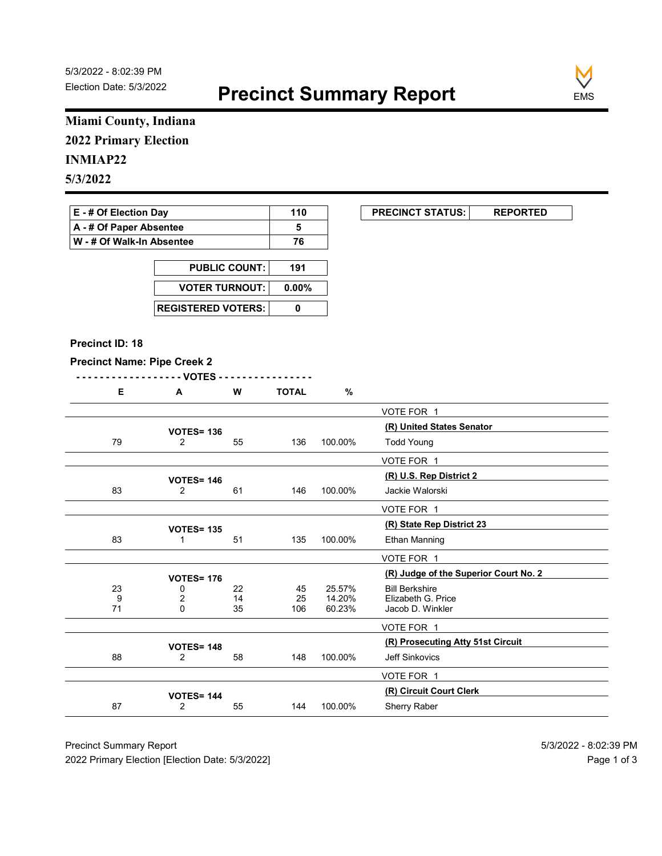

### Miami County, Indiana 2022 Primary Election

#### INMIAP22

| E - # Of Election Day       | 110 | <b>PRECINCT STATUS:</b> |  |
|-----------------------------|-----|-------------------------|--|
| A - # Of Paper Absentee     |     |                         |  |
| ∣ W - # Of Walk-In Absentee | 76  |                         |  |

| <b>PUBLIC COUNT:</b> | 191 |
|----------------------|-----|
| VOTER TURNOUT: 0.00% |     |
|                      |     |

#### Precinct ID: 18

#### Precinct Name: Pipe Creek 2

| n | W | <b>TOTAL</b> |  |
|---|---|--------------|--|

|                                    | Miami County, Indiana               |                                         |              |                  |                                             |
|------------------------------------|-------------------------------------|-----------------------------------------|--------------|------------------|---------------------------------------------|
| <b>2022 Primary Election</b>       |                                     |                                         |              |                  |                                             |
|                                    |                                     |                                         |              |                  |                                             |
| <b>INMIAP22</b>                    |                                     |                                         |              |                  |                                             |
| 5/3/2022                           |                                     |                                         |              |                  |                                             |
| E - # Of Election Day              |                                     |                                         | 110          |                  | <b>PRECINCT STATUS:</b><br><b>REPORTED</b>  |
| A - # Of Paper Absentee            |                                     |                                         | 5            |                  |                                             |
| W - # Of Walk-In Absentee          |                                     |                                         | 76           |                  |                                             |
|                                    |                                     |                                         |              |                  |                                             |
|                                    |                                     | <b>PUBLIC COUNT:</b>                    | 191          |                  |                                             |
|                                    | <b>VOTER TURNOUT:</b>               |                                         | $0.00\%$     |                  |                                             |
|                                    | <b>REGISTERED VOTERS:</b>           |                                         | $\mathbf 0$  |                  |                                             |
|                                    |                                     |                                         |              |                  |                                             |
| Precinct ID: 18                    |                                     |                                         |              |                  |                                             |
| <b>Precinct Name: Pipe Creek 2</b> |                                     |                                         |              |                  |                                             |
| Е.                                 | - - VOTES<br>$\mathbf{A}$           | W                                       | <b>TOTAL</b> | $\%$             |                                             |
|                                    |                                     |                                         |              |                  |                                             |
|                                    |                                     |                                         |              |                  | VOTE FOR 1<br>(R) United States Senator     |
| 79                                 | <b>VOTES= 136</b><br>$\overline{a}$ | 55                                      | 136          | 100.00%          | <b>Todd Young</b>                           |
|                                    |                                     |                                         |              |                  | VOTE FOR 1                                  |
|                                    |                                     |                                         |              |                  | (R) U.S. Rep District 2                     |
| 83                                 | <b>VOTES= 146</b><br>$\overline{2}$ | 61                                      | 146          | 100.00%          | Jackie Walorski                             |
|                                    |                                     |                                         |              |                  | VOTE FOR 1                                  |
|                                    | <b>VOTES= 135</b>                   |                                         |              |                  | (R) State Rep District 23                   |
| 83                                 | $\mathbf{1}$                        | 51                                      | 135          | 100.00%          | Ethan Manning                               |
|                                    |                                     |                                         |              |                  | VOTE FOR 1                                  |
|                                    | <b>VOTES= 176</b>                   |                                         |              |                  | (R) Judge of the Superior Court No. 2       |
| 23                                 | 0                                   | 22                                      | 45<br>25     | 25.57%<br>14.20% | <b>Bill Berkshire</b><br>Elizabeth G. Price |
| $\boldsymbol{9}$<br>71             | $_{\rm 0}^2$                        | $\begin{array}{c} 14 \\ 35 \end{array}$ | 106          | 60.23%           | Jacob D. Winkler                            |
|                                    |                                     |                                         |              |                  | VOTE FOR 1                                  |
|                                    | <b>VOTES= 148</b>                   |                                         |              |                  | (R) Prosecuting Atty 51st Circuit           |
| 88                                 | $\overline{2}$                      | 58                                      | 148          | 100.00%          | Jeff Sinkovics                              |
|                                    |                                     |                                         |              |                  | VOTE FOR 1                                  |
|                                    | <b>VOTES= 144</b>                   |                                         |              |                  | (R) Circuit Court Clerk                     |
|                                    | $\overline{2}$                      | 55                                      | 144          | 100.00%          | Sherry Raber                                |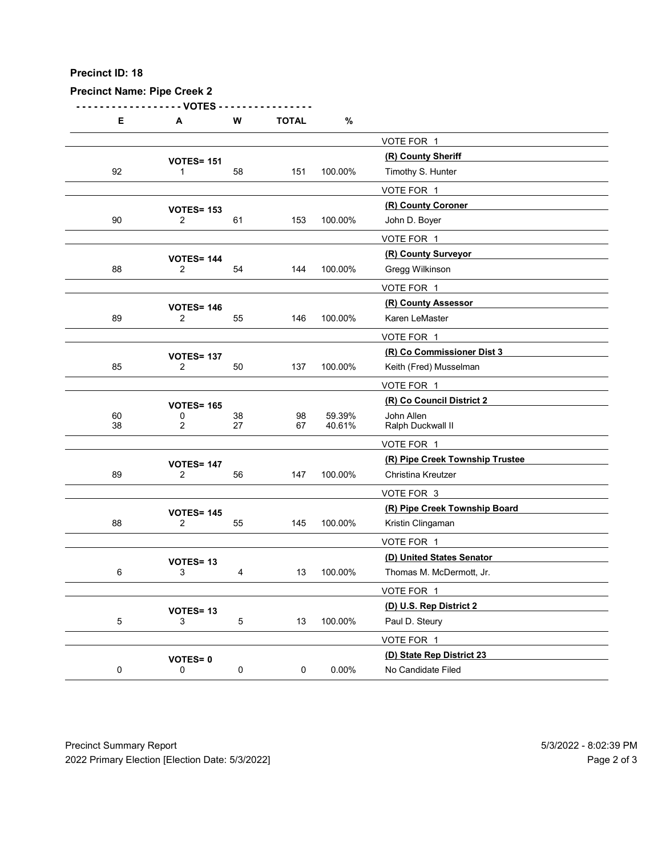| Precinct ID: 18                    |                                     |                |              |          |                                               |  |
|------------------------------------|-------------------------------------|----------------|--------------|----------|-----------------------------------------------|--|
| <b>Precinct Name: Pipe Creek 2</b> |                                     |                |              |          |                                               |  |
|                                    | - VOTES                             | ${\bf W}$      | <b>TOTAL</b> |          |                                               |  |
| Е                                  | Α                                   |                |              | $\%$     | VOTE FOR 1                                    |  |
|                                    | <b>VOTES= 151</b>                   |                |              |          | (R) County Sheriff                            |  |
| 92                                 | $\mathbf 1$                         | 58             | 151          | 100.00%  | Timothy S. Hunter                             |  |
|                                    | <b>VOTES= 153</b>                   |                |              |          | VOTE FOR 1<br>(R) County Coroner              |  |
| 90                                 | $\overline{2}$                      | 61             | 153          | 100.00%  | John D. Boyer                                 |  |
|                                    |                                     |                |              |          | VOTE FOR 1                                    |  |
| 88                                 | <b>VOTES= 144</b><br>$\overline{2}$ | 54             | 144          | 100.00%  | (R) County Surveyor<br>Gregg Wilkinson        |  |
|                                    |                                     |                |              |          | VOTE FOR 1                                    |  |
|                                    | <b>VOTES= 146</b>                   |                |              |          | (R) County Assessor                           |  |
| 89                                 | $\overline{c}$                      | 55             | 146          | 100.00%  | Karen LeMaster                                |  |
|                                    |                                     |                |              |          | VOTE FOR 1<br>(R) Co Commissioner Dist 3      |  |
| 85                                 | <b>VOTES= 137</b><br>$\overline{2}$ | 50             | 137          | 100.00%  | Keith (Fred) Musselman                        |  |
|                                    |                                     |                |              |          | VOTE FOR 1                                    |  |
| 60                                 | <b>VOTES= 165</b><br>0              | $38\,$         | 98           | 59.39%   | (R) Co Council District 2<br>John Allen       |  |
| $38\,$                             | $\overline{2}$                      | 27             | 67           | 40.61%   | Ralph Duckwall II                             |  |
|                                    |                                     |                |              |          | VOTE FOR 1<br>(R) Pipe Creek Township Trustee |  |
| 89                                 | <b>VOTES= 147</b><br>$\overline{2}$ | 56             | 147          | 100.00%  | Christina Kreutzer                            |  |
|                                    |                                     |                |              |          | VOTE FOR 3                                    |  |
|                                    | <b>VOTES= 145</b>                   |                |              |          | (R) Pipe Creek Township Board                 |  |
| 88                                 | 2                                   | 55             | 145          | 100.00%  | Kristin Clingaman<br>VOTE FOR 1               |  |
|                                    | VOTES=13                            |                |              |          | (D) United States Senator                     |  |
| $6\phantom{.}6$                    | 3                                   | $\overline{4}$ | 13           | 100.00%  | Thomas M. McDermott, Jr.                      |  |
|                                    |                                     |                |              |          | VOTE FOR 1                                    |  |
| $\overline{5}$                     | VOTES=13<br>$\mathsf 3$             | $\sqrt{5}$     | 13           | 100.00%  | (D) U.S. Rep District 2<br>Paul D. Steury     |  |
|                                    |                                     |                |              |          | VOTE FOR 1                                    |  |
|                                    | <b>VOTES=0</b>                      |                |              |          | (D) State Rep District 23                     |  |
| $\mathbf 0$                        | $\mathbf 0$                         | $\mathbf 0$    | $\mathbf 0$  | $0.00\%$ | No Candidate Filed                            |  |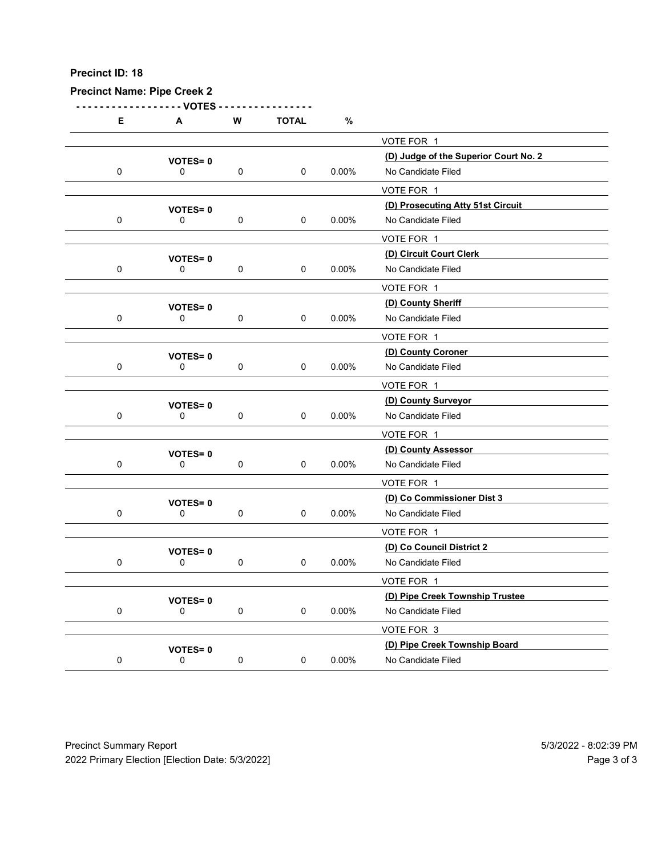| Precinct ID: 18 |                                       |             |              |          |                                                 |  |
|-----------------|---------------------------------------|-------------|--------------|----------|-------------------------------------------------|--|
|                 | <b>Precinct Name: Pipe Creek 2</b>    |             |              |          |                                                 |  |
| Е               | - - VOTES<br>A                        | W           | <b>TOTAL</b> | $\%$     |                                                 |  |
|                 |                                       |             |              |          | VOTE FOR 1                                      |  |
|                 | <b>VOTES=0</b>                        |             |              |          | (D) Judge of the Superior Court No. 2           |  |
| $\mathbf 0$     | 0                                     | $\pmb{0}$   | 0            | 0.00%    | No Candidate Filed<br>VOTE FOR 1                |  |
|                 | <b>VOTES=0</b>                        |             |              |          | (D) Prosecuting Atty 51st Circuit               |  |
| $\mathbf 0$     | 0                                     | $\pmb{0}$   | 0            | 0.00%    | No Candidate Filed                              |  |
|                 |                                       |             |              |          | VOTE FOR 1<br>(D) Circuit Court Clerk           |  |
| $\mathbf 0$     | <b>VOTES=0</b><br>0                   | $\pmb{0}$   | 0            | 0.00%    | No Candidate Filed                              |  |
|                 |                                       |             |              |          | VOTE FOR 1                                      |  |
| $\mathbf 0$     | <b>VOTES=0</b><br>0                   | 0           | 0            | 0.00%    | (D) County Sheriff<br>No Candidate Filed        |  |
|                 |                                       |             |              |          | VOTE FOR 1                                      |  |
|                 | <b>VOTES=0</b>                        |             |              |          | (D) County Coroner                              |  |
| $\mathbf 0$     | 0                                     | $\mathbf 0$ | 0            | $0.00\%$ | No Candidate Filed                              |  |
|                 |                                       |             |              |          | VOTE FOR 1<br>(D) County Surveyor               |  |
| $\mathbf 0$     | <b>VOTES=0</b><br>$\mathbf 0$         | $\pmb{0}$   | $\mathbf 0$  | 0.00%    | No Candidate Filed                              |  |
|                 |                                       |             |              |          | VOTE FOR 1                                      |  |
|                 | <b>VOTES=0</b>                        |             |              |          | (D) County Assessor                             |  |
| $\mathbf 0$     | 0                                     | $\pmb{0}$   | 0            | $0.00\%$ | No Candidate Filed                              |  |
|                 |                                       |             |              |          | VOTE FOR 1<br>(D) Co Commissioner Dist 3        |  |
| $\mathbf 0$     | <b>VOTES=0</b><br>0                   | $\mathbf 0$ | 0            | $0.00\%$ | No Candidate Filed                              |  |
|                 |                                       |             |              |          | VOTE FOR 1                                      |  |
| $\mathbf 0$     | VOTES=0<br>$\mathbf 0$                | $\mathbf 0$ | $\mathsf 0$  | $0.00\%$ | (D) Co Council District 2<br>No Candidate Filed |  |
|                 |                                       |             |              |          | VOTE FOR 1                                      |  |
|                 | <b>VOTES=0</b>                        |             |              |          | (D) Pipe Creek Township Trustee                 |  |
| $\mathbf 0$     | 0                                     | $\mathbf 0$ | $\mathbf 0$  | $0.00\%$ | No Candidate Filed                              |  |
|                 |                                       |             |              |          | VOTE FOR 3<br>(D) Pipe Creek Township Board     |  |
| $\mathbf 0$     | <b>VOTES=0</b><br>$\mathsf{O}\xspace$ | $\pmb{0}$   | $\mathbf 0$  | $0.00\%$ | No Candidate Filed                              |  |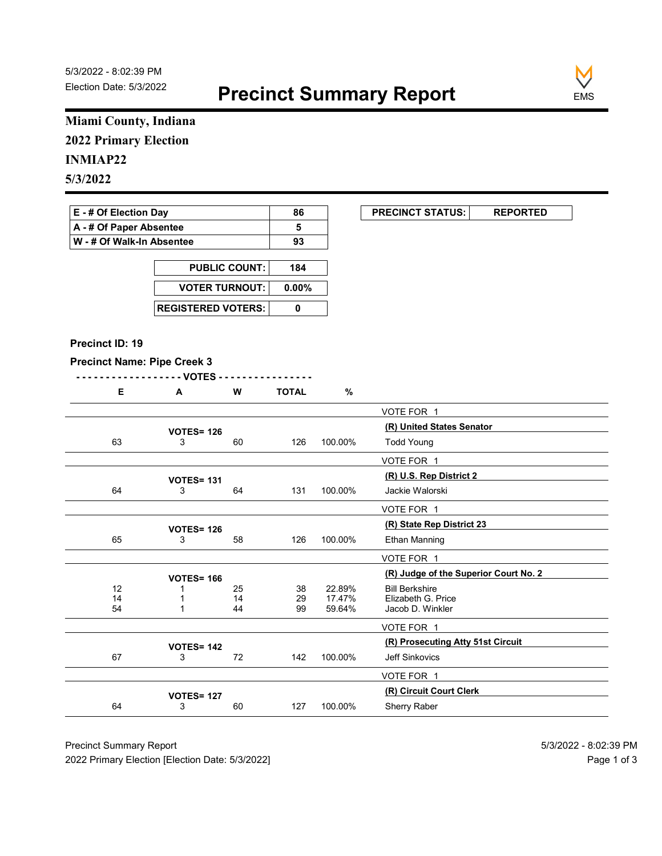

### Miami County, Indiana 2022 Primary Election

# 5/3/2022

| E - # Of Election Day     | 86 | <b>PRECINCT STATUS:</b> |  |
|---------------------------|----|-------------------------|--|
| A - # Of Paper Absentee   |    |                         |  |
| W - # Of Walk-In Absentee | 93 |                         |  |

| <b>PUBLIC COUNT:</b> | 184 |
|----------------------|-----|
| VOTER TURNOUT: 0.00% |     |
|                      |     |

#### Precinct ID: 19

|  | £ | W | <b>TOTAL</b><br>- |
|--|---|---|-------------------|
|  |   |   |                   |

|                                    | Miami County, Indiana            |                      |                       |                  |                                            |
|------------------------------------|----------------------------------|----------------------|-----------------------|------------------|--------------------------------------------|
| <b>2022 Primary Election</b>       |                                  |                      |                       |                  |                                            |
| <b>INMIAP22</b>                    |                                  |                      |                       |                  |                                            |
|                                    |                                  |                      |                       |                  |                                            |
| 5/3/2022                           |                                  |                      |                       |                  |                                            |
| E - # Of Election Day              |                                  |                      | 86                    |                  | <b>PRECINCT STATUS:</b><br><b>REPORTED</b> |
| A - # Of Paper Absentee            |                                  |                      | 5                     |                  |                                            |
| W - # Of Walk-In Absentee          |                                  |                      | 93                    |                  |                                            |
|                                    |                                  | <b>PUBLIC COUNT:</b> |                       |                  |                                            |
|                                    |                                  |                      |                       |                  |                                            |
|                                    | <b>VOTER TURNOUT:</b>            |                      | $0.00\%$              |                  |                                            |
|                                    | <b>REGISTERED VOTERS:</b>        |                      | $\pmb{0}$             |                  |                                            |
|                                    |                                  |                      |                       |                  |                                            |
| Precinct ID: 19                    |                                  |                      |                       |                  |                                            |
| <b>Precinct Name: Pipe Creek 3</b> |                                  |                      |                       |                  |                                            |
|                                    | - - VOTES                        |                      |                       |                  |                                            |
| E                                  | A                                | W                    | <b>TOTAL</b>          | %                |                                            |
|                                    |                                  |                      |                       |                  | VOTE FOR 1                                 |
|                                    | <b>VOTES= 126</b>                |                      |                       |                  | (R) United States Senator                  |
| 63                                 | 3                                | 60                   | 126                   | 100.00%          | <b>Todd Young</b>                          |
|                                    |                                  |                      |                       |                  | VOTE FOR 1                                 |
| 64                                 | <b>VOTES= 131</b><br>3           | 64                   | 131                   | 100.00%          | (R) U.S. Rep District 2<br>Jackie Walorski |
|                                    |                                  |                      |                       |                  | VOTE FOR 1                                 |
|                                    |                                  |                      |                       |                  | (R) State Rep District 23                  |
| 65                                 | <b>VOTES= 126</b><br>3           | 58                   | 126                   | 100.00%          | Ethan Manning                              |
|                                    |                                  |                      |                       |                  | VOTE FOR 1                                 |
|                                    | <b>VOTES= 166</b>                |                      |                       |                  | (R) Judge of the Superior Court No. 2      |
| 12                                 | -1                               | 25                   | 38                    | 22.89%           | <b>Bill Berkshire</b>                      |
| $\frac{14}{54}$                    | $\overline{1}$<br>$\overline{1}$ | 14<br>44             | $\substack{29 \\ 99}$ | 17.47%<br>59.64% | Elizabeth G. Price<br>Jacob D. Winkler     |
|                                    |                                  |                      |                       |                  | VOTE FOR 1                                 |
|                                    | <b>VOTES= 142</b>                |                      |                       |                  | (R) Prosecuting Atty 51st Circuit          |
| 67                                 | 3                                | 72                   | 142                   | 100.00%          | Jeff Sinkovics                             |
|                                    |                                  |                      |                       |                  | VOTE FOR 1                                 |
|                                    | <b>VOTES= 127</b>                |                      |                       |                  | (R) Circuit Court Clerk                    |
|                                    | 3                                | 60                   | 127                   | 100.00%          | Sherry Raber                               |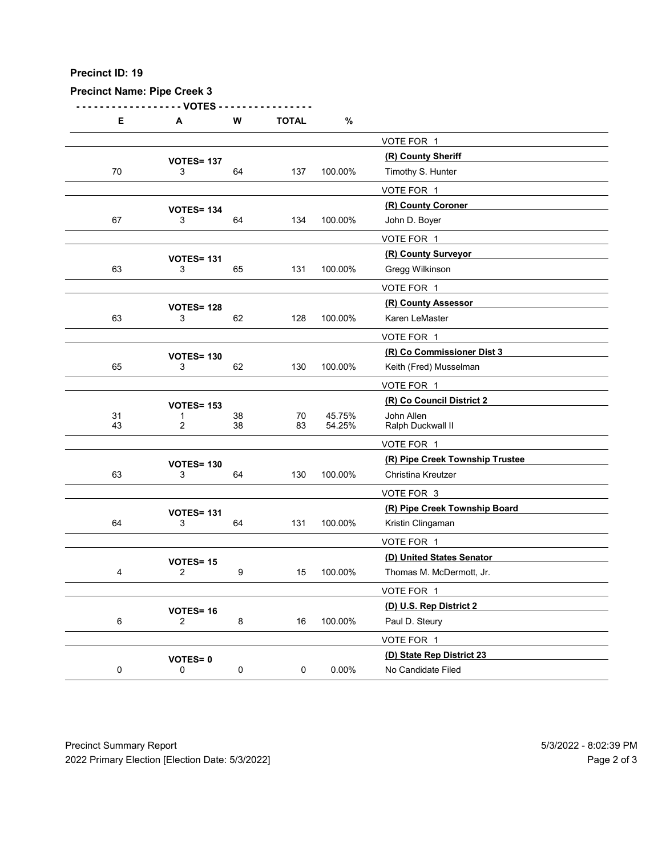| Precinct ID: 19                    |                                    |                  |              |          |                                                       |  |
|------------------------------------|------------------------------------|------------------|--------------|----------|-------------------------------------------------------|--|
| <b>Precinct Name: Pipe Creek 3</b> | - VOTES                            |                  |              |          |                                                       |  |
| Е                                  | Α                                  | ${\bf W}$        | <b>TOTAL</b> | $\%$     |                                                       |  |
|                                    | <b>VOTES= 137</b>                  |                  |              |          | VOTE FOR 1<br>(R) County Sheriff                      |  |
| 70                                 | 3                                  | 64               | 137          | 100.00%  | Timothy S. Hunter                                     |  |
|                                    |                                    |                  |              |          | VOTE FOR 1<br>(R) County Coroner                      |  |
| 67                                 | <b>VOTES= 134</b><br>3             | 64               | 134          | 100.00%  | John D. Boyer                                         |  |
|                                    |                                    |                  |              |          | VOTE FOR 1                                            |  |
| 63                                 | <b>VOTES= 131</b><br>3             | 65               | 131          | 100.00%  | (R) County Surveyor<br>Gregg Wilkinson                |  |
|                                    |                                    |                  |              |          | VOTE FOR 1                                            |  |
|                                    | <b>VOTES= 128</b>                  |                  |              |          | (R) County Assessor                                   |  |
| 63                                 | 3                                  | 62               | 128          | 100.00%  | Karen LeMaster                                        |  |
|                                    |                                    |                  |              |          | VOTE FOR 1<br>(R) Co Commissioner Dist 3              |  |
| 65                                 | <b>VOTES= 130</b><br>3             | 62               | 130          | 100.00%  | Keith (Fred) Musselman                                |  |
|                                    |                                    |                  |              |          | VOTE FOR 1                                            |  |
| 31                                 | <b>VOTES= 153</b><br>1             | $38\,$           | $70\,$       | 45.75%   | (R) Co Council District 2<br>John Allen               |  |
| 43                                 | $\overline{2}$                     | 38               | 83           | 54.25%   | Ralph Duckwall II                                     |  |
|                                    |                                    |                  |              |          | VOTE FOR 1                                            |  |
| 63                                 | <b>VOTES= 130</b><br>$\mathbf{3}$  | 64               | 130          | 100.00%  | (R) Pipe Creek Township Trustee<br>Christina Kreutzer |  |
|                                    |                                    |                  |              |          | VOTE FOR 3                                            |  |
|                                    | <b>VOTES= 131</b>                  |                  |              |          | (R) Pipe Creek Township Board                         |  |
| 64                                 | $\mathbf{3}$                       | 64               | 131          | 100.00%  | Kristin Clingaman                                     |  |
|                                    |                                    |                  |              |          | VOTE FOR 1<br>(D) United States Senator               |  |
| $\overline{4}$                     | <b>VOTES= 15</b><br>$\overline{2}$ | $\boldsymbol{9}$ | 15           | 100.00%  | Thomas M. McDermott, Jr.                              |  |
|                                    |                                    |                  |              |          | VOTE FOR 1                                            |  |
| $\,6\,$                            | VOTES=16<br>$\overline{2}$         | $\bf 8$          | 16           | 100.00%  | (D) U.S. Rep District 2<br>Paul D. Steury             |  |
|                                    |                                    |                  |              |          | VOTE FOR 1                                            |  |
|                                    | <b>VOTES=0</b>                     |                  |              |          | (D) State Rep District 23                             |  |
| $\mathbf 0$                        | $\mathbf 0$                        | $\mathbf 0$      | $\mathbf 0$  | $0.00\%$ | No Candidate Filed                                    |  |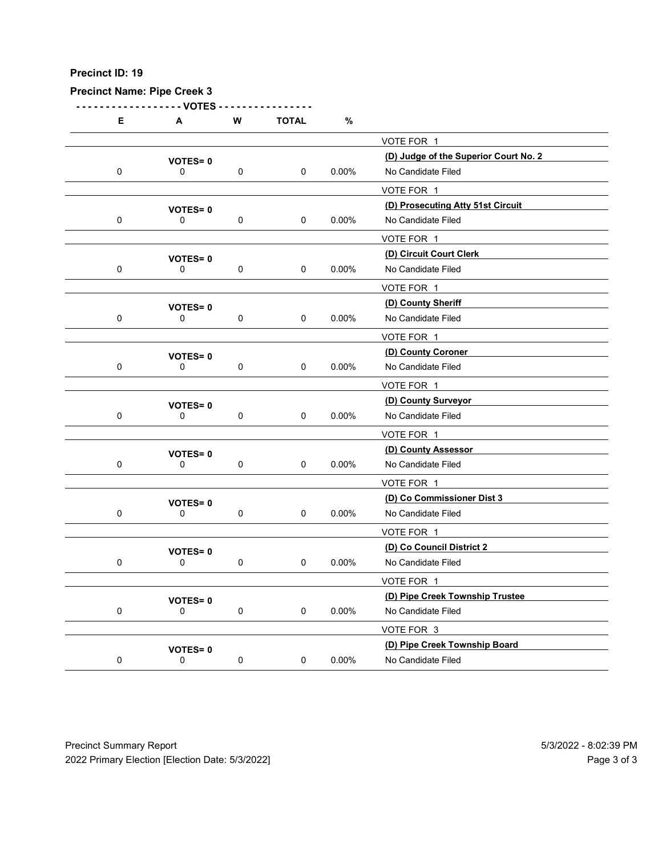|             | <b>Precinct Name: Pipe Creek 3</b><br>- VOTES |             |              |          |                                                             |  |
|-------------|-----------------------------------------------|-------------|--------------|----------|-------------------------------------------------------------|--|
| Е           | A                                             | ${\bf W}$   | <b>TOTAL</b> | $\%$     |                                                             |  |
|             |                                               |             |              |          | VOTE FOR 1                                                  |  |
| $\mathbf 0$ | VOTES=0<br>0                                  | $\mathbf 0$ | $\mathbf 0$  | $0.00\%$ | (D) Judge of the Superior Court No. 2<br>No Candidate Filed |  |
|             |                                               |             |              |          | VOTE FOR 1                                                  |  |
|             | <b>VOTES=0</b>                                |             |              |          | (D) Prosecuting Atty 51st Circuit                           |  |
| $\mathbf 0$ | 0                                             | $\mathbf 0$ | $\mathbf 0$  | 0.00%    | No Candidate Filed<br>VOTE FOR 1                            |  |
|             | VOTES=0                                       |             |              |          | (D) Circuit Court Clerk                                     |  |
| $\mathbf 0$ | 0                                             | 0           | $\mathbf 0$  | $0.00\%$ | No Candidate Filed                                          |  |
|             |                                               |             |              |          | VOTE FOR 1                                                  |  |
| $\mathbf 0$ | VOTES=0<br>$\mathbf 0$                        | 0           | 0            | 0.00%    | (D) County Sheriff<br>No Candidate Filed                    |  |
|             |                                               |             |              |          | VOTE FOR 1                                                  |  |
|             | <b>VOTES=0</b>                                |             |              |          | (D) County Coroner                                          |  |
| $\mathbf 0$ | 0                                             | $\mathbf 0$ | $\mathbf 0$  | $0.00\%$ | No Candidate Filed                                          |  |
|             |                                               |             |              |          | VOTE FOR 1<br>(D) County Surveyor                           |  |
| $\mathbf 0$ | <b>VOTES=0</b><br>$\mathbf 0$                 | $\mathbf 0$ | $\mathbf 0$  | $0.00\%$ | No Candidate Filed                                          |  |
|             |                                               |             |              |          | VOTE FOR 1                                                  |  |
|             | <b>VOTES=0</b>                                |             |              |          | (D) County Assessor                                         |  |
| $\mathbf 0$ | $\mathsf{O}$                                  | $\mathbf 0$ | $\mathbf 0$  | $0.00\%$ | No Candidate Filed                                          |  |
|             |                                               |             |              |          | VOTE FOR 1<br>(D) Co Commissioner Dist 3                    |  |
| $\mathbf 0$ | <b>VOTES=0</b><br>$\mathsf{O}$                | $\mathbf 0$ | $\mathbf 0$  | $0.00\%$ | No Candidate Filed                                          |  |
|             |                                               |             |              |          | VOTE FOR 1                                                  |  |
|             | <b>VOTES=0</b>                                |             |              |          | (D) Co Council District 2                                   |  |
| $\mathbf 0$ | $\mathsf{O}$                                  | $\mathbf 0$ | $\mathbf 0$  | $0.00\%$ | No Candidate Filed                                          |  |
|             |                                               |             |              |          | VOTE FOR 1<br>(D) Pipe Creek Township Trustee               |  |
| $\mathbf 0$ | <b>VOTES=0</b><br>$\mathbf 0$                 | $\mathbf 0$ | $\mathbf 0$  | $0.00\%$ | No Candidate Filed                                          |  |
|             |                                               |             |              |          | VOTE FOR 3                                                  |  |
| $\mathbf 0$ | <b>VOTES=0</b>                                |             |              |          | (D) Pipe Creek Township Board                               |  |
|             | $\mathsf 0$                                   | $\pmb{0}$   | $\mathbf 0$  | $0.00\%$ | No Candidate Filed                                          |  |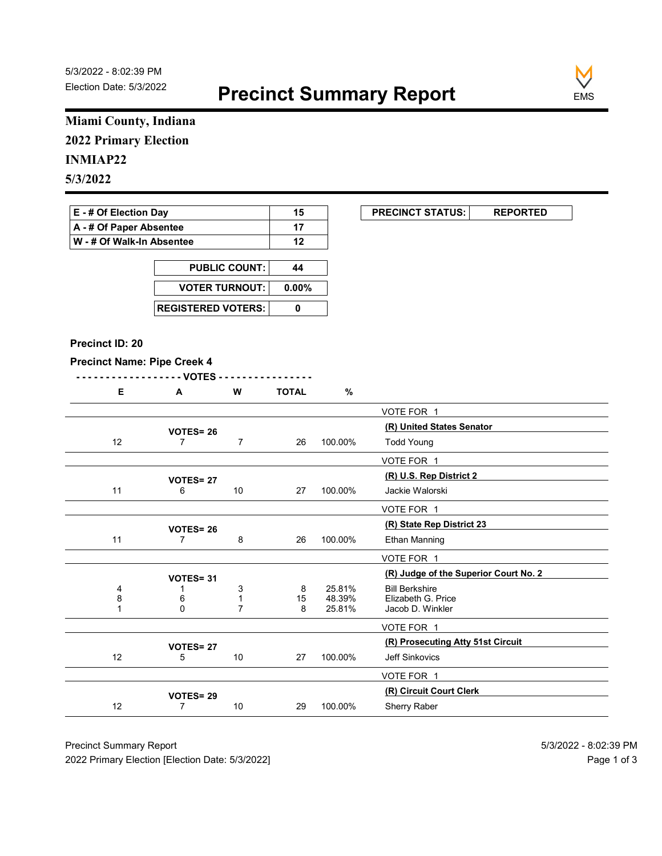

# Miami County, Indiana 2022 Primary Election

# INMIAP22

| E - # Of Election Day       | 15 | <b>PRECINCT STATUS:</b> |  |
|-----------------------------|----|-------------------------|--|
| A - # Of Paper Absentee     |    |                         |  |
| ∣ W - # Of Walk-In Absentee | 12 |                         |  |

| <b>PUBLIC COUNT:</b> | 44 |
|----------------------|----|
| VOTER TURNOUT: 0.00% |    |
|                      |    |

#### Precinct ID: 20

|  | W | <b>TOTAL</b> | $\mathbf{c}$ |
|--|---|--------------|--------------|
|  |   |              |              |

| Miami County, Indiana              |                                    |                                |                                        |                  |                                                     |
|------------------------------------|------------------------------------|--------------------------------|----------------------------------------|------------------|-----------------------------------------------------|
| <b>2022 Primary Election</b>       |                                    |                                |                                        |                  |                                                     |
| <b>INMIAP22</b>                    |                                    |                                |                                        |                  |                                                     |
|                                    |                                    |                                |                                        |                  |                                                     |
| 5/3/2022                           |                                    |                                |                                        |                  |                                                     |
| E - # Of Election Day              |                                    |                                | 15                                     |                  | <b>PRECINCT STATUS:</b><br><b>REPORTED</b>          |
| A - # Of Paper Absentee            |                                    |                                | 17                                     |                  |                                                     |
| W - # Of Walk-In Absentee          |                                    |                                | 12                                     |                  |                                                     |
|                                    |                                    |                                |                                        |                  |                                                     |
|                                    |                                    | <b>PUBLIC COUNT:</b>           | 44                                     |                  |                                                     |
|                                    | <b>VOTER TURNOUT:</b>              |                                | $0.00\%$                               |                  |                                                     |
|                                    |                                    | <b>REGISTERED VOTERS:</b>      | $\mathbf 0$                            |                  |                                                     |
|                                    |                                    |                                |                                        |                  |                                                     |
| Precinct ID: 20                    |                                    |                                |                                        |                  |                                                     |
| <b>Precinct Name: Pipe Creek 4</b> |                                    |                                |                                        |                  |                                                     |
|                                    | - - VOTES                          |                                |                                        |                  |                                                     |
| Е.                                 | $\mathbf{A}$                       | W                              | <b>TOTAL</b>                           | $\%$             |                                                     |
|                                    |                                    |                                |                                        |                  | VOTE FOR 1                                          |
|                                    | <b>VOTES= 26</b>                   |                                |                                        |                  | (R) United States Senator                           |
| 12                                 | $\overline{7}$                     | $\overline{7}$                 | 26                                     | 100.00%          | <b>Todd Young</b>                                   |
|                                    |                                    |                                |                                        |                  | VOTE FOR 1                                          |
|                                    | <b>VOTES=27</b>                    |                                |                                        |                  | (R) U.S. Rep District 2                             |
| 11                                 | 6                                  | $10$                           | 27                                     | 100.00%          | Jackie Walorski                                     |
|                                    |                                    |                                |                                        |                  | VOTE FOR 1                                          |
| 11                                 | <b>VOTES= 26</b><br>$\overline{7}$ | 8                              | 26                                     | 100.00%          | (R) State Rep District 23<br>Ethan Manning          |
|                                    |                                    |                                |                                        |                  |                                                     |
|                                    |                                    |                                |                                        |                  | VOTE FOR 1<br>(R) Judge of the Superior Court No. 2 |
| $\overline{4}$                     | VOTES=31<br>-1                     | 3                              | 8                                      | 25.81%           | <b>Bill Berkshire</b>                               |
| 8<br>$\overline{1}$                | $_0^6$                             | $\mathbf{1}$<br>$\overline{7}$ | $\begin{array}{c} 15 \\ 8 \end{array}$ | 48.39%<br>25.81% | Elizabeth G. Price<br>Jacob D. Winkler              |
|                                    |                                    |                                |                                        |                  |                                                     |
|                                    |                                    |                                |                                        |                  | VOTE FOR 1<br>(R) Prosecuting Atty 51st Circuit     |
| 12                                 | <b>VOTES=27</b><br>5               | 10                             | 27                                     | 100.00%          | Jeff Sinkovics                                      |
|                                    |                                    |                                |                                        |                  | VOTE FOR 1                                          |
|                                    |                                    |                                |                                        |                  | (R) Circuit Court Clerk                             |
|                                    | VOTES=29                           | $10$                           | 29                                     | 100.00%          | Sherry Raber                                        |
| 12                                 | $\overline{7}$                     |                                |                                        |                  |                                                     |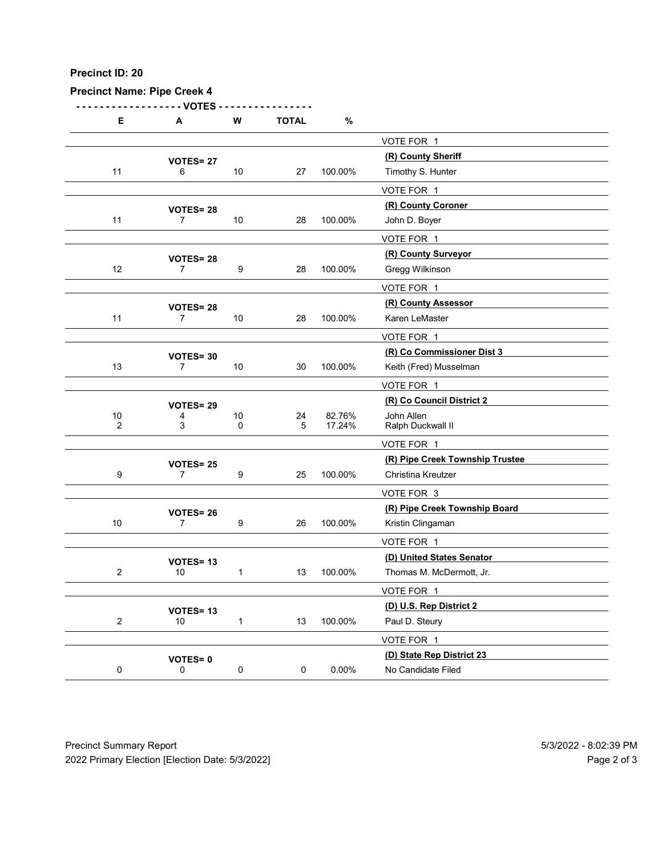| Precinct ID: 20        |                                    |                       |                  |                  |                                          |  |
|------------------------|------------------------------------|-----------------------|------------------|------------------|------------------------------------------|--|
|                        | <b>Precinct Name: Pipe Creek 4</b> |                       |                  |                  |                                          |  |
| Е                      | - VOTES<br>A                       | ${\bf W}$             | <b>TOTAL</b>     | $\%$             |                                          |  |
|                        |                                    |                       |                  |                  | VOTE FOR 1                               |  |
|                        | <b>VOTES= 27</b>                   |                       |                  |                  | (R) County Sheriff                       |  |
| 11                     | 6                                  | 10                    | 27               | 100.00%          | Timothy S. Hunter                        |  |
|                        |                                    |                       |                  |                  | VOTE FOR 1                               |  |
|                        | <b>VOTES=28</b>                    |                       |                  |                  | (R) County Coroner                       |  |
| 11                     | $\overline{7}$                     | 10                    | 28               | 100.00%          | John D. Boyer                            |  |
|                        |                                    |                       |                  |                  | VOTE FOR 1<br>(R) County Surveyor        |  |
| 12                     | <b>VOTES= 28</b><br>$\overline{7}$ | 9                     | 28               | 100.00%          | Gregg Wilkinson                          |  |
|                        |                                    |                       |                  |                  | VOTE FOR 1                               |  |
|                        | <b>VOTES=28</b>                    |                       |                  |                  | (R) County Assessor                      |  |
| 11                     | $\overline{7}$                     | 10                    | 28               | 100.00%          | Karen LeMaster                           |  |
|                        |                                    |                       |                  |                  | VOTE FOR 1<br>(R) Co Commissioner Dist 3 |  |
| 13                     | VOTES= 30<br>$\overline{7}$        | 10                    | 30               | 100.00%          | Keith (Fred) Musselman                   |  |
|                        |                                    |                       |                  |                  | VOTE FOR 1                               |  |
|                        | VOTES= 29                          |                       |                  |                  | (R) Co Council District 2                |  |
| $10$<br>$\overline{2}$ | 4<br>3                             | $10\,$<br>$\mathbf 0$ | 24<br>$\sqrt{5}$ | 82.76%<br>17.24% | John Allen<br>Ralph Duckwall II          |  |
|                        |                                    |                       |                  |                  | VOTE FOR 1                               |  |
|                        | <b>VOTES= 25</b>                   |                       |                  |                  | (R) Pipe Creek Township Trustee          |  |
| 9                      | $\overline{7}$                     | 9                     | 25               | 100.00%          | Christina Kreutzer                       |  |
|                        |                                    |                       |                  |                  | VOTE FOR 3                               |  |
|                        | <b>VOTES=26</b>                    |                       |                  |                  | (R) Pipe Creek Township Board            |  |
| 10                     | $\overline{7}$                     | 9                     | 26               | 100.00%          | Kristin Clingaman                        |  |
|                        |                                    |                       |                  |                  | VOTE FOR 1<br>(D) United States Senator  |  |
| $\overline{2}$         | VOTES=13<br>10                     | $\mathbf{1}$          | 13               | 100.00%          | Thomas M. McDermott, Jr.                 |  |
|                        |                                    |                       |                  |                  | VOTE FOR 1                               |  |
|                        | VOTES=13                           |                       |                  |                  | (D) U.S. Rep District 2                  |  |
| $\overline{2}$         | 10                                 | $\overline{1}$        | 13               | 100.00%          | Paul D. Steury                           |  |
|                        |                                    |                       |                  |                  | VOTE FOR 1                               |  |
|                        | <b>VOTES=0</b>                     |                       |                  |                  | (D) State Rep District 23                |  |
| $\mathbf 0$            | $\mathsf{O}$                       | $\mathbf 0$           | 0                | $0.00\%$         | No Candidate Filed                       |  |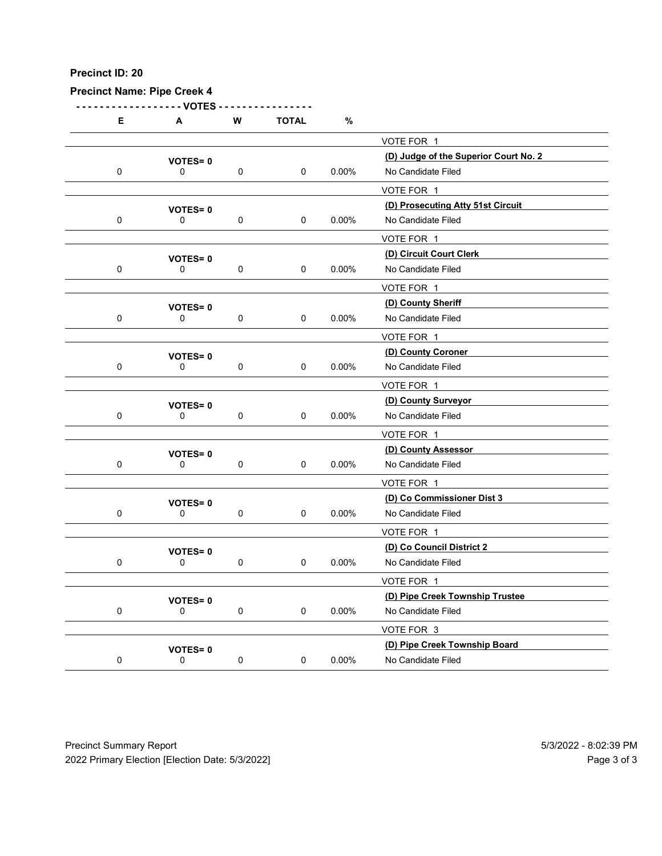|             | <b>Precinct Name: Pipe Creek 4</b> |             |              |          |                                                             |  |
|-------------|------------------------------------|-------------|--------------|----------|-------------------------------------------------------------|--|
| Е           | - VOTES<br>A                       | ${\bf W}$   | <b>TOTAL</b> | $\%$     |                                                             |  |
|             |                                    |             |              |          | VOTE FOR 1                                                  |  |
| $\mathbf 0$ | VOTES=0<br>0                       | $\mathbf 0$ | $\mathbf 0$  | $0.00\%$ | (D) Judge of the Superior Court No. 2<br>No Candidate Filed |  |
|             |                                    |             |              |          | VOTE FOR 1                                                  |  |
|             | <b>VOTES=0</b>                     |             |              |          | (D) Prosecuting Atty 51st Circuit                           |  |
| $\mathbf 0$ | 0                                  | $\mathbf 0$ | $\mathbf 0$  | 0.00%    | No Candidate Filed                                          |  |
|             |                                    |             |              |          | VOTE FOR 1<br>(D) Circuit Court Clerk                       |  |
| $\mathbf 0$ | VOTES=0<br>0                       | 0           | $\mathbf 0$  | $0.00\%$ | No Candidate Filed                                          |  |
|             |                                    |             |              |          | VOTE FOR 1                                                  |  |
| $\mathbf 0$ | VOTES=0<br>$\mathbf 0$             | 0           | 0            | 0.00%    | (D) County Sheriff<br>No Candidate Filed                    |  |
|             |                                    |             |              |          | VOTE FOR 1                                                  |  |
|             | <b>VOTES=0</b>                     |             |              |          | (D) County Coroner                                          |  |
| $\mathbf 0$ | 0                                  | $\mathbf 0$ | $\mathbf 0$  | $0.00\%$ | No Candidate Filed                                          |  |
|             |                                    |             |              |          | VOTE FOR 1<br>(D) County Surveyor                           |  |
| $\mathbf 0$ | <b>VOTES=0</b><br>$\mathbf 0$      | $\mathbf 0$ | $\mathbf 0$  | $0.00\%$ | No Candidate Filed                                          |  |
|             |                                    |             |              |          | VOTE FOR 1                                                  |  |
|             | <b>VOTES=0</b>                     |             |              |          | (D) County Assessor                                         |  |
| $\mathbf 0$ | $\mathsf{O}$                       | $\mathbf 0$ | $\mathbf 0$  | $0.00\%$ | No Candidate Filed<br>VOTE FOR 1                            |  |
|             | <b>VOTES=0</b>                     |             |              |          | (D) Co Commissioner Dist 3                                  |  |
| $\mathbf 0$ | $\mathsf{O}$                       | $\mathbf 0$ | $\mathbf 0$  | $0.00\%$ | No Candidate Filed                                          |  |
|             |                                    |             |              |          | VOTE FOR 1                                                  |  |
| $\mathbf 0$ | <b>VOTES=0</b><br>$\mathsf{O}$     | $\mathbf 0$ | $\mathbf 0$  | $0.00\%$ | (D) Co Council District 2<br>No Candidate Filed             |  |
|             |                                    |             |              |          | VOTE FOR 1                                                  |  |
|             | <b>VOTES=0</b>                     |             |              |          | (D) Pipe Creek Township Trustee                             |  |
| $\mathbf 0$ | $\mathbf 0$                        | $\mathbf 0$ | $\mathbf 0$  | $0.00\%$ | No Candidate Filed                                          |  |
|             |                                    |             |              |          | VOTE FOR 3<br>(D) Pipe Creek Township Board                 |  |
| $\mathbf 0$ | <b>VOTES=0</b><br>$\mathsf 0$      | $\pmb{0}$   | $\mathbf 0$  | $0.00\%$ | No Candidate Filed                                          |  |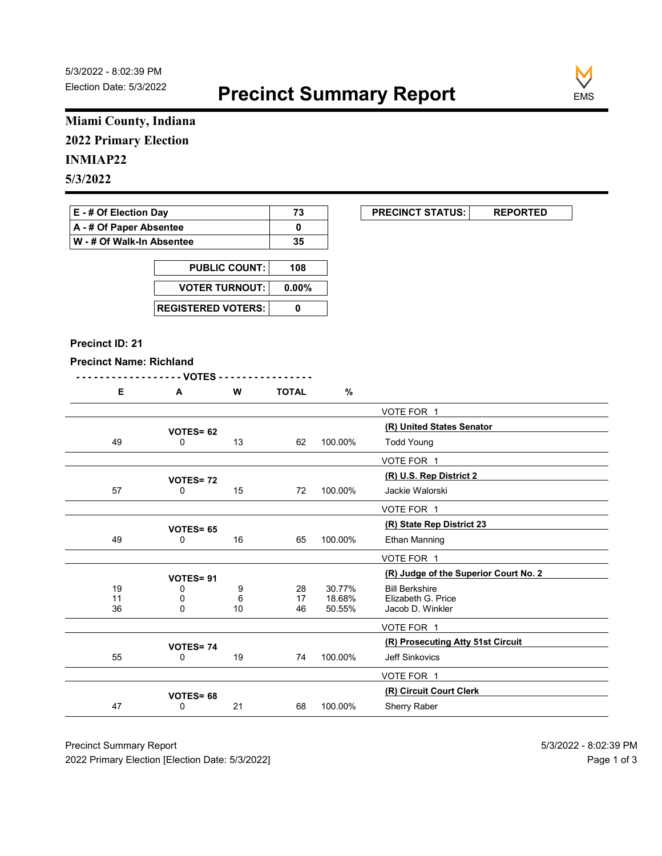

# Miami County, Indiana 2022 Primary Election

# INMIAP22

| E - # Of Election Day       | 73 | <b>PRECINCT STATUS:</b> |  |
|-----------------------------|----|-------------------------|--|
| A - # Of Paper Absentee     |    |                         |  |
| ∣ W - # Of Walk-In Absentee | 35 |                         |  |

| <b>PUBLIC COUNT:</b>      | 108   |
|---------------------------|-------|
| <b>VOTER TURNOUT:</b>     | 0.00% |
| <b>REGISTERED VOTERS:</b> |       |

#### Precinct ID: 21

|  | W<br>v۱ | TOTAL | $\mathbf{0}$ |
|--|---------|-------|--------------|
|  |         |       |              |

| Miami County, Indiana<br><b>2022 Primary Election</b><br>E - # Of Election Day<br><b>PRECINCT STATUS:</b><br>73<br><b>REPORTED</b><br>A - # Of Paper Absentee<br>$\mathbf 0$<br>W - # Of Walk-In Absentee<br>35<br><b>PUBLIC COUNT:</b><br>108<br><b>VOTER TURNOUT:</b><br>$0.00\%$<br><b>REGISTERED VOTERS:</b><br>$\mathbf 0$<br>Precinct ID: 21<br><b>Precinct Name: Richland</b><br>- - VOTES -<br>E<br>A<br>W<br><b>TOTAL</b><br>%<br>VOTE FOR 1<br>(R) United States Senator<br>VOTES= 62<br>49<br>13<br>100.00%<br><b>Todd Young</b><br>0<br>62<br>VOTE FOR 1<br>(R) U.S. Rep District 2<br><b>VOTES=72</b><br>57<br>$\mathsf{O}$<br>15<br>100.00%<br>Jackie Walorski<br>72<br>VOTE FOR 1<br>(R) State Rep District 23<br><b>VOTES= 65</b><br>16<br>100.00%<br>49<br>65<br>Ethan Manning<br>0<br>VOTE FOR 1<br>(R) Judge of the Superior Court No. 2 |
|-------------------------------------------------------------------------------------------------------------------------------------------------------------------------------------------------------------------------------------------------------------------------------------------------------------------------------------------------------------------------------------------------------------------------------------------------------------------------------------------------------------------------------------------------------------------------------------------------------------------------------------------------------------------------------------------------------------------------------------------------------------------------------------------------------------------------------------------------------------|
| <b>INMIAP22</b><br>5/3/2022                                                                                                                                                                                                                                                                                                                                                                                                                                                                                                                                                                                                                                                                                                                                                                                                                                 |
|                                                                                                                                                                                                                                                                                                                                                                                                                                                                                                                                                                                                                                                                                                                                                                                                                                                             |
|                                                                                                                                                                                                                                                                                                                                                                                                                                                                                                                                                                                                                                                                                                                                                                                                                                                             |
|                                                                                                                                                                                                                                                                                                                                                                                                                                                                                                                                                                                                                                                                                                                                                                                                                                                             |
|                                                                                                                                                                                                                                                                                                                                                                                                                                                                                                                                                                                                                                                                                                                                                                                                                                                             |
|                                                                                                                                                                                                                                                                                                                                                                                                                                                                                                                                                                                                                                                                                                                                                                                                                                                             |
|                                                                                                                                                                                                                                                                                                                                                                                                                                                                                                                                                                                                                                                                                                                                                                                                                                                             |
|                                                                                                                                                                                                                                                                                                                                                                                                                                                                                                                                                                                                                                                                                                                                                                                                                                                             |
|                                                                                                                                                                                                                                                                                                                                                                                                                                                                                                                                                                                                                                                                                                                                                                                                                                                             |
|                                                                                                                                                                                                                                                                                                                                                                                                                                                                                                                                                                                                                                                                                                                                                                                                                                                             |
|                                                                                                                                                                                                                                                                                                                                                                                                                                                                                                                                                                                                                                                                                                                                                                                                                                                             |
|                                                                                                                                                                                                                                                                                                                                                                                                                                                                                                                                                                                                                                                                                                                                                                                                                                                             |
|                                                                                                                                                                                                                                                                                                                                                                                                                                                                                                                                                                                                                                                                                                                                                                                                                                                             |
|                                                                                                                                                                                                                                                                                                                                                                                                                                                                                                                                                                                                                                                                                                                                                                                                                                                             |
|                                                                                                                                                                                                                                                                                                                                                                                                                                                                                                                                                                                                                                                                                                                                                                                                                                                             |
|                                                                                                                                                                                                                                                                                                                                                                                                                                                                                                                                                                                                                                                                                                                                                                                                                                                             |
|                                                                                                                                                                                                                                                                                                                                                                                                                                                                                                                                                                                                                                                                                                                                                                                                                                                             |
|                                                                                                                                                                                                                                                                                                                                                                                                                                                                                                                                                                                                                                                                                                                                                                                                                                                             |
|                                                                                                                                                                                                                                                                                                                                                                                                                                                                                                                                                                                                                                                                                                                                                                                                                                                             |
|                                                                                                                                                                                                                                                                                                                                                                                                                                                                                                                                                                                                                                                                                                                                                                                                                                                             |
|                                                                                                                                                                                                                                                                                                                                                                                                                                                                                                                                                                                                                                                                                                                                                                                                                                                             |
|                                                                                                                                                                                                                                                                                                                                                                                                                                                                                                                                                                                                                                                                                                                                                                                                                                                             |
|                                                                                                                                                                                                                                                                                                                                                                                                                                                                                                                                                                                                                                                                                                                                                                                                                                                             |
|                                                                                                                                                                                                                                                                                                                                                                                                                                                                                                                                                                                                                                                                                                                                                                                                                                                             |
|                                                                                                                                                                                                                                                                                                                                                                                                                                                                                                                                                                                                                                                                                                                                                                                                                                                             |
| VOTES= 91<br>19<br>30.77%<br>0                                                                                                                                                                                                                                                                                                                                                                                                                                                                                                                                                                                                                                                                                                                                                                                                                              |
| 9<br>28<br><b>Bill Berkshire</b><br>Elizabeth G. Price<br>18.68%<br>$\frac{11}{36}$<br>0<br>6<br>17                                                                                                                                                                                                                                                                                                                                                                                                                                                                                                                                                                                                                                                                                                                                                         |
| $10$<br>46<br>50.55%<br>0<br>Jacob D. Winkler                                                                                                                                                                                                                                                                                                                                                                                                                                                                                                                                                                                                                                                                                                                                                                                                               |
| VOTE FOR 1                                                                                                                                                                                                                                                                                                                                                                                                                                                                                                                                                                                                                                                                                                                                                                                                                                                  |
| (R) Prosecuting Atty 51st Circuit<br><b>VOTES=74</b><br>100.00%<br>55<br>19<br>74<br>Jeff Sinkovics<br>0                                                                                                                                                                                                                                                                                                                                                                                                                                                                                                                                                                                                                                                                                                                                                    |
|                                                                                                                                                                                                                                                                                                                                                                                                                                                                                                                                                                                                                                                                                                                                                                                                                                                             |
| VOTE FOR 1<br>(R) Circuit Court Clerk                                                                                                                                                                                                                                                                                                                                                                                                                                                                                                                                                                                                                                                                                                                                                                                                                       |
| VOTES= 68<br>47<br>21<br>Sherry Raber<br>68<br>100.00%<br>0                                                                                                                                                                                                                                                                                                                                                                                                                                                                                                                                                                                                                                                                                                                                                                                                 |
|                                                                                                                                                                                                                                                                                                                                                                                                                                                                                                                                                                                                                                                                                                                                                                                                                                                             |
|                                                                                                                                                                                                                                                                                                                                                                                                                                                                                                                                                                                                                                                                                                                                                                                                                                                             |
| <b>Precinct Summary Report</b><br>5/3/2022 - 8:02:39 PM                                                                                                                                                                                                                                                                                                                                                                                                                                                                                                                                                                                                                                                                                                                                                                                                     |
| 2022 Primary Election [Election Date: 5/3/2022]<br>Page 1 of 3                                                                                                                                                                                                                                                                                                                                                                                                                                                                                                                                                                                                                                                                                                                                                                                              |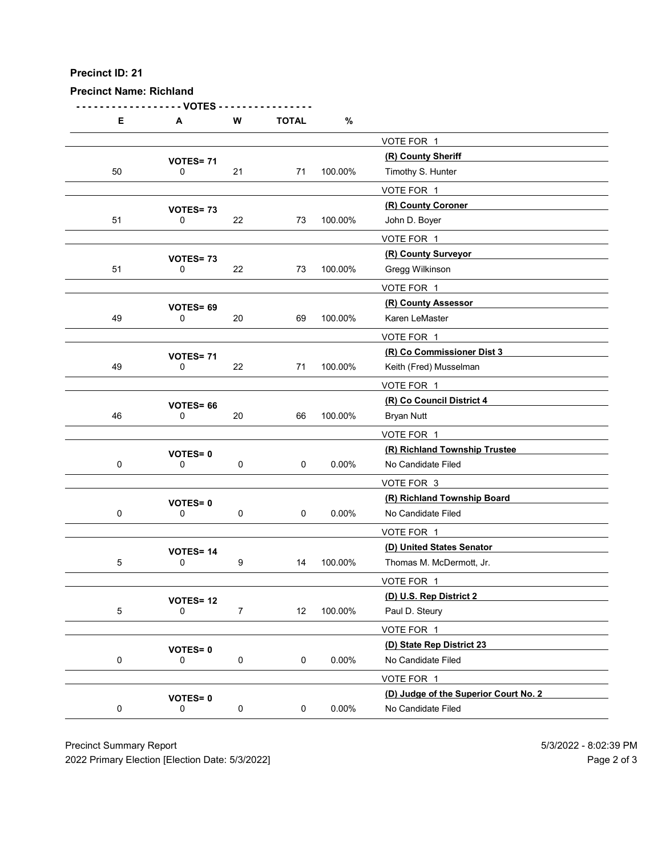| Precinct ID: 21<br><b>Precinct Name: Richland</b> |                                |                     |              |          |                                                       |  |
|---------------------------------------------------|--------------------------------|---------------------|--------------|----------|-------------------------------------------------------|--|
|                                                   |                                |                     |              |          |                                                       |  |
|                                                   | - VOTES                        |                     |              |          |                                                       |  |
| E                                                 | A                              | W                   | <b>TOTAL</b> | $\%$     |                                                       |  |
|                                                   |                                |                     |              |          | VOTE FOR 1                                            |  |
| 50                                                | VOTES=71<br>0                  | 21                  | 71           | 100.00%  | (R) County Sheriff<br>Timothy S. Hunter               |  |
|                                                   |                                |                     |              |          | VOTE FOR 1                                            |  |
|                                                   | VOTES=73                       |                     |              |          | (R) County Coroner                                    |  |
| 51                                                | 0                              | 22                  | 73           | 100.00%  | John D. Boyer                                         |  |
|                                                   |                                |                     |              |          | VOTE FOR 1<br>(R) County Surveyor                     |  |
| 51                                                | VOTES=73<br>0                  | 22                  | 73           | 100.00%  | Gregg Wilkinson                                       |  |
|                                                   |                                |                     |              |          | VOTE FOR 1                                            |  |
|                                                   | VOTES= 69                      |                     |              |          | (R) County Assessor                                   |  |
| 49                                                | 0                              | 20                  | 69           | 100.00%  | Karen LeMaster                                        |  |
|                                                   |                                |                     |              |          | VOTE FOR 1<br>(R) Co Commissioner Dist 3              |  |
| 49                                                | <b>VOTES= 71</b><br>0          | 22                  | 71           | 100.00%  | Keith (Fred) Musselman                                |  |
|                                                   |                                |                     |              |          | VOTE FOR 1                                            |  |
|                                                   | VOTES= 66                      |                     |              |          | (R) Co Council District 4                             |  |
| 46                                                | 0                              | 20                  | 66           | 100.00%  | <b>Bryan Nutt</b>                                     |  |
|                                                   |                                |                     |              |          | VOTE FOR 1                                            |  |
| $\mathbf 0$                                       | <b>VOTES=0</b><br>0            | $\mathbf 0$         | $\pmb{0}$    | $0.00\%$ | (R) Richland Township Trustee<br>No Candidate Filed   |  |
|                                                   |                                |                     |              |          | VOTE FOR 3                                            |  |
|                                                   | <b>VOTES=0</b>                 |                     |              |          | (R) Richland Township Board                           |  |
| $\mathbf 0$                                       | $\mathbf 0$                    | $\mathsf{O}\xspace$ | 0            | $0.00\%$ | No Candidate Filed                                    |  |
|                                                   |                                |                     |              |          | VOTE FOR 1                                            |  |
| $\sqrt{5}$                                        | <b>VOTES=14</b><br>$\mathbf 0$ | $\boldsymbol{9}$    | 14           | 100.00%  | (D) United States Senator<br>Thomas M. McDermott, Jr. |  |
|                                                   |                                |                     |              |          | VOTE FOR 1                                            |  |
|                                                   | <b>VOTES= 12</b>               |                     |              |          | (D) U.S. Rep District 2                               |  |
| 5                                                 | 0                              | $\overline{7}$      | 12           | 100.00%  | Paul D. Steury                                        |  |
|                                                   |                                |                     |              |          | VOTE FOR 1                                            |  |
|                                                   | <b>VOTES=0</b>                 |                     |              |          | (D) State Rep District 23                             |  |
| $\mathbf 0$                                       | 0                              | $\mathbf 0$         | 0            | $0.00\%$ | No Candidate Filed                                    |  |
|                                                   |                                |                     |              |          | VOTE FOR 1<br>(D) Judge of the Superior Court No. 2   |  |
| $\mathbf 0$                                       | <b>VOTES=0</b><br>0            | $\mathbf 0$         | 0            | $0.00\%$ | No Candidate Filed                                    |  |
|                                                   |                                |                     |              |          |                                                       |  |
|                                                   | <b>Precinct Summary Report</b> |                     |              |          |                                                       |  |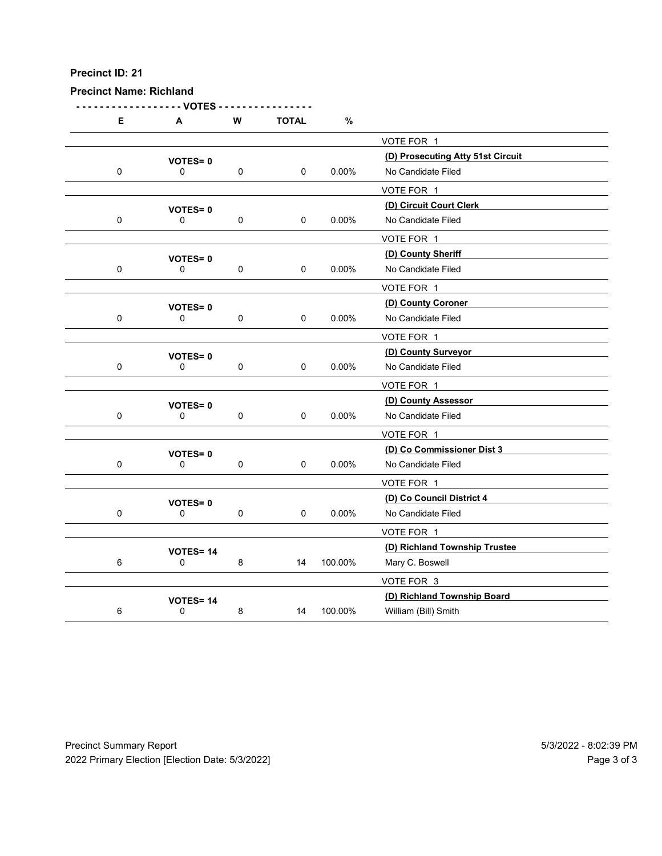| Precinct ID: 21<br><b>Precinct Name: Richland</b> |                                |                     |                     |          |                                                         |  |
|---------------------------------------------------|--------------------------------|---------------------|---------------------|----------|---------------------------------------------------------|--|
| E                                                 | -- VOTES<br>A                  | ${\bf W}$           | <b>TOTAL</b>        | $\%$     |                                                         |  |
|                                                   |                                |                     |                     |          | VOTE FOR 1                                              |  |
| $\mathbf 0$                                       | <b>VOTES=0</b><br>0            | $\mathsf{O}\xspace$ | 0                   | 0.00%    | (D) Prosecuting Atty 51st Circuit<br>No Candidate Filed |  |
|                                                   |                                |                     |                     |          | VOTE FOR 1                                              |  |
|                                                   | <b>VOTES=0</b>                 |                     |                     |          | (D) Circuit Court Clerk                                 |  |
| $\mathbf 0$                                       | 0                              | $\mathbf 0$         | $\pmb{0}$           | $0.00\%$ | No Candidate Filed<br>VOTE FOR 1                        |  |
|                                                   | <b>VOTES=0</b>                 |                     |                     |          | (D) County Sheriff                                      |  |
| 0                                                 | 0                              | $\pmb{0}$           | $\pmb{0}$           | $0.00\%$ | No Candidate Filed                                      |  |
|                                                   |                                |                     |                     |          | VOTE FOR 1                                              |  |
| $\mathbf 0$                                       | VOTES=0<br>0                   | $\mathbf 0$         | 0                   | $0.00\%$ | (D) County Coroner<br>No Candidate Filed                |  |
|                                                   |                                |                     |                     |          | VOTE FOR 1                                              |  |
|                                                   | <b>VOTES=0</b>                 |                     |                     |          | (D) County Surveyor                                     |  |
| $\mathbf 0$                                       | 0                              | $\mathbf 0$         | $\mathbf 0$         | $0.00\%$ | No Candidate Filed                                      |  |
|                                                   |                                |                     |                     |          | VOTE FOR 1<br>(D) County Assessor                       |  |
| $\mathbf 0$                                       | <b>VOTES=0</b><br>$\mathbf 0$  | $\mathbf 0$         | 0                   | $0.00\%$ | No Candidate Filed                                      |  |
|                                                   |                                |                     |                     |          | VOTE FOR 1                                              |  |
|                                                   | <b>VOTES=0</b>                 |                     |                     |          | (D) Co Commissioner Dist 3                              |  |
| $\mathbf 0$                                       | 0                              | $\mathbf 0$         | $\mathsf{O}\xspace$ | $0.00\%$ | No Candidate Filed<br>VOTE FOR 1                        |  |
|                                                   | <b>VOTES=0</b>                 |                     |                     |          | (D) Co Council District 4                               |  |
| $\mathbf 0$                                       | 0                              | $\mathbf 0$         | 0                   | $0.00\%$ | No Candidate Filed                                      |  |
|                                                   |                                |                     |                     |          | VOTE FOR 1                                              |  |
| 6                                                 | <b>VOTES=14</b><br>$\mathbf 0$ | $\bf 8$             | 14                  | 100.00%  | (D) Richland Township Trustee<br>Mary C. Boswell        |  |
|                                                   |                                |                     |                     |          | VOTE FOR 3                                              |  |
|                                                   | VOTES=14                       |                     |                     |          | (D) Richland Township Board                             |  |
| 6                                                 | $\mathbf 0$                    | $\bf 8$             | 14                  | 100.00%  | William (Bill) Smith                                    |  |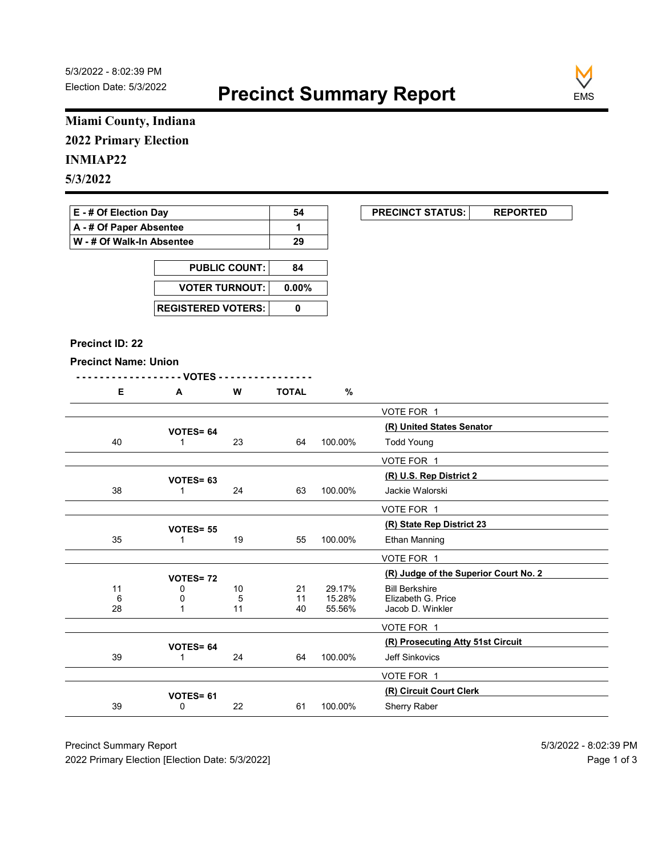

# Miami County, Indiana 2022 Primary Election

### INMIAP22

| E - # Of Election Day       | 54 | <b>PRECINCT STATUS:</b> |  |
|-----------------------------|----|-------------------------|--|
| A - # Of Paper Absentee     |    |                         |  |
| ∣ W - # Of Walk-In Absentee | 29 |                         |  |

| <b>PUBLIC COUNT:</b> | 84 |
|----------------------|----|
| VOTER TURNOUT: 0.00% |    |
|                      |    |

#### Precinct ID: 22

|  | W | OTAL |  |
|--|---|------|--|
|  |   |      |  |

|                              | Miami County, Indiana       |                      |                             |         |                                                     |
|------------------------------|-----------------------------|----------------------|-----------------------------|---------|-----------------------------------------------------|
| <b>2022 Primary Election</b> |                             |                      |                             |         |                                                     |
| <b>INMIAP22</b>              |                             |                      |                             |         |                                                     |
| 5/3/2022                     |                             |                      |                             |         |                                                     |
|                              |                             |                      |                             |         |                                                     |
| E - # Of Election Day        |                             |                      | 54                          |         | <b>PRECINCT STATUS:</b><br><b>REPORTED</b>          |
| A - # Of Paper Absentee      |                             |                      | $\mathbf{1}$                |         |                                                     |
| W - # Of Walk-In Absentee    |                             |                      | 29                          |         |                                                     |
|                              |                             | <b>PUBLIC COUNT:</b> | 84                          |         |                                                     |
|                              | <b>VOTER TURNOUT:</b>       |                      | $0.00\%$                    |         |                                                     |
|                              |                             |                      |                             |         |                                                     |
|                              | <b>REGISTERED VOTERS:</b>   |                      | $\pmb{0}$                   |         |                                                     |
| <b>Precinct ID: 22</b>       |                             |                      |                             |         |                                                     |
|                              |                             |                      |                             |         |                                                     |
| <b>Precinct Name: Union</b>  | $-$ - VOTES -               |                      | <u> - - - - - - - - - -</u> |         |                                                     |
| E                            | A                           | W                    | <b>TOTAL</b>                | %       |                                                     |
|                              |                             |                      |                             |         | VOTE FOR 1                                          |
|                              | VOTES= 64                   |                      |                             |         | (R) United States Senator                           |
| 40                           | $\overline{1}$              | 23                   | 64                          | 100.00% | <b>Todd Young</b>                                   |
|                              |                             |                      |                             |         | VOTE FOR 1                                          |
|                              | VOTES= 63                   |                      |                             |         | (R) U.S. Rep District 2                             |
| 38                           | $\overline{1}$              | 24                   | 63                          | 100.00% | Jackie Walorski                                     |
|                              |                             |                      |                             |         | VOTE FOR 1                                          |
|                              | <b>VOTES= 55</b>            |                      |                             |         | (R) State Rep District 23                           |
| 35                           | $\overline{1}$              | 19                   | 55                          | 100.00% | Ethan Manning                                       |
|                              |                             |                      |                             |         | VOTE FOR 1                                          |
|                              | <b>VOTES=72</b>             |                      |                             | 29.17%  | (R) Judge of the Superior Court No. 2               |
| 11<br>6                      | 0<br>0                      | 10<br>5              | 21<br>11                    | 15.28%  | <b>Bill Berkshire</b><br>Elizabeth G. Price         |
| 28                           | $\overline{1}$              | 11                   | 40                          | 55.56%  | Jacob D. Winkler                                    |
|                              |                             |                      |                             |         | VOTE FOR 1                                          |
| 39                           | VOTES= 64<br>$\overline{1}$ | 24                   | 64                          | 100.00% | (R) Prosecuting Atty 51st Circuit<br>Jeff Sinkovics |
|                              |                             |                      |                             |         |                                                     |
|                              |                             |                      |                             |         | VOTE FOR 1<br>(R) Circuit Court Clerk               |
|                              | VOTES= 61                   | 22                   | 61                          | 100.00% | Sherry Raber                                        |
| 39                           | 0                           |                      |                             |         |                                                     |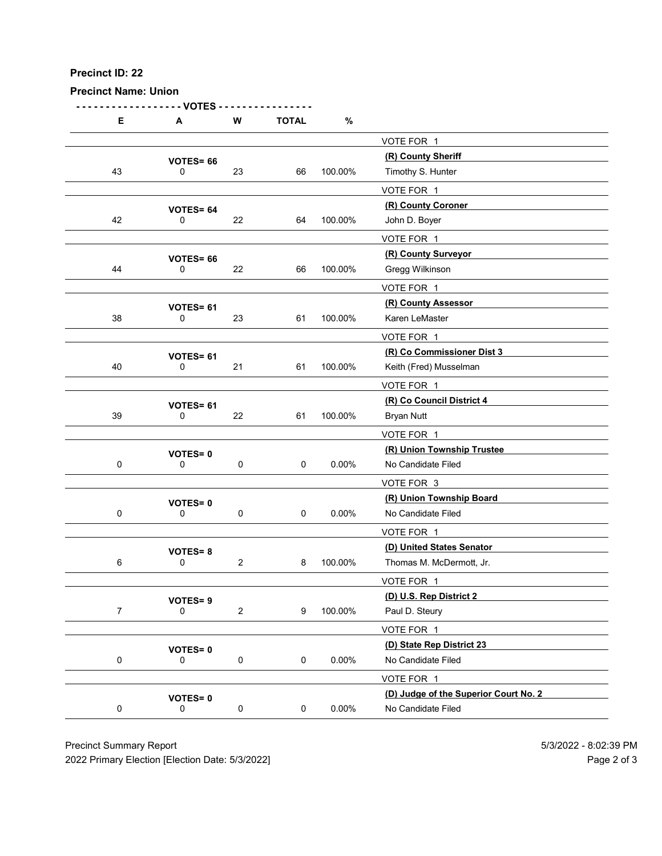| Precinct ID: 22                |                               |                     |              |          |                                                     |                       |
|--------------------------------|-------------------------------|---------------------|--------------|----------|-----------------------------------------------------|-----------------------|
|                                |                               |                     |              |          |                                                     |                       |
| <b>Precinct Name: Union</b>    |                               |                     |              |          |                                                     |                       |
|                                | - VOTES                       |                     |              |          |                                                     |                       |
| E                              | A                             | ${\bf W}$           | <b>TOTAL</b> | $\%$     |                                                     |                       |
|                                |                               |                     |              |          | VOTE FOR 1<br>(R) County Sheriff                    |                       |
| 43                             | <b>VOTES=66</b><br>0          | 23                  | 66           | 100.00%  | Timothy S. Hunter                                   |                       |
|                                |                               |                     |              |          | VOTE FOR 1                                          |                       |
|                                | VOTES= 64                     |                     |              |          | (R) County Coroner                                  |                       |
| 42                             | 0                             | 22                  | 64           | 100.00%  | John D. Boyer<br>VOTE FOR 1                         |                       |
|                                | <b>VOTES= 66</b>              |                     |              |          | (R) County Surveyor                                 |                       |
| 44                             | 0                             | 22                  | 66           | 100.00%  | Gregg Wilkinson                                     |                       |
|                                |                               |                     |              |          | VOTE FOR 1                                          |                       |
| 38                             | VOTES= 61<br>0                | 23                  | 61           | 100.00%  | (R) County Assessor<br>Karen LeMaster               |                       |
|                                |                               |                     |              |          | VOTE FOR 1                                          |                       |
|                                | VOTES= 61                     |                     |              |          | (R) Co Commissioner Dist 3                          |                       |
| 40                             | 0                             | 21                  | 61           | 100.00%  | Keith (Fred) Musselman                              |                       |
|                                |                               |                     |              |          | VOTE FOR 1                                          |                       |
| 39                             | VOTES= 61<br>$\mathbf 0$      | 22                  | 61           | 100.00%  | (R) Co Council District 4<br><b>Bryan Nutt</b>      |                       |
|                                |                               |                     |              |          | VOTE FOR 1                                          |                       |
|                                | <b>VOTES=0</b>                |                     |              |          | (R) Union Township Trustee                          |                       |
| $\mathbf 0$                    | 0                             | $\mathbf 0$         | $\pmb{0}$    | $0.00\%$ | No Candidate Filed                                  |                       |
|                                |                               |                     |              |          | VOTE FOR 3<br>(R) Union Township Board              |                       |
| $\mathbf 0$                    | <b>VOTES=0</b><br>$\mathbf 0$ | $\mathsf{O}\xspace$ | 0            | $0.00\%$ | No Candidate Filed                                  |                       |
|                                |                               |                     |              |          | VOTE FOR 1                                          |                       |
|                                | <b>VOTES=8</b>                |                     |              |          | (D) United States Senator                           |                       |
| 6                              | $\mathbf 0$                   | $\overline{2}$      | 8            | 100.00%  | Thomas M. McDermott, Jr.                            |                       |
|                                |                               |                     |              |          | VOTE FOR 1<br>(D) U.S. Rep District 2               |                       |
| $\overline{7}$                 | <b>VOTES=9</b><br>$\mathbf 0$ | $\overline{2}$      | 9            | 100.00%  | Paul D. Steury                                      |                       |
|                                |                               |                     |              |          | VOTE FOR 1                                          |                       |
|                                | <b>VOTES=0</b>                |                     |              |          | (D) State Rep District 23                           |                       |
| $\mathbf 0$                    | 0                             | $\mathbf 0$         | 0            | $0.00\%$ | No Candidate Filed                                  |                       |
|                                |                               |                     |              |          | VOTE FOR 1<br>(D) Judge of the Superior Court No. 2 |                       |
| $\mathbf 0$                    | <b>VOTES=0</b><br>$\mathbf 0$ | $\mathbf 0$         | $\mathsf{O}$ | $0.00\%$ | No Candidate Filed                                  |                       |
|                                |                               |                     |              |          |                                                     |                       |
| <b>Precinct Summary Report</b> |                               |                     |              |          |                                                     | 5/3/2022 - 8:02:39 PM |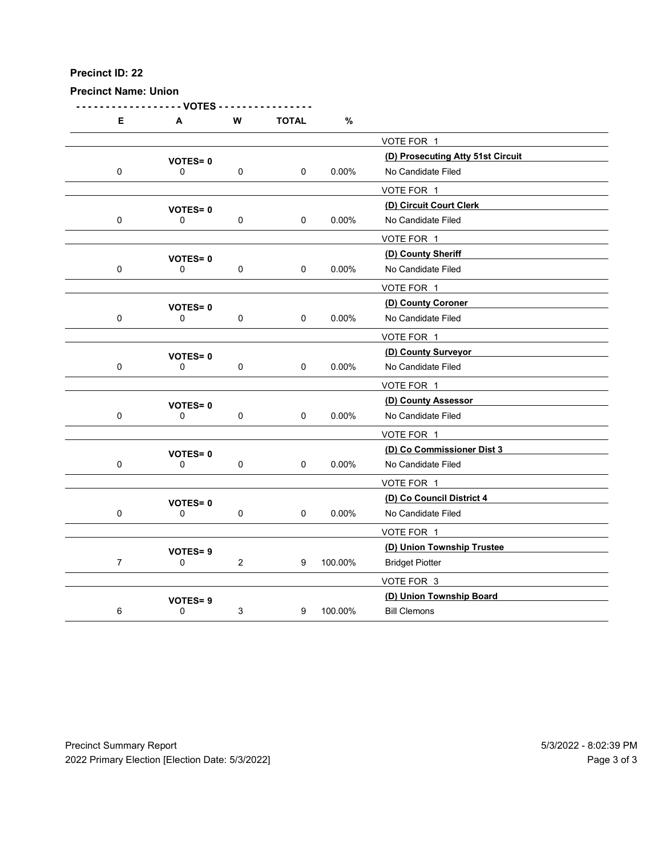Precinct Name: Union

- - - - - - - - - - - - - - - - - - VOTES - - - - - - - - - - - - - - - - E A W TOTAL % VOTE FOR 1 VOTES= 0<br>
0 0 0 0 0 0 0 0.00% No Candidate Filed<br>
0 0 0.00% No Candidate Filed 0 0 0 0 0.00% No Candidate Filed VOTE FOR 1 VOTES= 0<br>
0 0 0 0 0 0.00% No Candidate Filed<br>
0 0 0.00% No Candidate Filed 0 0 0 0 0.00% No Candidate Filed VOTE FOR 1 VOTES= 0<br>
0 0 0 0 0 0 0 0.00% No Candidate Filed 0 0 0 0 0.00% No Candidate Filed VOTE FOR 1 (D) County Coroner VOTES= <sup>0</sup> 0 0 0 0 0.00% No Candidate Filed VOTE FOR 1 (D) County Surveyor VOTES= <sup>0</sup> 0 0 0 0 0 0.00% No Candidate Filed VOTE FOR 1 VOTES= 0<br>
0 0 0 0 0 0 0 0.00% No Candidate Filed 0 0 0 0 0 0.00% No Candidate Filed VOTE FOR 1 (D) Co Commissioner Dist 3 VOTES= <sup>0</sup> 0 0 0 0 0 0.00% No Candidate Filed VOTE FOR 1 VOTES= 0<br>
0 0 0 0 0 0.00% No Candidate Filed 0 0 0 0 0.00% No Candidate Filed VOTE FOR 1 VOTES= 9<br>
0
2
0
2
2
100.00%
Bridaet Piotter 7 0 2 9 100.00% Bridget Piotter VOTE FOR 3 VOTES= 9<br>
0 3 9 100.00% Bill Clemons 6 0 3 9 100.00% Bill Clemons Precinct Summary Report<br>
Precinct Summary Report<br>
Precinct Summary Report<br>
Precinct Summary Report<br>
Precinct Summary Report<br>
Precinct Summary Report<br>
Precinct Summary Report<br>
Precinct Summary Report<br>
Precinct Summary Repor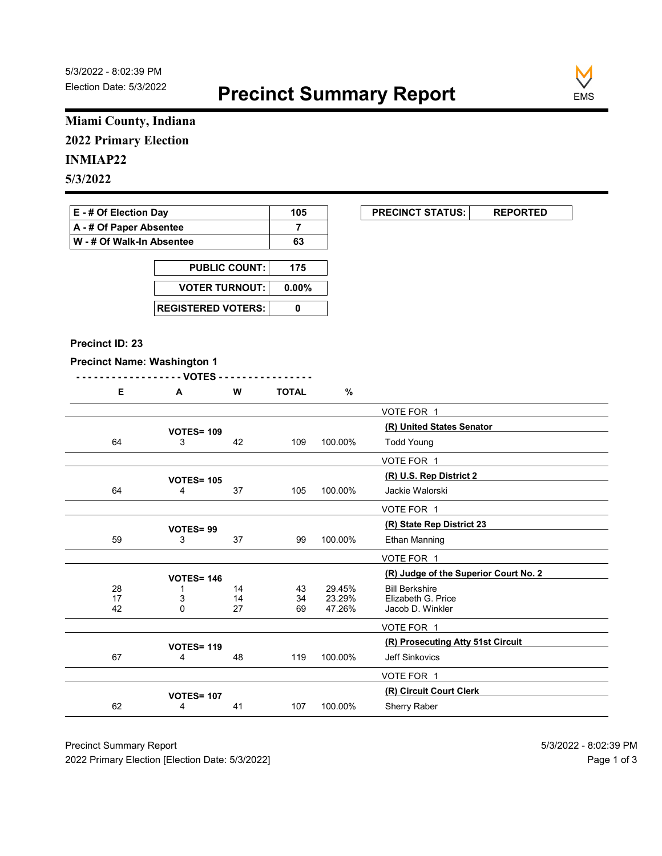

### Miami County, Indiana 2022 Primary Election

### INMIAP22

| E - # Of Election Day     | 105 | <b>PRECINCT STATUS:</b> |  |
|---------------------------|-----|-------------------------|--|
| A - # Of Paper Absentee   |     |                         |  |
| W - # Of Walk-In Absentee | 63  |                         |  |

| <b>PUBLIC COUNT:</b>        | 175 |
|-----------------------------|-----|
| VOTER TURNOUT: 0.00%        |     |
| <b>REGISTERED VOTERS: I</b> |     |

#### Precinct ID: 23

#### Precinct Name: Washington 1

| ∼ | W | <b>TOTAL</b> |
|---|---|--------------|
|   |   |              |

|                                    | Miami County, Indiana     |                      |                |                  |                                             |
|------------------------------------|---------------------------|----------------------|----------------|------------------|---------------------------------------------|
| <b>2022 Primary Election</b>       |                           |                      |                |                  |                                             |
| <b>INMIAP22</b>                    |                           |                      |                |                  |                                             |
| 5/3/2022                           |                           |                      |                |                  |                                             |
|                                    |                           |                      |                |                  |                                             |
| E - # Of Election Day              |                           |                      | 105            |                  | <b>PRECINCT STATUS:</b><br><b>REPORTED</b>  |
| A - # Of Paper Absentee            |                           |                      | $\overline{7}$ |                  |                                             |
| W - # Of Walk-In Absentee          |                           |                      | 63             |                  |                                             |
|                                    |                           | <b>PUBLIC COUNT:</b> | 175            |                  |                                             |
|                                    | <b>VOTER TURNOUT:</b>     |                      | $0.00\%$       |                  |                                             |
|                                    |                           |                      |                |                  |                                             |
|                                    | <b>REGISTERED VOTERS:</b> |                      | $\mathbf 0$    |                  |                                             |
| Precinct ID: 23                    |                           |                      |                |                  |                                             |
| <b>Precinct Name: Washington 1</b> |                           |                      |                |                  |                                             |
|                                    | - - VOTES                 |                      |                |                  |                                             |
| E                                  | A                         | W                    | <b>TOTAL</b>   | %                |                                             |
|                                    |                           |                      |                |                  | VOTE FOR 1                                  |
|                                    | <b>VOTES= 109</b>         |                      |                |                  | (R) United States Senator                   |
| 64                                 | 3                         | 42                   | 109            | 100.00%          | <b>Todd Young</b>                           |
|                                    |                           |                      |                |                  | VOTE FOR 1                                  |
|                                    | <b>VOTES= 105</b>         |                      |                |                  | (R) U.S. Rep District 2                     |
| 64                                 | $\overline{4}$            | 37                   | 105            | 100.00%          | Jackie Walorski                             |
|                                    |                           |                      |                |                  | VOTE FOR 1                                  |
|                                    | VOTES=99                  |                      |                |                  | (R) State Rep District 23                   |
| 59                                 | 3                         | 37                   | 99             | 100.00%          | Ethan Manning                               |
|                                    |                           |                      |                |                  | VOTE FOR 1                                  |
|                                    | <b>VOTES= 146</b>         |                      |                |                  | (R) Judge of the Superior Court No. 2       |
| 28<br>17                           | -1<br>3                   | 14<br>14             | 43             | 29.45%<br>23.29% | <b>Bill Berkshire</b><br>Elizabeth G. Price |
| 42                                 | $\mathbf 0$               | 27                   | 34<br>69       | 47.26%           | Jacob D. Winkler                            |
|                                    |                           |                      |                |                  | VOTE FOR 1                                  |
|                                    | <b>VOTES= 119</b>         |                      |                |                  | (R) Prosecuting Atty 51st Circuit           |
| 67                                 | 4                         | 48                   | 119            | 100.00%          | Jeff Sinkovics                              |
|                                    |                           |                      |                |                  | VOTE FOR 1                                  |
|                                    | <b>VOTES= 107</b>         |                      |                |                  | (R) Circuit Court Clerk                     |
| 62                                 | $\overline{4}$            | 41                   | 107            | 100.00%          | Sherry Raber                                |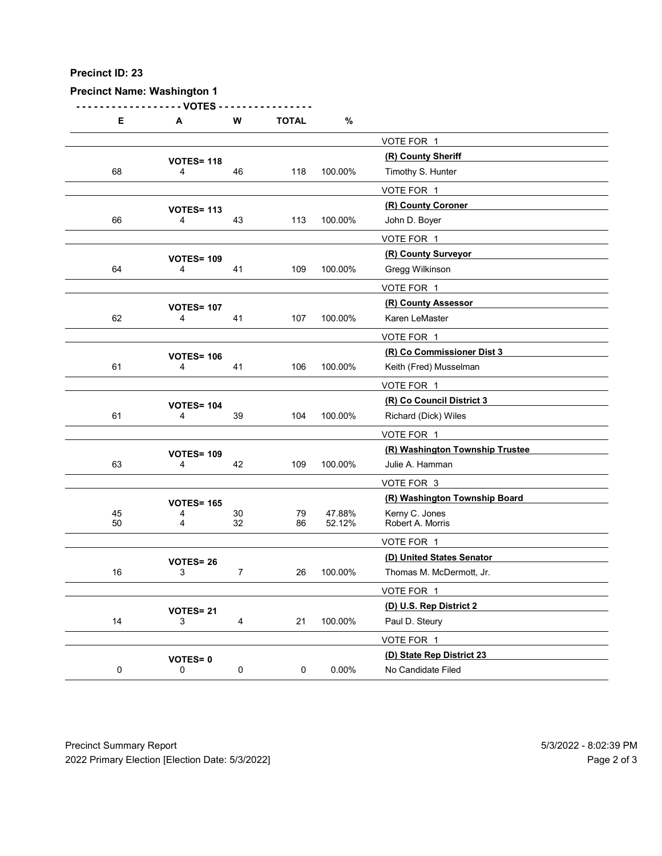### Precinct Name: Washington 1

| Precinct ID: 23 |                                     |                |                |                  |                                               |  |
|-----------------|-------------------------------------|----------------|----------------|------------------|-----------------------------------------------|--|
|                 |                                     |                |                |                  |                                               |  |
|                 |                                     |                |                |                  |                                               |  |
|                 |                                     |                |                |                  |                                               |  |
|                 |                                     |                |                |                  |                                               |  |
|                 |                                     |                |                |                  |                                               |  |
|                 | <b>Precinct Name: Washington 1</b>  |                |                |                  |                                               |  |
|                 | - VOTES                             |                |                |                  |                                               |  |
| E               | A                                   | W              | <b>TOTAL</b>   | $\%$             |                                               |  |
|                 |                                     |                |                |                  | VOTE FOR 1<br>(R) County Sheriff              |  |
| 68              | <b>VOTES= 118</b><br>4              | 46             | 118            | 100.00%          | Timothy S. Hunter                             |  |
|                 |                                     |                |                |                  | VOTE FOR 1                                    |  |
|                 | <b>VOTES= 113</b>                   |                |                |                  | (R) County Coroner                            |  |
| 66              | 4                                   | 43             | 113            | 100.00%          | John D. Boyer                                 |  |
|                 |                                     |                |                |                  | VOTE FOR 1<br>(R) County Surveyor             |  |
| 64              | <b>VOTES= 109</b><br>4              | 41             | 109            | 100.00%          | Gregg Wilkinson                               |  |
|                 |                                     |                |                |                  | VOTE FOR 1                                    |  |
|                 | <b>VOTES= 107</b>                   |                |                |                  | (R) County Assessor                           |  |
| 62              | 4                                   | 41             | 107            | 100.00%          | Karen LeMaster                                |  |
|                 |                                     |                |                |                  | VOTE FOR 1<br>(R) Co Commissioner Dist 3      |  |
| 61              | <b>VOTES= 106</b><br>4              | 41             | 106            | 100.00%          | Keith (Fred) Musselman                        |  |
|                 |                                     |                |                |                  | VOTE FOR 1                                    |  |
|                 | <b>VOTES= 104</b>                   |                |                |                  | (R) Co Council District 3                     |  |
| 61              | 4                                   | 39             | 104            | 100.00%          | Richard (Dick) Wiles                          |  |
|                 |                                     |                |                |                  | VOTE FOR 1<br>(R) Washington Township Trustee |  |
| 63              | <b>VOTES= 109</b><br>$\overline{4}$ | 42             | 109            | 100.00%          | Julie A. Hamman                               |  |
|                 |                                     |                |                |                  | VOTE FOR 3                                    |  |
|                 | <b>VOTES= 165</b>                   |                |                |                  | (R) Washington Township Board                 |  |
| 45<br>50        | 4<br>$\boldsymbol{\Delta}$          | $30\,$<br>32   | $\bf 79$<br>86 | 47.88%<br>52.12% | Kerny C. Jones<br>Robert A. Morris            |  |
|                 |                                     |                |                |                  | VOTE FOR 1                                    |  |
|                 | <b>VOTES=26</b>                     |                |                |                  | (D) United States Senator                     |  |
| 16              | 3                                   | $\overline{7}$ | 26             | 100.00%          | Thomas M. McDermott, Jr.                      |  |
|                 |                                     |                |                |                  | VOTE FOR 1<br>(D) U.S. Rep District 2         |  |
| 14              | <b>VOTES= 21</b><br>3               | $\overline{4}$ | 21             | 100.00%          | Paul D. Steury                                |  |
|                 |                                     |                |                |                  | VOTE FOR 1                                    |  |
|                 | VOTES=0                             |                |                |                  | (D) State Rep District 23                     |  |
| $\mathbf 0$     | $\mathsf{O}$                        | $\mathbf 0$    | $\mathbf 0$    | $0.00\%$         | No Candidate Filed                            |  |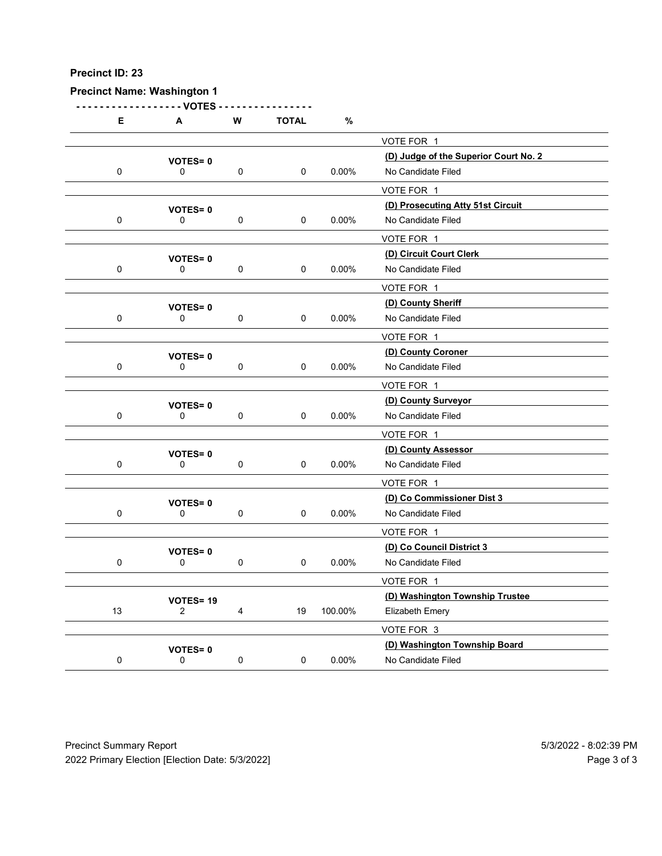### Precinct Name: Washington 1

| Precinct ID: 23 |                                    |             |              |          |                                               |  |
|-----------------|------------------------------------|-------------|--------------|----------|-----------------------------------------------|--|
|                 | <b>Precinct Name: Washington 1</b> |             |              |          |                                               |  |
| Е               | - - VOTES<br>A                     | W           | <b>TOTAL</b> | $\%$     |                                               |  |
|                 |                                    |             |              |          | VOTE FOR 1                                    |  |
|                 | <b>VOTES=0</b>                     |             |              |          | (D) Judge of the Superior Court No. 2         |  |
| $\mathbf 0$     | 0                                  | $\pmb{0}$   | 0            | 0.00%    | No Candidate Filed<br>VOTE FOR 1              |  |
|                 | <b>VOTES=0</b>                     |             |              |          | (D) Prosecuting Atty 51st Circuit             |  |
| $\mathbf 0$     | 0                                  | $\pmb{0}$   | 0            | 0.00%    | No Candidate Filed                            |  |
|                 | <b>VOTES=0</b>                     |             |              |          | VOTE FOR 1<br>(D) Circuit Court Clerk         |  |
| $\mathbf 0$     | 0                                  | $\pmb{0}$   | 0            | $0.00\%$ | No Candidate Filed                            |  |
|                 |                                    |             |              |          | VOTE FOR 1                                    |  |
| $\mathbf 0$     | <b>VOTES=0</b><br>0                | 0           | 0            | 0.00%    | (D) County Sheriff<br>No Candidate Filed      |  |
|                 |                                    |             |              |          | VOTE FOR 1                                    |  |
|                 | <b>VOTES=0</b>                     |             |              |          | (D) County Coroner                            |  |
| $\mathbf 0$     | 0                                  | $\mathbf 0$ | 0            | 0.00%    | No Candidate Filed                            |  |
|                 |                                    |             |              |          | VOTE FOR 1<br>(D) County Surveyor             |  |
| $\mathbf 0$     | <b>VOTES=0</b><br>$\mathbf 0$      | $\pmb{0}$   | $\mathbf 0$  | 0.00%    | No Candidate Filed                            |  |
|                 |                                    |             |              |          | VOTE FOR 1                                    |  |
|                 | <b>VOTES=0</b>                     |             |              |          | (D) County Assessor                           |  |
| $\mathbf 0$     | $\mathsf{O}\xspace$                | $\mathbf 0$ | 0            | $0.00\%$ | No Candidate Filed                            |  |
|                 |                                    |             |              |          | VOTE FOR 1<br>(D) Co Commissioner Dist 3      |  |
| $\mathbf 0$     | <b>VOTES=0</b><br>0                | $\mathbf 0$ | 0            | $0.00\%$ | No Candidate Filed                            |  |
|                 |                                    |             |              |          | VOTE FOR 1                                    |  |
|                 | VOTES=0                            |             |              |          | (D) Co Council District 3                     |  |
| $\mathbf 0$     | $\mathbf 0$                        | $\mathbf 0$ | $\mathsf 0$  | $0.00\%$ | No Candidate Filed                            |  |
|                 |                                    |             |              |          | VOTE FOR 1<br>(D) Washington Township Trustee |  |
| 13              | VOTES=19<br>$\overline{2}$         | 4           | 19           | 100.00%  | Elizabeth Emery                               |  |
|                 |                                    |             |              |          | VOTE FOR 3                                    |  |
|                 | <b>VOTES=0</b>                     |             |              |          | (D) Washington Township Board                 |  |
| $\mathbf 0$     | $\mathsf{O}\xspace$                | $\pmb{0}$   | $\mathbf 0$  | $0.00\%$ | No Candidate Filed                            |  |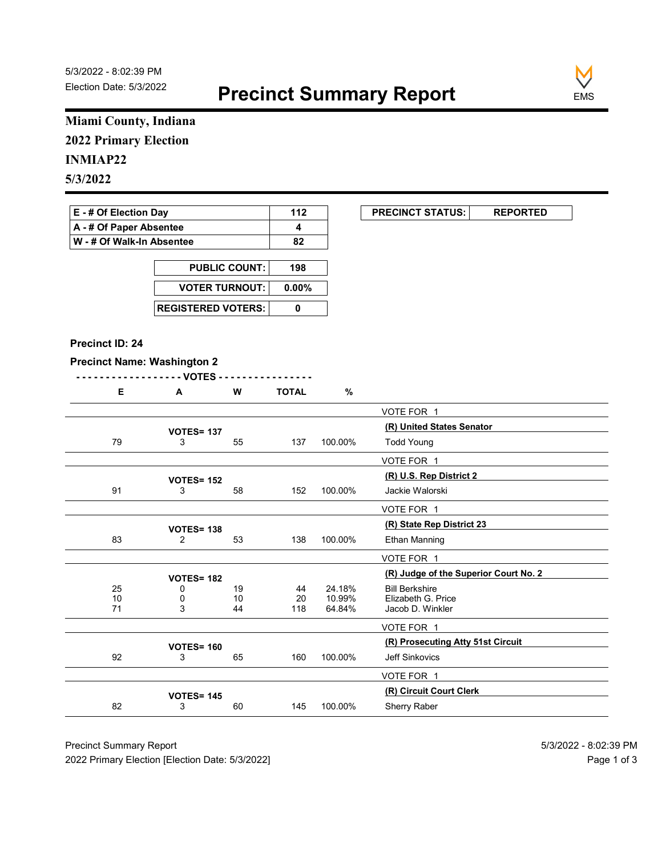

### Miami County, Indiana 2022 Primary Election

### INMIAP22

| E - # Of Election Day       | 112 | <b>PRECINCT STATUS:</b> |  |
|-----------------------------|-----|-------------------------|--|
| A - # Of Paper Absentee     |     |                         |  |
| ∣ W - # Of Walk-In Absentee | 82  |                         |  |

| <b>PUBLIC COUNT:</b> | 198 |
|----------------------|-----|
| VOTER TURNOUT: 0.00% |     |
|                      |     |

#### Precinct ID: 24

#### Precinct Name: Washington 2

|  | W | <b>TOTAL</b> |  |
|--|---|--------------|--|
|  |   | $\sim$       |  |

|                                    | Miami County, Indiana     |                       |              |         |                                                                |
|------------------------------------|---------------------------|-----------------------|--------------|---------|----------------------------------------------------------------|
| <b>2022 Primary Election</b>       |                           |                       |              |         |                                                                |
| <b>INMIAP22</b>                    |                           |                       |              |         |                                                                |
| 5/3/2022                           |                           |                       |              |         |                                                                |
|                                    |                           |                       |              |         |                                                                |
| E - # Of Election Day              |                           |                       | 112          |         | <b>PRECINCT STATUS:</b><br><b>REPORTED</b>                     |
| A - # Of Paper Absentee            |                           |                       | 4            |         |                                                                |
| W - # Of Walk-In Absentee          |                           |                       | 82           |         |                                                                |
|                                    |                           | <b>PUBLIC COUNT:</b>  | 198          |         |                                                                |
|                                    |                           | <b>VOTER TURNOUT:</b> |              |         |                                                                |
|                                    |                           |                       | $0.00\%$     |         |                                                                |
|                                    | <b>REGISTERED VOTERS:</b> |                       | $\mathbf 0$  |         |                                                                |
| Precinct ID: 24                    |                           |                       |              |         |                                                                |
| <b>Precinct Name: Washington 2</b> |                           |                       |              |         |                                                                |
|                                    | - - VOTES                 |                       |              |         |                                                                |
| E                                  | A                         | W                     | <b>TOTAL</b> | $\%$    |                                                                |
|                                    |                           |                       |              |         | VOTE FOR 1                                                     |
|                                    | <b>VOTES= 137</b>         |                       |              |         | (R) United States Senator                                      |
| 79                                 | 3                         | 55                    | 137          | 100.00% | <b>Todd Young</b>                                              |
|                                    |                           |                       |              |         | VOTE FOR 1                                                     |
|                                    | <b>VOTES= 152</b>         |                       |              |         | (R) U.S. Rep District 2                                        |
| 91                                 | 3                         | 58                    | 152          | 100.00% | Jackie Walorski                                                |
|                                    |                           |                       |              |         | VOTE FOR 1                                                     |
|                                    | <b>VOTES= 138</b>         |                       |              |         | (R) State Rep District 23                                      |
| 83                                 | $\overline{2}$            | 53                    | 138          | 100.00% | Ethan Manning                                                  |
|                                    |                           |                       |              |         | VOTE FOR 1                                                     |
| 25                                 | <b>VOTES= 182</b><br>0    | 19                    | 44           | 24.18%  | (R) Judge of the Superior Court No. 2<br><b>Bill Berkshire</b> |
| $\frac{10}{71}$                    | 0                         | 10                    | 20           | 10.99%  | Elizabeth G. Price                                             |
|                                    | $\mathfrak{S}$            | 44                    | 118          | 64.84%  | Jacob D. Winkler                                               |
|                                    |                           |                       |              |         | VOTE FOR 1                                                     |
| 92                                 | <b>VOTES= 160</b><br>3    | 65                    | 160          | 100.00% | (R) Prosecuting Atty 51st Circuit<br>Jeff Sinkovics            |
|                                    |                           |                       |              |         |                                                                |
|                                    |                           |                       |              |         | VOTE FOR 1<br>(R) Circuit Court Clerk                          |
|                                    | <b>VOTES= 145</b>         | 60                    | 145          | 100.00% | Sherry Raber                                                   |
| 82                                 | 3                         |                       |              |         |                                                                |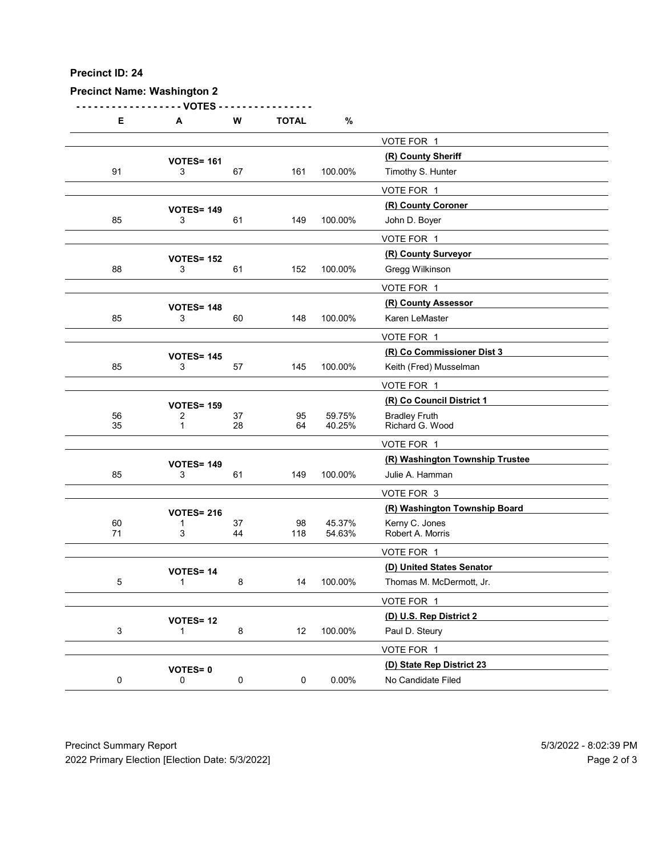### Precinct Name: Washington 2

| Precinct ID: 24 |                                    |              |              |                  |                                                      |  |
|-----------------|------------------------------------|--------------|--------------|------------------|------------------------------------------------------|--|
|                 |                                    |              |              |                  |                                                      |  |
|                 |                                    |              |              |                  |                                                      |  |
|                 |                                    |              |              |                  |                                                      |  |
|                 |                                    |              |              |                  |                                                      |  |
|                 |                                    |              |              |                  |                                                      |  |
|                 |                                    |              |              |                  |                                                      |  |
|                 | <b>Precinct Name: Washington 2</b> |              |              |                  |                                                      |  |
| E               | - VOTES                            | W            | <b>TOTAL</b> | $\%$             |                                                      |  |
|                 | A                                  |              |              |                  |                                                      |  |
|                 |                                    |              |              |                  | VOTE FOR 1<br>(R) County Sheriff                     |  |
| 91              | <b>VOTES= 161</b><br>3             | 67           | 161          | 100.00%          | Timothy S. Hunter                                    |  |
|                 |                                    |              |              |                  | VOTE FOR 1                                           |  |
|                 | <b>VOTES= 149</b>                  |              |              |                  | (R) County Coroner                                   |  |
| 85              | 3                                  | 61           | 149          | 100.00%          | John D. Boyer                                        |  |
|                 |                                    |              |              |                  | VOTE FOR 1<br>(R) County Surveyor                    |  |
| 88              | <b>VOTES= 152</b><br>3             | 61           | 152          | 100.00%          | Gregg Wilkinson                                      |  |
|                 |                                    |              |              |                  | VOTE FOR 1                                           |  |
|                 | <b>VOTES= 148</b>                  |              |              |                  | (R) County Assessor                                  |  |
| 85              | 3                                  | 60           | 148          | 100.00%          | Karen LeMaster                                       |  |
|                 |                                    |              |              |                  | VOTE FOR 1                                           |  |
| 85              | <b>VOTES= 145</b><br>3             | 57           | 145          | 100.00%          | (R) Co Commissioner Dist 3<br>Keith (Fred) Musselman |  |
|                 |                                    |              |              |                  | VOTE FOR 1                                           |  |
|                 | <b>VOTES= 159</b>                  |              |              |                  | (R) Co Council District 1                            |  |
| 56<br>35        | $\overline{2}$<br>$\mathbf{1}$     | $37\,$<br>28 | 95<br>64     | 59.75%<br>40.25% | Bradley Fruth<br>Richard G. Wood                     |  |
|                 |                                    |              |              |                  | VOTE FOR 1                                           |  |
|                 | <b>VOTES= 149</b>                  |              |              |                  | (R) Washington Township Trustee                      |  |
| 85              | 3                                  | 61           | 149          | 100.00%          | Julie A. Hamman                                      |  |
|                 |                                    |              |              |                  | VOTE FOR 3                                           |  |
|                 | <b>VOTES= 216</b>                  |              |              |                  | (R) Washington Township Board                        |  |
| $60\,$<br>71    | $\mathbf 1$<br>$\mathbf{3}$        | $37\,$<br>44 | 98<br>118    | 45.37%<br>54.63% | Kerny C. Jones<br>Robert A. Morris                   |  |
|                 |                                    |              |              |                  | VOTE FOR 1                                           |  |
|                 | VOTES=14                           |              |              |                  | (D) United States Senator                            |  |
| $\sqrt{5}$      | $\mathbf{1}$                       | 8            | 14           | 100.00%          | Thomas M. McDermott, Jr.                             |  |
|                 |                                    |              |              |                  | VOTE FOR 1                                           |  |
| $\mathbf{3}$    | <b>VOTES= 12</b><br>$\mathbf{1}$   | $\bf 8$      | 12           | 100.00%          | (D) U.S. Rep District 2<br>Paul D. Steury            |  |
|                 |                                    |              |              |                  | VOTE FOR 1                                           |  |
|                 | VOTES=0                            |              |              |                  | (D) State Rep District 23                            |  |
|                 | $\mathsf 0$                        | $\mathbf 0$  | $\mathbf 0$  | 0.00%            | No Candidate Filed                                   |  |